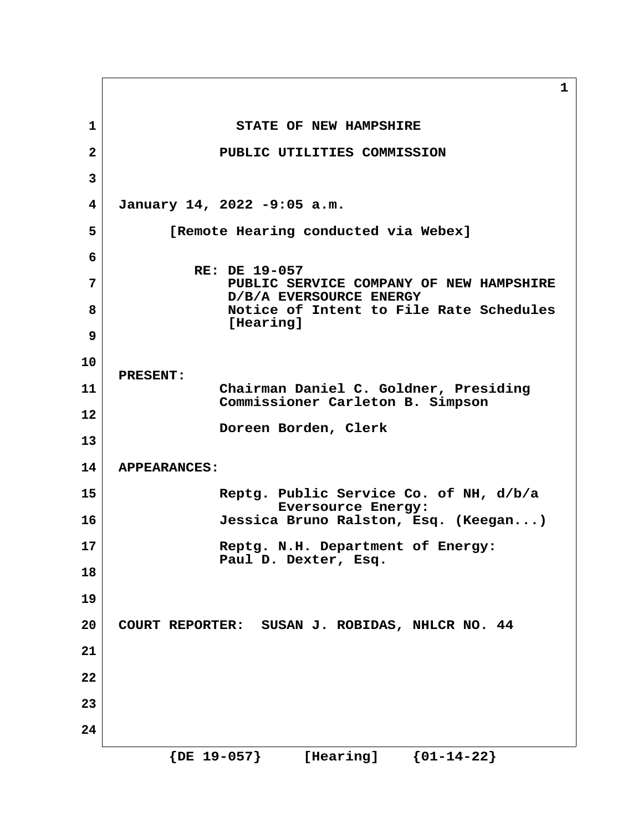**1 1** STATE OF NEW HAMPSHIRE  **2 PUBLIC UTILITIES COMMISSION 3 4 January 14, 2022 -9:05 a.m. 5 [Remote Hearing conducted via Webex] 6 RE: DE 19-057 7 PUBLIC SERVICE COMPANY OF NEW HAMPSHIRE D/B/A EVERSOURCE ENERGY 8 Notice of Intent to File Rate Schedules [Hearing] 9 10 PRESENT: 11 Chairman Daniel C. Goldner, Presiding Commissioner Carleton B. Simpson 12 Doreen Borden, Clerk 13 14 APPEARANCES: 15 Reptg. Public Service Co. of NH, d/b/a Eversource Energy: 16 Jessica Bruno Ralston, Esq. (Keegan...) 17 Reptg. N.H. Department of Energy: Paul D. Dexter, Esq. 18 19 20 COURT REPORTER: SUSAN J. ROBIDAS, NHLCR NO. 44 21 22 23 24 {DE 19-057} [Hearing] {01-14-22}**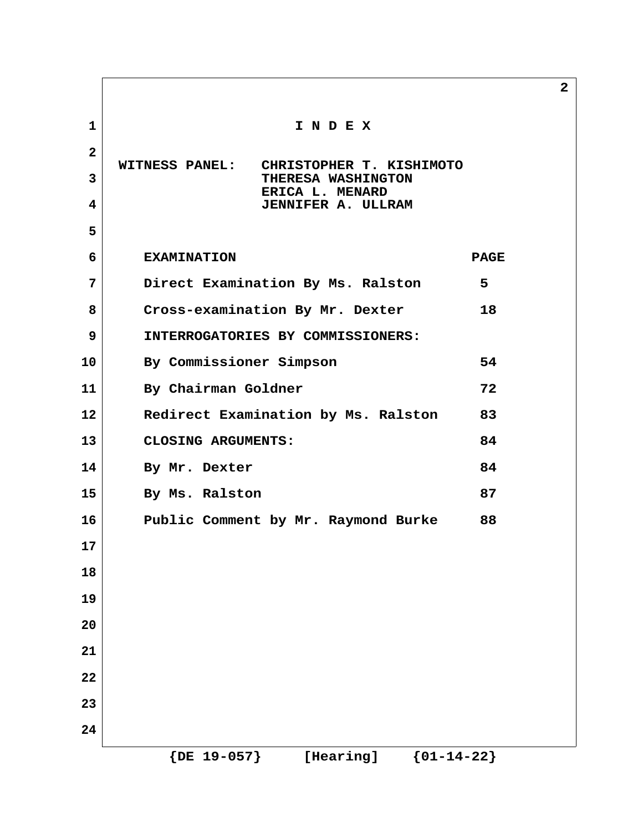| $\mathbf{1}$ | INDEX                                                                   |             |
|--------------|-------------------------------------------------------------------------|-------------|
| $\mathbf{2}$ |                                                                         |             |
| 3            | <b>WITNESS PANEL:</b><br>CHRISTOPHER T. KISHIMOTO<br>THERESA WASHINGTON |             |
| 4            | ERICA L. MENARD<br><b>JENNIFER A. ULLRAM</b>                            |             |
| 5            |                                                                         |             |
| 6            | <b>EXAMINATION</b>                                                      | <b>PAGE</b> |
| 7            | Direct Examination By Ms. Ralston                                       | 5           |
| 8            | Cross-examination By Mr. Dexter                                         | 18          |
| 9            | INTERROGATORIES BY COMMISSIONERS:                                       |             |
| 10           | By Commissioner Simpson                                                 | 54          |
| 11           | By Chairman Goldner                                                     | 72          |
| 12           | Redirect Examination by Ms. Ralston                                     | 83          |
| 13           | CLOSING ARGUMENTS:                                                      | 84          |
| 14           | By Mr. Dexter                                                           | 84          |
| 15           | By Ms. Ralston                                                          | 87          |
| 16           | Public Comment by Mr. Raymond Burke                                     | 88          |
| 17           |                                                                         |             |
| 18           |                                                                         |             |
| 19           |                                                                         |             |
| 20           |                                                                         |             |
| 21           |                                                                         |             |
| 22           |                                                                         |             |
| 23           |                                                                         |             |
| 24           |                                                                         |             |
|              | ${DE 19-057}$<br>${01-14-22}$<br>[Hearing]                              |             |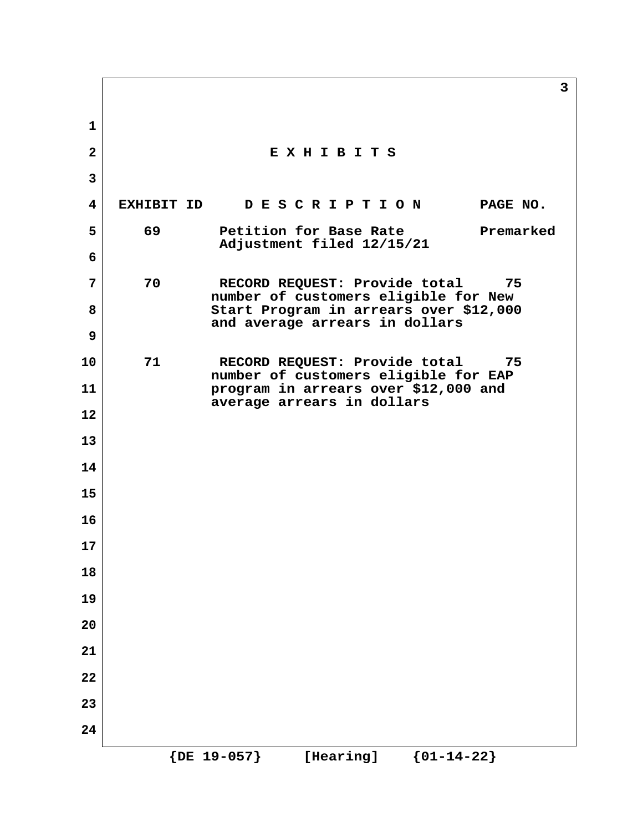**3 1 2 E X H I B I T S 3 4 EXHIBIT ID D E S C R I P T I O N PAGE NO. 5 69 Petition for Base Rate Premarked Adjustment filed 12/15/21 6 7 70 RECORD REQUEST: Provide total 75 number of customers eligible for New 8 Start Program in arrears over \$12,000 and average arrears in dollars 9 10 71 RECORD REQUEST: Provide total 75 number of customers eligible for EAP 11 program in arrears over \$12,000 and average arrears in dollars 12 13 14 15 16 17 18 19 20 21 22 23 24 {DE 19-057} [Hearing] {01-14-22}**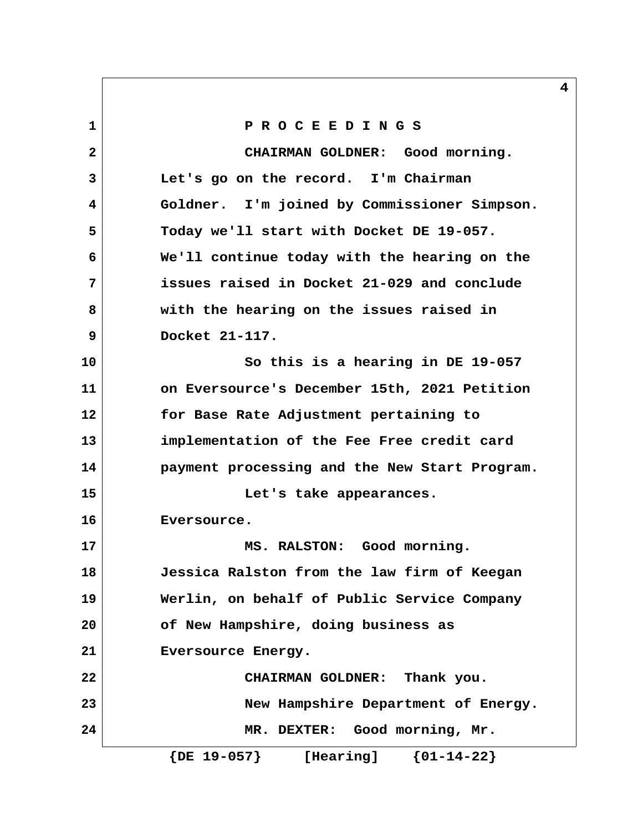**1 P R O C E E D I N G S 2 CHAIRMAN GOLDNER: Good morning. 3 Let's go on the record. I'm Chairman 4 Goldner. I'm joined by Commissioner Simpson. 5 Today we'll start with Docket DE 19-057. 6 We'll continue today with the hearing on the 7 issues raised in Docket 21-029 and conclude 8 with the hearing on the issues raised in 9 Docket 21-117. 10 So this is a hearing in DE 19-057 11 on Eversource's December 15th, 2021 Petition 12 for Base Rate Adjustment pertaining to 13 implementation of the Fee Free credit card 14 payment processing and the New Start Program. 15 Let's take appearances. 16 Eversource. 17 MS. RALSTON: Good morning. 18 Jessica Ralston from the law firm of Keegan 19 Werlin, on behalf of Public Service Company 20 of New Hampshire, doing business as 21 Eversource Energy. 22 CHAIRMAN GOLDNER: Thank you. 23 New Hampshire Department of Energy. 24 MR. DEXTER: Good morning, Mr. {DE 19-057} [Hearing] {01-14-22}**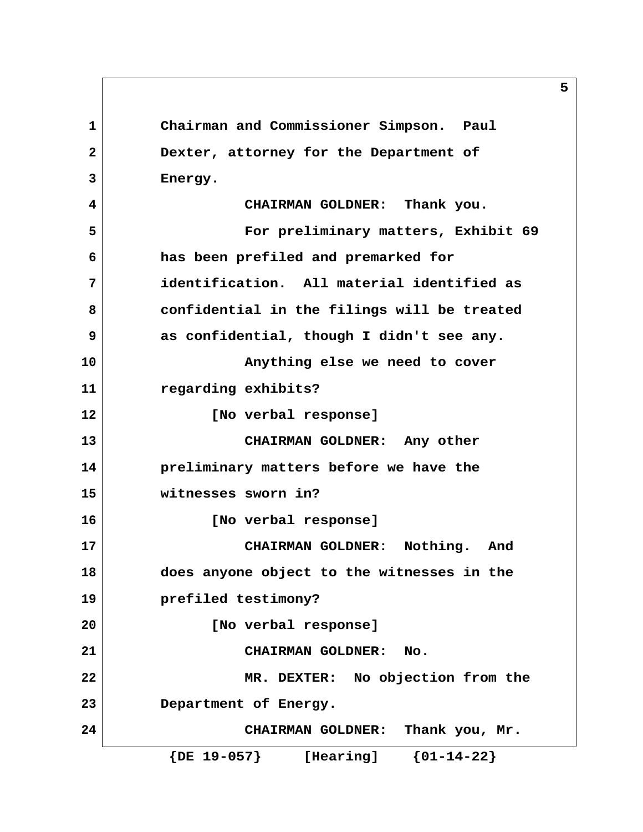**1 Chairman and Commissioner Simpson. Paul 2 Dexter, attorney for the Department of 3 Energy. 4 CHAIRMAN GOLDNER: Thank you. 5 For preliminary matters, Exhibit 69 6 has been prefiled and premarked for 7 identification. All material identified as 8 confidential in the filings will be treated 9 as confidential, though I didn't see any. 10 Anything else we need to cover 11 regarding exhibits? 12 [No verbal response] 13 CHAIRMAN GOLDNER: Any other 14 preliminary matters before we have the 15 witnesses sworn in? 16 [No verbal response] 17 CHAIRMAN GOLDNER: Nothing. And 18 does anyone object to the witnesses in the 19 prefiled testimony? 20 [No verbal response] 21 CHAIRMAN GOLDNER: No. 22** MR. DEXTER: No objection from the **23 Department of Energy. 24 CHAIRMAN GOLDNER: Thank you, Mr. {DE 19-057} [Hearing] {01-14-22}**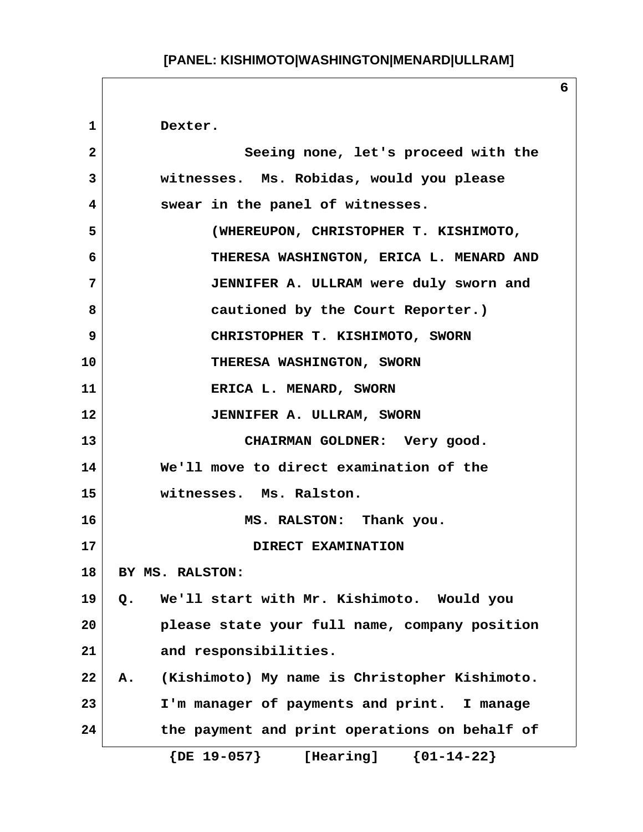**1 Dexter. 2 Seeing none, let's proceed with the 3 witnesses. Ms. Robidas, would you please 4 swear in the panel of witnesses. 5 (WHEREUPON, CHRISTOPHER T. KISHIMOTO, 6 THERESA WASHINGTON, ERICA L. MENARD AND 7 JENNIFER A. ULLRAM were duly sworn and 8 cautioned by the Court Reporter.) 9 CHRISTOPHER T. KISHIMOTO, SWORN 10** THERESA WASHINGTON, SWORN **11 ERICA L. MENARD, SWORN 12 JENNIFER A. ULLRAM, SWORN 13 CHAIRMAN GOLDNER: Very good. 14 We'll move to direct examination of the 15 witnesses. Ms. Ralston. 16 MS. RALSTON: Thank you. 17 DIRECT EXAMINATION 18 BY MS. RALSTON: 19 Q. We'll start with Mr. Kishimoto. Would you 20 please state your full name, company position 21 and responsibilities. 22 A. (Kishimoto) My name is Christopher Kishimoto. 23 I'm manager of payments and print. I manage 24 the payment and print operations on behalf of {DE 19-057} [Hearing] {01-14-22}**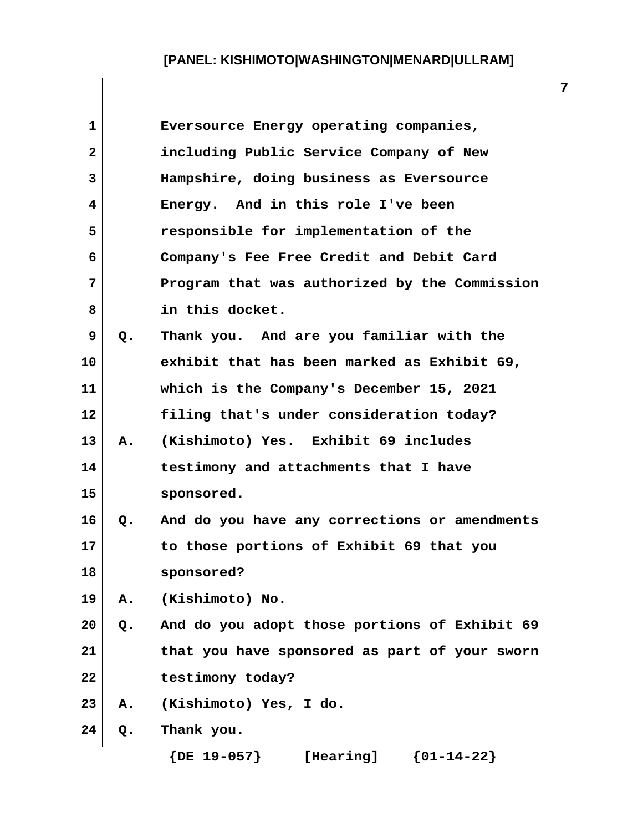**7**

| 1              |       | Eversource Energy operating companies,        |
|----------------|-------|-----------------------------------------------|
| $\overline{2}$ |       | including Public Service Company of New       |
| 3              |       | Hampshire, doing business as Eversource       |
| 4              |       | Energy. And in this role I've been            |
| 5              |       | responsible for implementation of the         |
| 6              |       | Company's Fee Free Credit and Debit Card      |
| 7              |       | Program that was authorized by the Commission |
| 8              |       | in this docket.                               |
| 9              | $Q$ . | Thank you. And are you familiar with the      |
| 10             |       | exhibit that has been marked as Exhibit 69,   |
| 11             |       | which is the Company's December 15, 2021      |
| 12             |       | filing that's under consideration today?      |
| 13             | Α.    | (Kishimoto) Yes. Exhibit 69 includes          |
| 14             |       | testimony and attachments that I have         |
| 15             |       | sponsored.                                    |
| 16             | Q.    | And do you have any corrections or amendments |
| 17             |       | to those portions of Exhibit 69 that you      |
| 18             |       | sponsored?                                    |
| 19             | Α.    | (Kishimoto) No.                               |
| 20             | Q.    | And do you adopt those portions of Exhibit 69 |
| 21             |       | that you have sponsored as part of your sworn |
| 22             |       | testimony today?                              |
| 23             | Α.    | (Kishimoto) Yes, I do.                        |
| 24             | Q.    | Thank you.                                    |
|                |       |                                               |

 **{DE 19-057} [Hearing] {01-14-22}**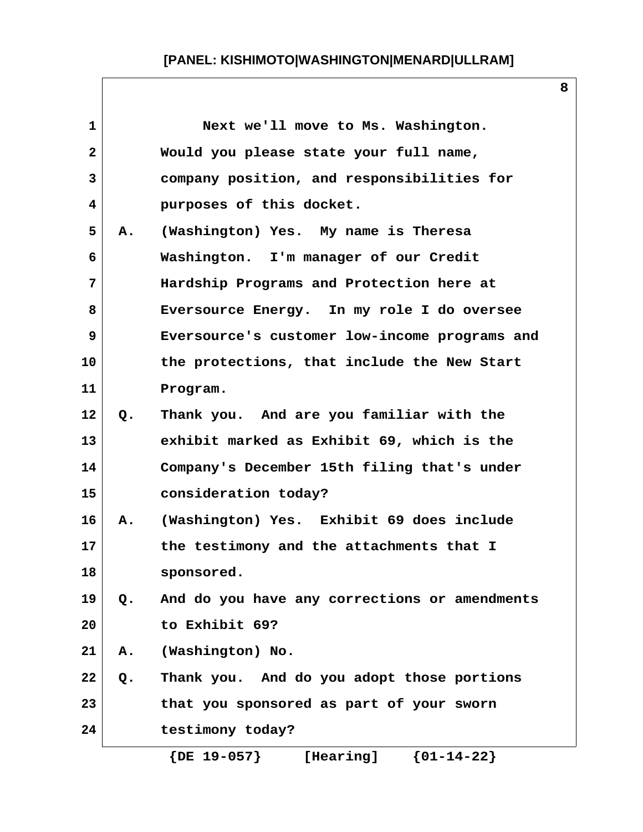| 1            |    | Next we'll move to Ms. Washington.            |
|--------------|----|-----------------------------------------------|
| $\mathbf{2}$ |    | Would you please state your full name,        |
| 3            |    | company position, and responsibilities for    |
| 4            |    | purposes of this docket.                      |
| 5            | Α. | (Washington) Yes. My name is Theresa          |
| 6            |    | Washington. I'm manager of our Credit         |
| 7            |    | Hardship Programs and Protection here at      |
| 8            |    | Eversource Energy. In my role I do oversee    |
| 9            |    | Eversource's customer low-income programs and |
| 10           |    | the protections, that include the New Start   |
| 11           |    | Program.                                      |
| 12           | Q. | Thank you. And are you familiar with the      |
| 13           |    | exhibit marked as Exhibit 69, which is the    |
| 14           |    | Company's December 15th filing that's under   |
| 15           |    | consideration today?                          |
| 16           | A. | (Washington) Yes. Exhibit 69 does include     |
| 17           |    | the testimony and the attachments that I      |
| 18           |    | sponsored.                                    |
| 19           | Q. | And do you have any corrections or amendments |
| 20           |    | to Exhibit 69?                                |
| 21           | Α. | (Washington) No.                              |
| 22           | Q. | Thank you. And do you adopt those portions    |
| 23           |    | that you sponsored as part of your sworn      |
| 24           |    | testimony today?                              |
|              |    | ${01-14-22}$<br>$\{DE\ 19-057\}$<br>[Hearing] |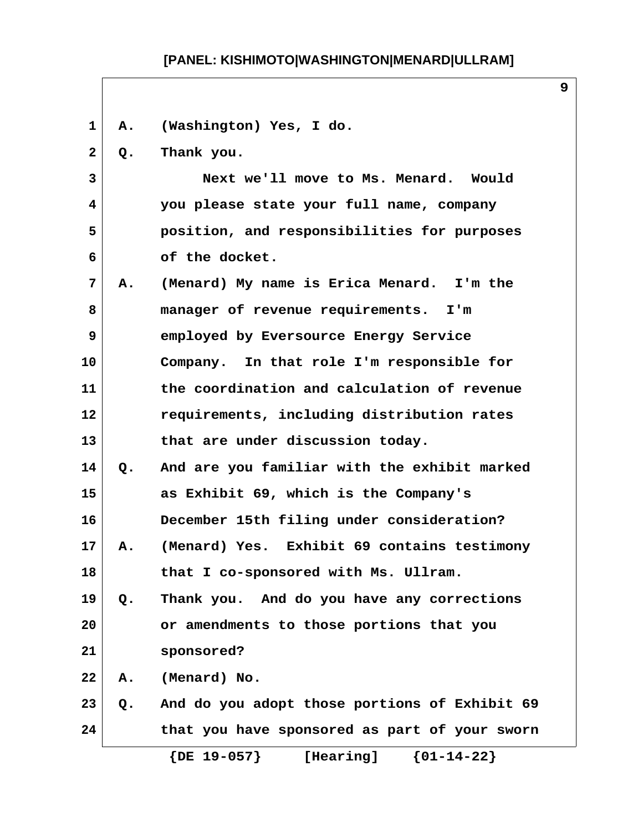| 1              | Α.    | (Washington) Yes, I do.                       |
|----------------|-------|-----------------------------------------------|
| $\mathbf{2}$   | Q.    | Thank you.                                    |
| 3              |       | Next we'll move to Ms. Menard. Would          |
| 4              |       | you please state your full name, company      |
| 5              |       | position, and responsibilities for purposes   |
| 6              |       | of the docket.                                |
| $\overline{7}$ | Α.    | (Menard) My name is Erica Menard. I'm the     |
| 8              |       | manager of revenue requirements. I'm          |
| 9              |       | employed by Eversource Energy Service         |
| 10             |       | Company. In that role I'm responsible for     |
| 11             |       | the coordination and calculation of revenue   |
| $12 \,$        |       | requirements, including distribution rates    |
| 13             |       | that are under discussion today.              |
| 14             | Q.    | And are you familiar with the exhibit marked  |
| 15             |       | as Exhibit 69, which is the Company's         |
| 16             |       | December 15th filing under consideration?     |
| 17             | Α.    | (Menard) Yes. Exhibit 69 contains testimony   |
| 18             |       | that I co-sponsored with Ms. Ullram.          |
| 19             | Q.    | Thank you. And do you have any corrections    |
| 20             |       | or amendments to those portions that you      |
| 21             |       | sponsored?                                    |
| 22             | Α.    | (Menard) No.                                  |
| 23             | $Q$ . | And do you adopt those portions of Exhibit 69 |
| 24             |       | that you have sponsored as part of your sworn |
|                |       | $\{DE\ 19-057\}$<br>${01-14-22}$<br>[Hearing] |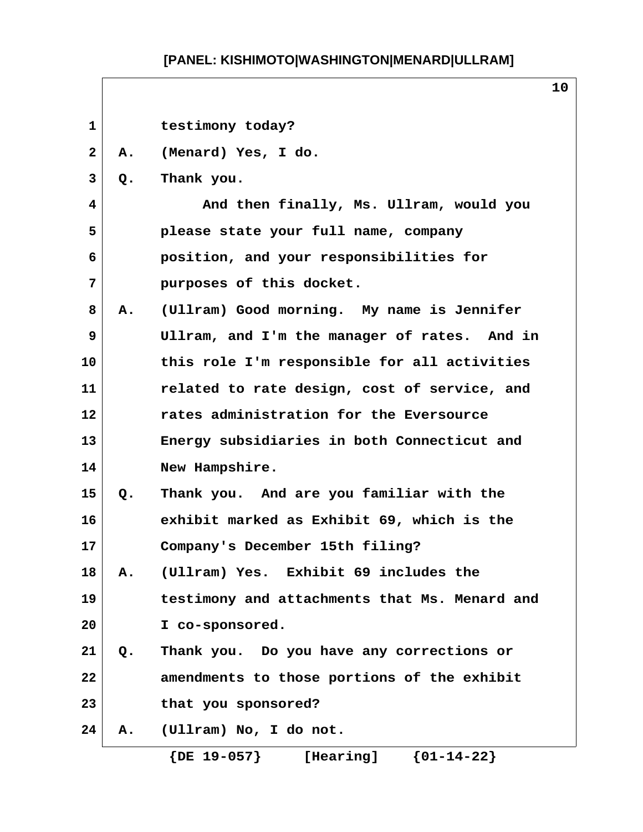| $\mathbf{1}$ |       | testimony today?                              |
|--------------|-------|-----------------------------------------------|
| $\mathbf{2}$ | Α.    | (Menard) Yes, I do.                           |
| 3            | Q.    | Thank you.                                    |
| 4            |       | And then finally, Ms. Ullram, would you       |
| 5            |       | please state your full name, company          |
| 6            |       | position, and your responsibilities for       |
| 7            |       | purposes of this docket.                      |
| 8            | Α.    | (Ullram) Good morning. My name is Jennifer    |
| 9            |       | Ullram, and I'm the manager of rates. And in  |
| 10           |       | this role I'm responsible for all activities  |
| 11           |       | related to rate design, cost of service, and  |
| 12           |       | rates administration for the Eversource       |
| 13           |       | Energy subsidiaries in both Connecticut and   |
| 14           |       | New Hampshire.                                |
| 15           | Q.    | Thank you. And are you familiar with the      |
| 16           |       | exhibit marked as Exhibit 69, which is the    |
| 17           |       | Company's December 15th filing?               |
| 18           | Α.    | (Ullram) Yes. Exhibit 69 includes the         |
| 19           |       | testimony and attachments that Ms. Menard and |
| 20           |       | I co-sponsored.                               |
| 21           | $Q$ . | Thank you. Do you have any corrections or     |
| 22           |       | amendments to those portions of the exhibit   |
| 23           |       | that you sponsored?                           |
| 24           | Α.    | (Ullram) No, I do not.                        |
|              |       | ${01-14-22}$<br>$\{DE\ 19-057\}$<br>[Hearing] |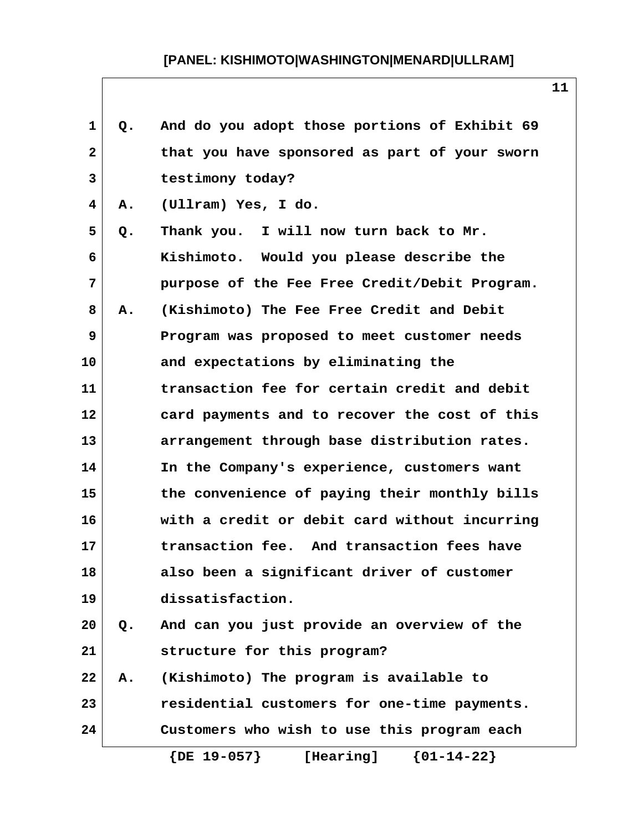| $\mathbf 1$  | Q. | And do you adopt those portions of Exhibit 69 |
|--------------|----|-----------------------------------------------|
| $\mathbf{2}$ |    | that you have sponsored as part of your sworn |
| 3            |    | testimony today?                              |
| 4            | Α. | (Ullram) Yes, I do.                           |
| 5            | Q. | Thank you. I will now turn back to Mr.        |
| 6            |    | Kishimoto. Would you please describe the      |
| 7            |    | purpose of the Fee Free Credit/Debit Program. |
| 8            | Α. | (Kishimoto) The Fee Free Credit and Debit     |
| 9            |    | Program was proposed to meet customer needs   |
| 10           |    | and expectations by eliminating the           |
| 11           |    | transaction fee for certain credit and debit  |
| 12           |    | card payments and to recover the cost of this |
| 13           |    | arrangement through base distribution rates.  |
| 14           |    | In the Company's experience, customers want   |
| 15           |    | the convenience of paying their monthly bills |
| 16           |    | with a credit or debit card without incurring |
| 17           |    | transaction fee. And transaction fees have    |
| 18           |    | also been a significant driver of customer    |
| 19           |    | dissatisfaction.                              |
| 20           | Q. | And can you just provide an overview of the   |
| 21           |    | structure for this program?                   |
| 22           | Α. | (Kishimoto) The program is available to       |
| 23           |    | residential customers for one-time payments.  |
| 24           |    | Customers who wish to use this program each   |
|              |    | $\{DE\ 19-057\}$<br>${01-14-22}$<br>[Hearing] |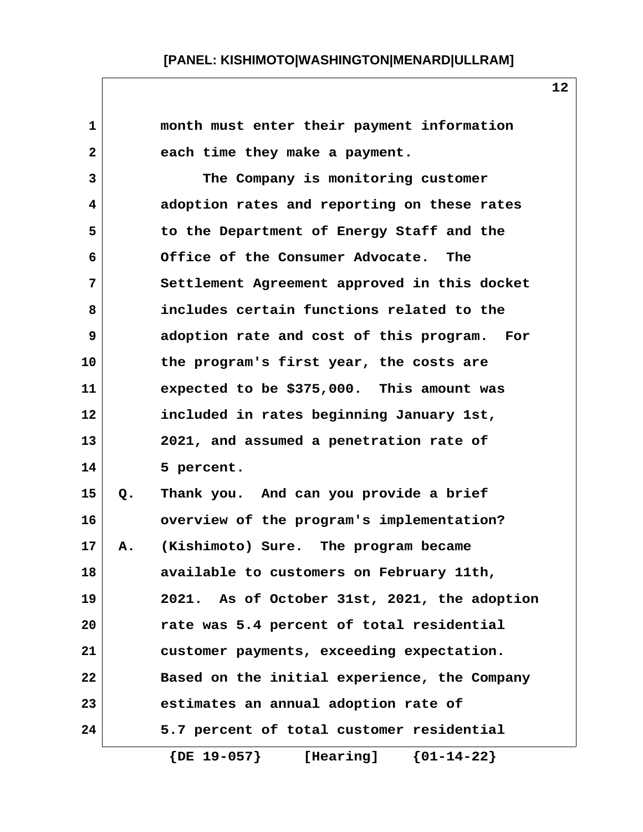| 1            |    | month must enter their payment information          |
|--------------|----|-----------------------------------------------------|
| $\mathbf{2}$ |    | each time they make a payment.                      |
| 3            |    | The Company is monitoring customer                  |
| 4            |    | adoption rates and reporting on these rates         |
| 5            |    | to the Department of Energy Staff and the           |
| 6            |    | Office of the Consumer Advocate. The                |
| 7            |    | Settlement Agreement approved in this docket        |
| 8            |    | includes certain functions related to the           |
| 9            |    | adoption rate and cost of this program. For         |
| 10           |    | the program's first year, the costs are             |
| 11           |    | expected to be \$375,000. This amount was           |
| 12           |    | included in rates beginning January 1st,            |
| 13           |    | 2021, and assumed a penetration rate of             |
| 14           |    | 5 percent.                                          |
| 15           | Q. | Thank you. And can you provide a brief              |
| 16           |    | overview of the program's implementation?           |
| 17           | Α. | (Kishimoto) Sure. The program became                |
| 18           |    | available to customers on February 11th,            |
| 19           |    | 2021. As of October 31st, 2021, the adoption        |
| 20           |    | rate was 5.4 percent of total residential           |
| 21           |    | customer payments, exceeding expectation.           |
| 22           |    | Based on the initial experience, the Company        |
| 23           |    | estimates an annual adoption rate of                |
| 24           |    | 5.7 percent of total customer residential           |
|              |    | $\{DE\ 19-057\}$<br>$\{01 - 14 - 22\}$<br>[Hearing] |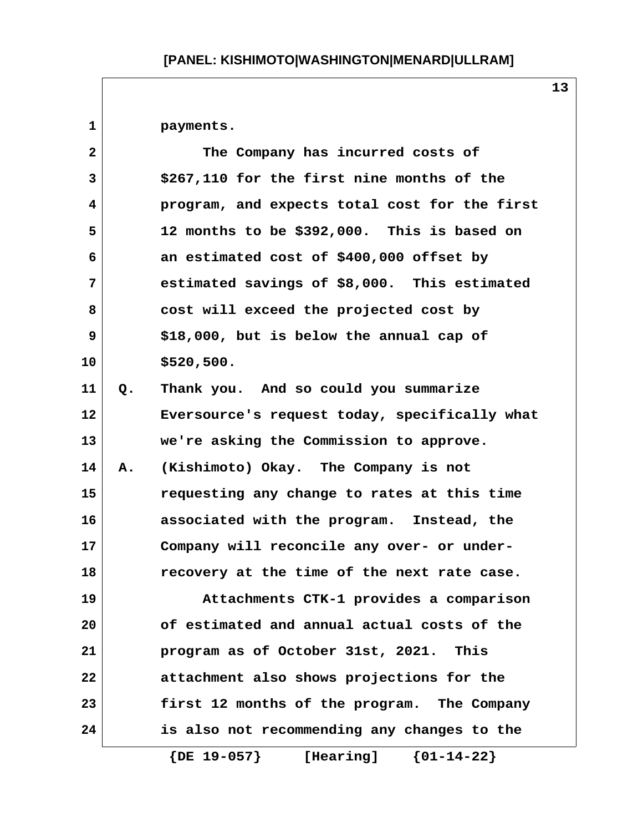**1 payments.**

| $\overline{2}$ |    | The Company has incurred costs of             |
|----------------|----|-----------------------------------------------|
| 3              |    | \$267,110 for the first nine months of the    |
| $\overline{4}$ |    | program, and expects total cost for the first |
| 5              |    | 12 months to be \$392,000. This is based on   |
| 6              |    | an estimated cost of \$400,000 offset by      |
| 7              |    | estimated savings of \$8,000. This estimated  |
| 8              |    | cost will exceed the projected cost by        |
| 9              |    | \$18,000, but is below the annual cap of      |
| 10             |    | \$520,500.                                    |
| 11             | Q. | Thank you. And so could you summarize         |
| 12             |    | Eversource's request today, specifically what |
| 13             |    | we're asking the Commission to approve.       |
| 14             | Α. | (Kishimoto) Okay. The Company is not          |
| 15             |    | requesting any change to rates at this time   |
| 16             |    | associated with the program. Instead, the     |
| 17             |    | Company will reconcile any over- or under-    |
| 18             |    | recovery at the time of the next rate case.   |
| 19             |    | Attachments CTK-1 provides a comparison       |
| 20             |    | of estimated and annual actual costs of the   |
| 21             |    | program as of October 31st, 2021. This        |
| 22             |    | attachment also shows projections for the     |
| 23             |    | first 12 months of the program. The Company   |
| 24             |    | is also not recommending any changes to the   |
|                |    | $\{DE\ 19-057\}$<br>${01-14-22}$<br>[Hearing] |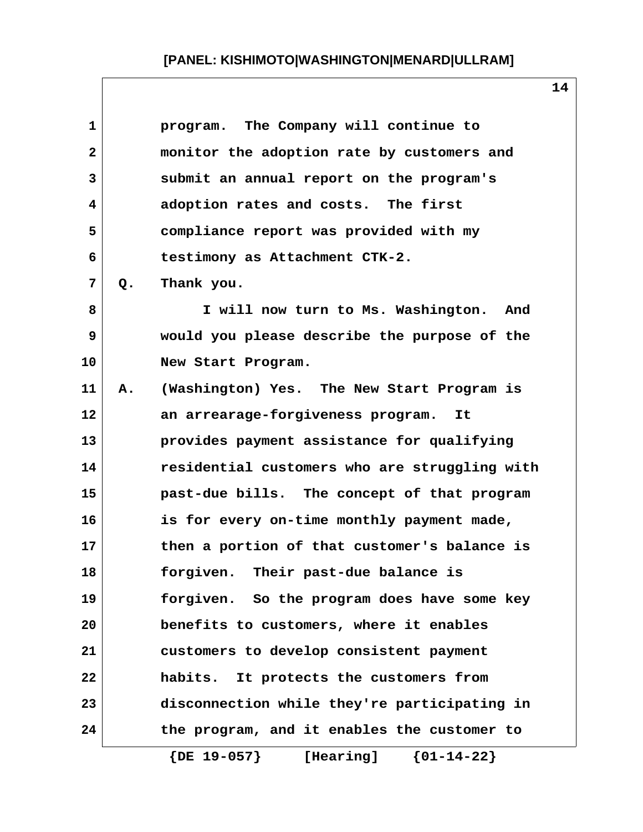| 1                       |    | program. The Company will continue to           |
|-------------------------|----|-------------------------------------------------|
| $\overline{\mathbf{2}}$ |    | monitor the adoption rate by customers and      |
| 3                       |    | submit an annual report on the program's        |
| 4                       |    | adoption rates and costs. The first             |
| 5                       |    | compliance report was provided with my          |
| 6                       |    | testimony as Attachment CTK-2.                  |
| 7                       | Q. | Thank you.                                      |
| 8                       |    | I will now turn to Ms. Washington.<br>And       |
| 9                       |    | would you please describe the purpose of the    |
| 10                      |    | New Start Program.                              |
| 11                      | Α. | (Washington) Yes. The New Start Program is      |
| 12                      |    | an arrearage-forgiveness program.<br>It         |
| 13                      |    | provides payment assistance for qualifying      |
| 14                      |    | residential customers who are struggling with   |
| 15                      |    | past-due bills. The concept of that program     |
| 16                      |    | is for every on-time monthly payment made,      |
| 17                      |    | then a portion of that customer's balance is    |
| 18                      |    | Their past-due balance is<br>forgiven.          |
| 19                      |    | forgiven. So the program does have some key     |
| 20                      |    | benefits to customers, where it enables         |
| 21                      |    | customers to develop consistent payment         |
| 22                      |    | habits. It protects the customers from          |
| 23                      |    | disconnection while they're participating in    |
| 24                      |    | the program, and it enables the customer to     |
|                         |    | $\{$ DE $19-057\}$<br>[Hearing]<br>${01-14-22}$ |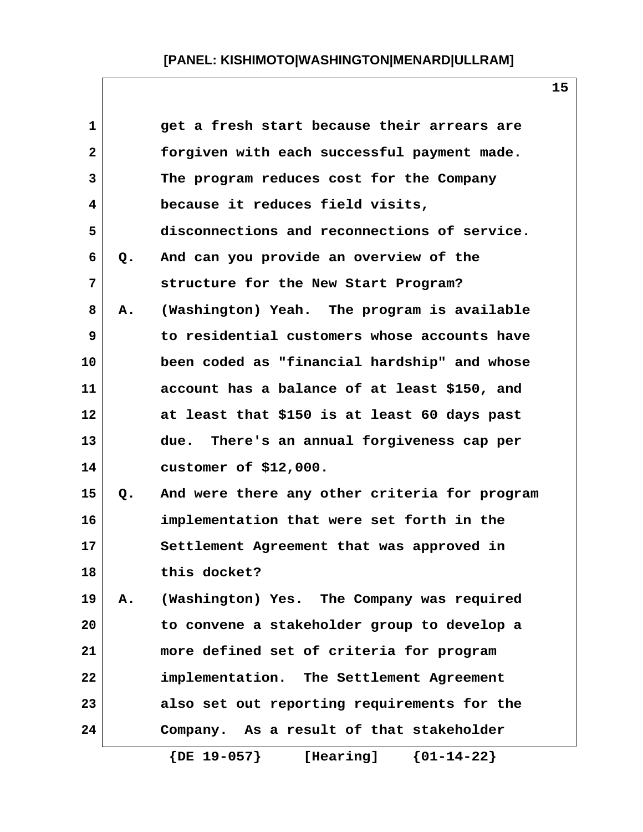| 1              |           | get a fresh start because their arrears are   |
|----------------|-----------|-----------------------------------------------|
| $\overline{a}$ |           | forgiven with each successful payment made.   |
| 3              |           | The program reduces cost for the Company      |
| 4              |           | because it reduces field visits,              |
| 5              |           | disconnections and reconnections of service.  |
| 6              | Q.        | And can you provide an overview of the        |
| 7              |           | structure for the New Start Program?          |
| 8              | Α.        | (Washington) Yeah. The program is available   |
| 9              |           | to residential customers whose accounts have  |
| 10             |           | been coded as "financial hardship" and whose  |
| 11             |           | account has a balance of at least \$150, and  |
| 12             |           | at least that \$150 is at least 60 days past  |
| 13             |           | There's an annual forgiveness cap per<br>due. |
| 14             |           | customer of $$12,000.$                        |
| 15             | Q.        | And were there any other criteria for program |
| 16             |           | implementation that were set forth in the     |
| 17             |           | Settlement Agreement that was approved in     |
| 18             |           | this docket?                                  |
| 19             | <b>A.</b> | (Washington) Yes. The Company was required    |
| 20             |           | to convene a stakeholder group to develop a   |
| 21             |           | more defined set of criteria for program      |
| 22             |           | implementation. The Settlement Agreement      |
| 23             |           | also set out reporting requirements for the   |
| 24             |           | Company. As a result of that stakeholder      |
|                |           | $\{DE\ 19-057\}$<br>[Hearing] ${01-14-22}$    |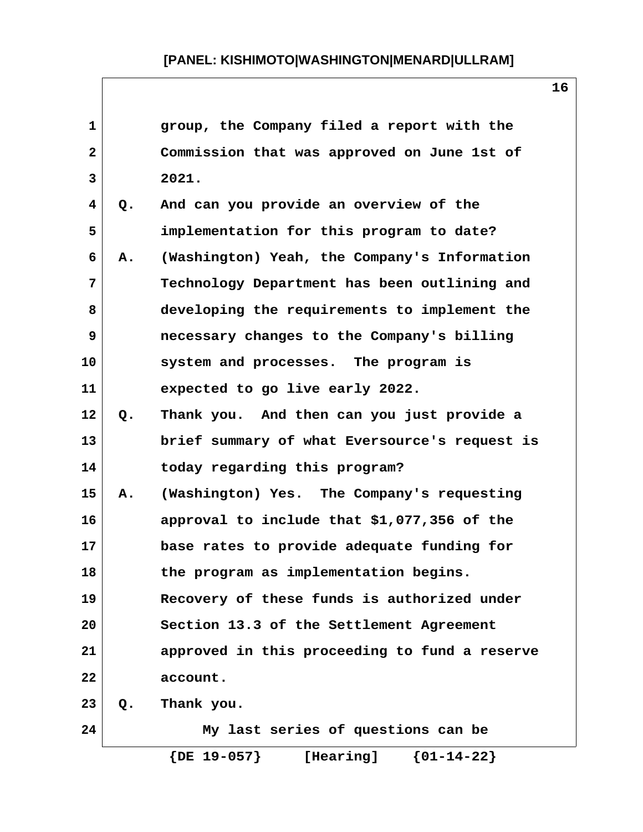| $\mathbf{1}$ |    | group, the Company filed a report with the    |
|--------------|----|-----------------------------------------------|
| $\mathbf{2}$ |    | Commission that was approved on June 1st of   |
| 3            |    | 2021.                                         |
| 4            | Q. | And can you provide an overview of the        |
| 5            |    | implementation for this program to date?      |
| 6            | Α. | (Washington) Yeah, the Company's Information  |
| 7            |    | Technology Department has been outlining and  |
| 8            |    | developing the requirements to implement the  |
| 9            |    | necessary changes to the Company's billing    |
| 10           |    | system and processes. The program is          |
| 11           |    | expected to go live early 2022.               |
| 12           | Q. | Thank you. And then can you just provide a    |
| 13           |    | brief summary of what Eversource's request is |
| 14           |    | today regarding this program?                 |
| 15           | Α. | (Washington) Yes. The Company's requesting    |
| 16           |    | approval to include that \$1,077,356 of the   |
| 17           |    | base rates to provide adequate funding for    |
| 18           |    | the program as implementation begins.         |
| 19           |    | Recovery of these funds is authorized under   |
| 20           |    | Section 13.3 of the Settlement Agreement      |
| 21           |    | approved in this proceeding to fund a reserve |
| 22           |    | account.                                      |
| 23           | Q. | Thank you.                                    |
| 24           |    | My last series of questions can be            |
|              |    | $\{DE\ 19-057\}$<br>${01-14-22}$<br>[Hearing] |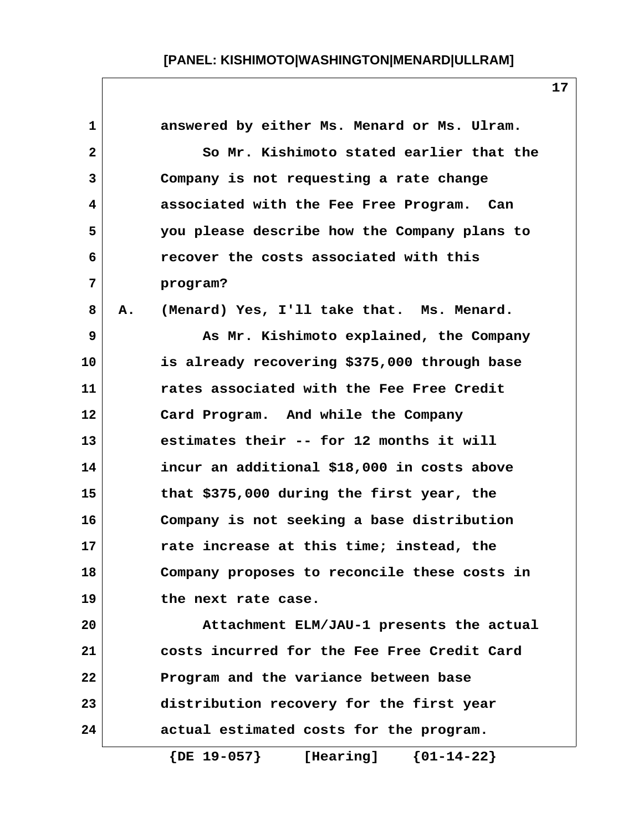| 1              |    | answered by either Ms. Menard or Ms. Ulram.   |
|----------------|----|-----------------------------------------------|
| $\mathbf{2}$   |    | So Mr. Kishimoto stated earlier that the      |
| 3              |    | Company is not requesting a rate change       |
| 4              |    | associated with the Fee Free Program. Can     |
| 5              |    | you please describe how the Company plans to  |
| 6              |    | recover the costs associated with this        |
| $\overline{7}$ |    | program?                                      |
| 8              | Α. | (Menard) Yes, I'll take that. Ms. Menard.     |
| 9              |    | As Mr. Kishimoto explained, the Company       |
| 10             |    | is already recovering \$375,000 through base  |
| 11             |    | rates associated with the Fee Free Credit     |
| 12             |    | Card Program. And while the Company           |
| 13             |    | estimates their -- for 12 months it will      |
| 14             |    | incur an additional \$18,000 in costs above   |
| 15             |    | that \$375,000 during the first year, the     |
| 16             |    | Company is not seeking a base distribution    |
| 17             |    | rate increase at this time; instead, the      |
| 18             |    | Company proposes to reconcile these costs in  |
| 19             |    | the next rate case.                           |
| 20             |    | Attachment ELM/JAU-1 presents the actual      |
| 21             |    | costs incurred for the Fee Free Credit Card   |
| 22             |    | Program and the variance between base         |
| 23             |    | distribution recovery for the first year      |
| 24             |    | actual estimated costs for the program.       |
|                |    | ${01-14-22}$<br>$\{DE\ 19-057\}$<br>[Hearing] |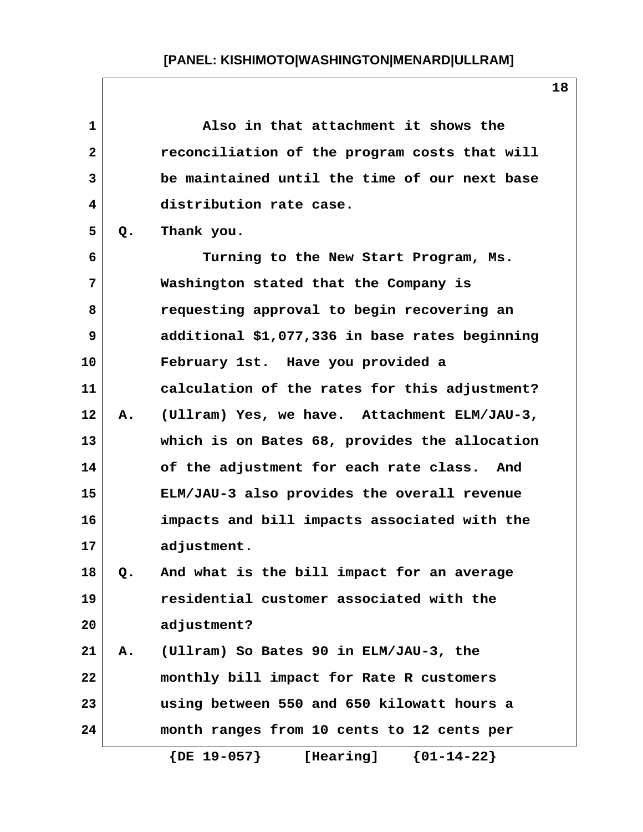| $\mathbf{1}$ |    | Also in that attachment it shows the           |
|--------------|----|------------------------------------------------|
| $\mathbf{2}$ |    | reconciliation of the program costs that will  |
| 3            |    | be maintained until the time of our next base  |
| 4            |    | distribution rate case.                        |
| 5            | Q. | Thank you.                                     |
| 6            |    | Turning to the New Start Program, Ms.          |
| 7            |    | Washington stated that the Company is          |
| 8            |    | requesting approval to begin recovering an     |
| 9            |    | additional \$1,077,336 in base rates beginning |
| 10           |    | February 1st. Have you provided a              |
| 11           |    | calculation of the rates for this adjustment?  |
| 12           | Α. | (Ullram) Yes, we have. Attachment ELM/JAU-3,   |
| 13           |    | which is on Bates 68, provides the allocation  |
| 14           |    | of the adjustment for each rate class. And     |
| 15           |    | ELM/JAU-3 also provides the overall revenue    |
| 16           |    | impacts and bill impacts associated with the   |
| 17           |    | adjustment.                                    |
| 18           | Q. | And what is the bill impact for an average     |
| 19           |    | residential customer associated with the       |
| 20           |    | adjustment?                                    |
| 21           | Α. | (Ullram) So Bates 90 in ELM/JAU-3, the         |
| 22           |    | monthly bill impact for Rate R customers       |
| 23           |    | using between 550 and 650 kilowatt hours a     |
| 24           |    | month ranges from 10 cents to 12 cents per     |
|              |    | $\{DE\ 19-057\}$<br>${01-14-22}$<br>[Hearing]  |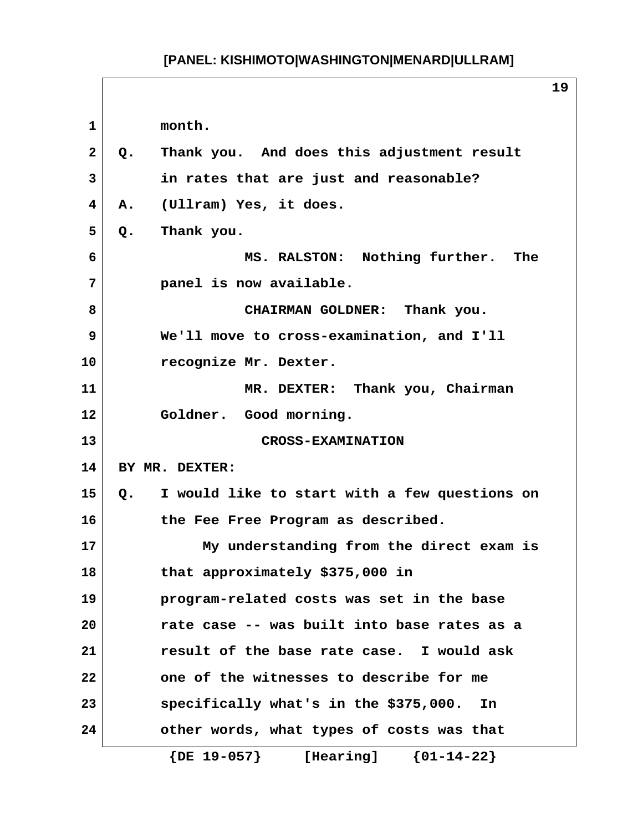**1 month. 2 Q. Thank you. And does this adjustment result 3 in rates that are just and reasonable? 4 A. (Ullram) Yes, it does. 5 Q. Thank you. 6 MS. RALSTON: Nothing further. The 7 panel is now available. 8 CHAIRMAN GOLDNER: Thank you. 9 We'll move to cross-examination, and I'll 10 recognize Mr. Dexter. 11 MR. DEXTER: Thank you, Chairman 12 Goldner. Good morning. 13 CROSS-EXAMINATION 14 BY MR. DEXTER: 15 Q. I would like to start with a few questions on 16 the Fee Free Program as described. 17 My understanding from the direct exam is 18 that approximately \$375,000 in 19 program-related costs was set in the base 20 rate case -- was built into base rates as a 21 result of the base rate case. I would ask 22 one of the witnesses to describe for me 23 specifically what's in the \$375,000. In 24 other words, what types of costs was that {DE 19-057} [Hearing] {01-14-22}**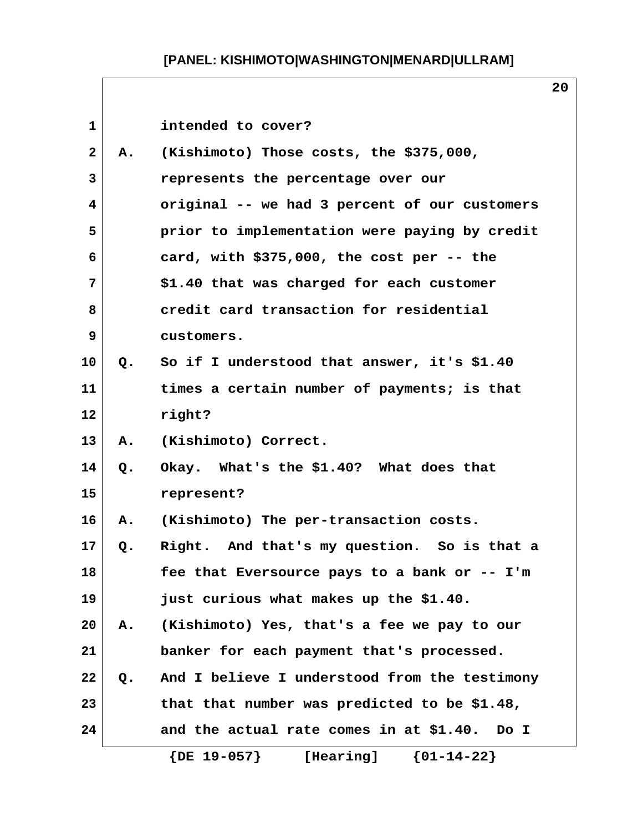| $\mathbf{1}$   |               | intended to cover?                            |
|----------------|---------------|-----------------------------------------------|
| $\overline{2}$ | <b>A.</b>     | (Kishimoto) Those costs, the \$375,000,       |
| 3              |               | represents the percentage over our            |
| 4              |               | original -- we had 3 percent of our customers |
| 5              |               | prior to implementation were paying by credit |
| 6              |               | card, with $$375,000$ , the cost per -- the   |
| 7              |               | \$1.40 that was charged for each customer     |
| 8              |               | credit card transaction for residential       |
| 9              |               | customers.                                    |
| 10             | $Q_{\bullet}$ | So if I understood that answer, it's \$1.40   |
| 11             |               | times a certain number of payments; is that   |
| 12             |               | right?                                        |
| 13             | Α.            | (Kishimoto) Correct.                          |
| 14             | Q.            | Okay. What's the \$1.40? What does that       |
| 15             |               | represent?                                    |
| 16             | <b>A.</b>     | (Kishimoto) The per-transaction costs.        |
| 17             | Q.            | Right. And that's my question. So is that a   |
| 18             |               | fee that Eversource pays to a bank or -- I'm  |
| 19             |               | just curious what makes up the \$1.40.        |
| 20             | Α.            | (Kishimoto) Yes, that's a fee we pay to our   |
| 21             |               | banker for each payment that's processed.     |
| 22             | $Q$ .         | And I believe I understood from the testimony |
| 23             |               | that that number was predicted to be \$1.48,  |
| 24             |               | and the actual rate comes in at \$1.40. Do I  |
|                |               | [Hearing] ${01-14-22}$<br>$\{DE\ 19-057\}$    |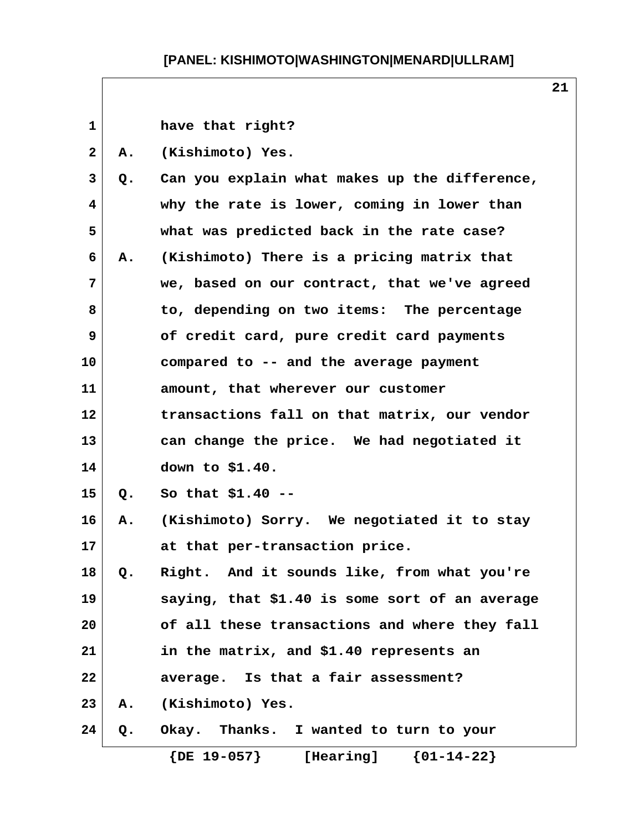| $\mathbf{1}$ |    | have that right?                               |
|--------------|----|------------------------------------------------|
| $\mathbf{2}$ | Α. | (Kishimoto) Yes.                               |
| 3            | Q. | Can you explain what makes up the difference,  |
| 4            |    | why the rate is lower, coming in lower than    |
| 5            |    | what was predicted back in the rate case?      |
| 6            | А. | (Kishimoto) There is a pricing matrix that     |
| 7            |    | we, based on our contract, that we've agreed   |
| 8            |    | to, depending on two items: The percentage     |
| 9            |    | of credit card, pure credit card payments      |
| 10           |    | compared to -- and the average payment         |
| 11           |    | amount, that wherever our customer             |
| 12           |    | transactions fall on that matrix, our vendor   |
| 13           |    | can change the price. We had negotiated it     |
| 14           |    | down to \$1.40.                                |
| 15           | Q. | So that $$1.40$ --                             |
| 16           | А. | (Kishimoto) Sorry. We negotiated it to stay    |
| 17           |    | at that per-transaction price.                 |
| 18           | Q. | Right. And it sounds like, from what you're    |
| 19           |    | saying, that \$1.40 is some sort of an average |
| 20           |    | of all these transactions and where they fall  |
| 21           |    | in the matrix, and \$1.40 represents an        |
| 22           |    | average. Is that a fair assessment?            |
| 23           | Α. | (Kishimoto) Yes.                               |
| 24           | Q. | Okay. Thanks. I wanted to turn to your         |
|              |    | $\{DE 19-057\}$ [Hearing] $\{01-14-22\}$       |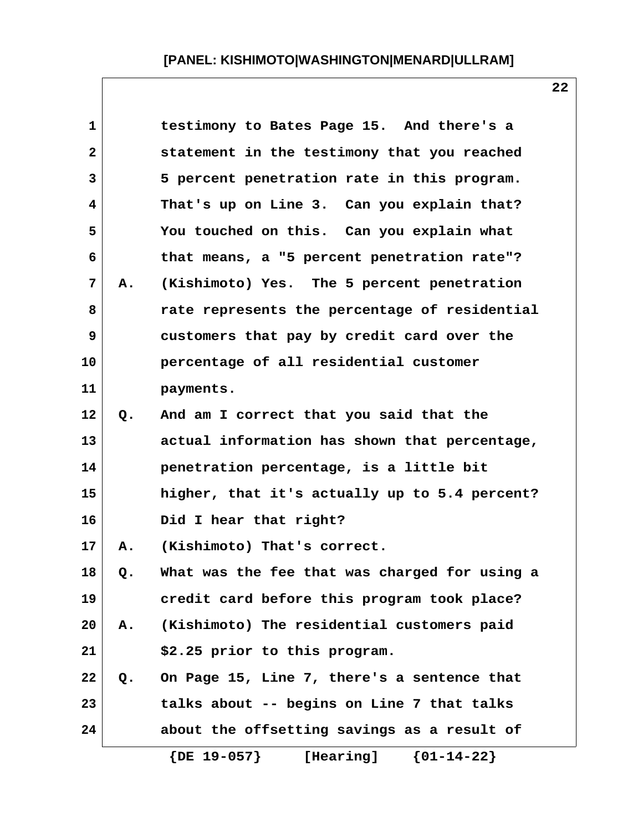| $\mathbf 1$  |    | testimony to Bates Page 15. And there's a     |
|--------------|----|-----------------------------------------------|
| $\mathbf{2}$ |    | statement in the testimony that you reached   |
| 3            |    | 5 percent penetration rate in this program.   |
| 4            |    | That's up on Line 3. Can you explain that?    |
| 5            |    | You touched on this. Can you explain what     |
| 6            |    | that means, a "5 percent penetration rate"?   |
| 7            | Α. | (Kishimoto) Yes. The 5 percent penetration    |
| 8            |    | rate represents the percentage of residential |
| 9            |    | customers that pay by credit card over the    |
| 10           |    | percentage of all residential customer        |
| 11           |    | payments.                                     |
| 12           | Q. | And am I correct that you said that the       |
| 13           |    | actual information has shown that percentage, |
| 14           |    | penetration percentage, is a little bit       |
| 15           |    | higher, that it's actually up to 5.4 percent? |
| 16           |    | Did I hear that right?                        |
| 17           | Α. | (Kishimoto) That's correct.                   |
| 18           | Q. | What was the fee that was charged for using a |
| 19           |    | credit card before this program took place?   |
| 20           | Α. | (Kishimoto) The residential customers paid    |
| 21           |    | \$2.25 prior to this program.                 |
| 22           | Q. | On Page 15, Line 7, there's a sentence that   |
| 23           |    | talks about -- begins on Line 7 that talks    |
| 24           |    | about the offsetting savings as a result of   |
|              |    | $\{DE\ 19-057\}$<br>${01-14-22}$<br>[Hearing] |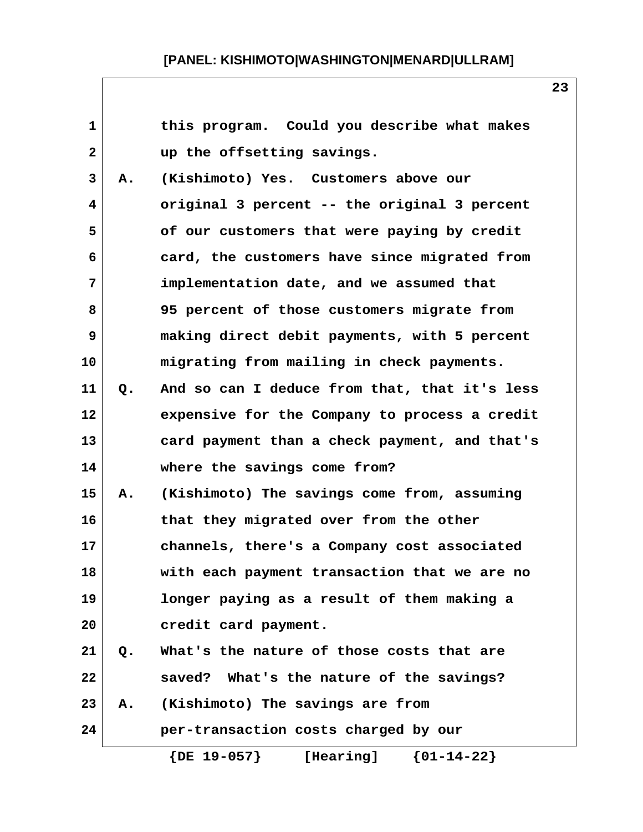| $\mathbf{1}$ |    | this program. Could you describe what makes     |
|--------------|----|-------------------------------------------------|
| 2            |    | up the offsetting savings.                      |
| 3            | Α. | (Kishimoto) Yes. Customers above our            |
| 4            |    | original 3 percent -- the original 3 percent    |
| 5            |    | of our customers that were paying by credit     |
| 6            |    | card, the customers have since migrated from    |
| 7            |    | implementation date, and we assumed that        |
| 8            |    | 95 percent of those customers migrate from      |
| 9            |    | making direct debit payments, with 5 percent    |
| 10           |    | migrating from mailing in check payments.       |
| 11           | Q. | And so can I deduce from that, that it's less   |
| 12           |    | expensive for the Company to process a credit   |
| 13           |    | card payment than a check payment, and that's   |
| 14           |    | where the savings come from?                    |
| 15           | Α. | (Kishimoto) The savings come from, assuming     |
| 16           |    | that they migrated over from the other          |
| 17           |    | channels, there's a Company cost associated     |
| 18           |    | with each payment transaction that we are no    |
| 19           |    | longer paying as a result of them making a      |
| 20           |    | credit card payment.                            |
| 21           | Q. | What's the nature of those costs that are       |
| 22           |    | saved? What's the nature of the savings?        |
| 23           | Α. | (Kishimoto) The savings are from                |
| 24           |    | per-transaction costs charged by our            |
|              |    | ${01-14-22}$<br>$\{$ DE $19-057\}$<br>[Hearing] |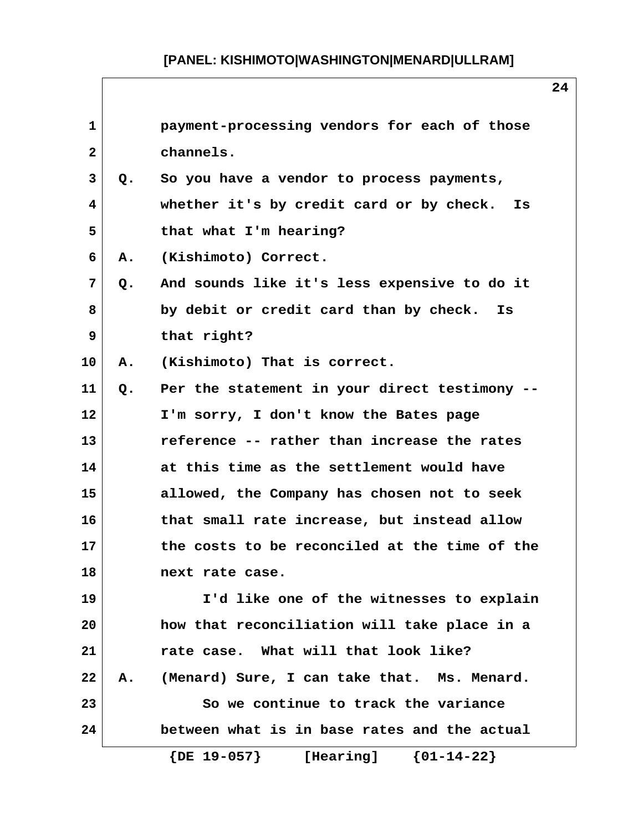| $\mathbf{1}$ |    | payment-processing vendors for each of those  |
|--------------|----|-----------------------------------------------|
| $\mathbf{2}$ |    | channels.                                     |
| 3            | Q. | So you have a vendor to process payments,     |
| 4            |    | whether it's by credit card or by check. Is   |
| 5            |    | that what I'm hearing?                        |
| 6            | Α. | (Kishimoto) Correct.                          |
| 7            | Q. | And sounds like it's less expensive to do it  |
| 8            |    | by debit or credit card than by check. Is     |
| 9            |    | that right?                                   |
| 10           | Α. | (Kishimoto) That is correct.                  |
| 11           | Q. | Per the statement in your direct testimony -- |
| 12           |    | I'm sorry, I don't know the Bates page        |
| 13           |    | reference -- rather than increase the rates   |
| 14           |    | at this time as the settlement would have     |
| 15           |    | allowed, the Company has chosen not to seek   |
| 16           |    | that small rate increase, but instead allow   |
| 17           |    | the costs to be reconciled at the time of the |
| 18           |    | next rate case.                               |
| 19           |    | I'd like one of the witnesses to explain      |
| 20           |    | how that reconciliation will take place in a  |
| 21           |    | rate case. What will that look like?          |
| 22           | Α. | (Menard) Sure, I can take that. Ms. Menard.   |
| 23           |    | So we continue to track the variance          |
| 24           |    | between what is in base rates and the actual  |
|              |    | $\{DE\ 19-057\}$<br>${01-14-22}$<br>[Hearing] |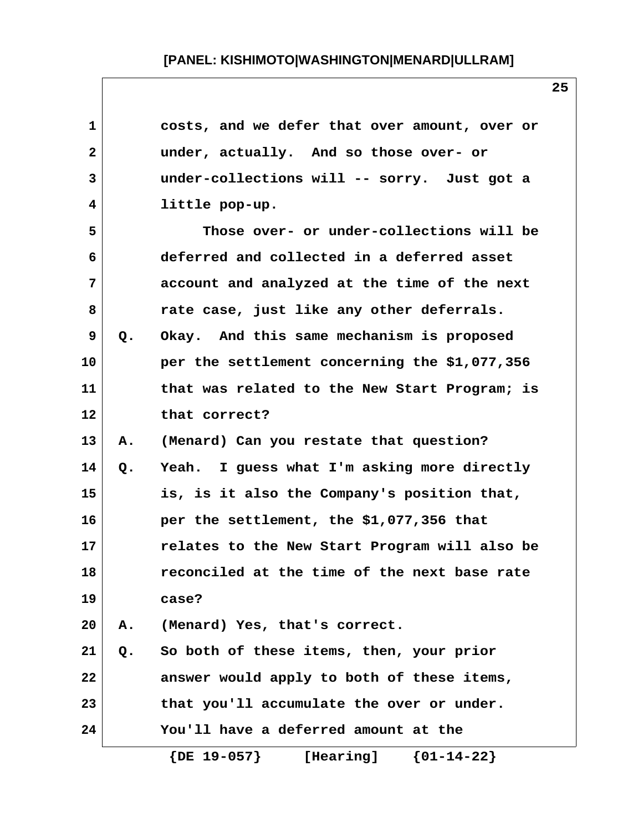| 1  |    | costs, and we defer that over amount, over or |
|----|----|-----------------------------------------------|
| 2  |    | under, actually. And so those over- or        |
| 3  |    | under-collections will -- sorry. Just got a   |
| 4  |    | little pop-up.                                |
| 5  |    | Those over- or under-collections will be      |
| 6  |    | deferred and collected in a deferred asset    |
| 7  |    | account and analyzed at the time of the next  |
| 8  |    | rate case, just like any other deferrals.     |
| 9  | Q. | Okay. And this same mechanism is proposed     |
| 10 |    | per the settlement concerning the \$1,077,356 |
| 11 |    | that was related to the New Start Program; is |
| 12 |    | that correct?                                 |
| 13 | Α. | (Menard) Can you restate that question?       |
| 14 | Q. | Yeah. I guess what I'm asking more directly   |
| 15 |    | is, is it also the Company's position that,   |
| 16 |    | per the settlement, the \$1,077,356 that      |
| 17 |    | relates to the New Start Program will also be |
| 18 |    | reconciled at the time of the next base rate  |
| 19 |    | case?                                         |
| 20 | Α. | (Menard) Yes, that's correct.                 |
| 21 | Q. | So both of these items, then, your prior      |
| 22 |    | answer would apply to both of these items,    |
| 23 |    | that you'll accumulate the over or under.     |
| 24 |    | You'll have a deferred amount at the          |
|    |    | ${01-14-22}$<br>$\{DE\ 19-057\}$<br>[Hearing] |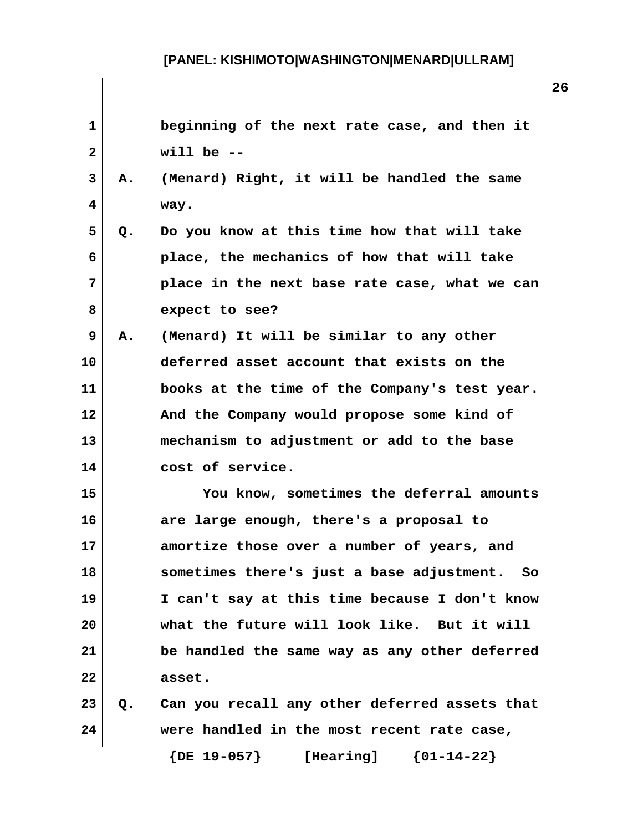| $\mathbf{1}$   |    | beginning of the next rate case, and then it     |
|----------------|----|--------------------------------------------------|
| $\overline{2}$ |    | will be $-$                                      |
| 3              | Α. | (Menard) Right, it will be handled the same      |
| 4              |    | way.                                             |
| 5              | Q. | Do you know at this time how that will take      |
| 6              |    | place, the mechanics of how that will take       |
| 7              |    | place in the next base rate case, what we can    |
| 8              |    | expect to see?                                   |
| 9              | Α. | (Menard) It will be similar to any other         |
| 10             |    | deferred asset account that exists on the        |
| 11             |    | books at the time of the Company's test year.    |
| 12             |    | And the Company would propose some kind of       |
| 13             |    | mechanism to adjustment or add to the base       |
| 14             |    | cost of service.                                 |
| 15             |    | You know, sometimes the deferral amounts         |
| 16             |    | are large enough, there's a proposal to          |
| 17             |    | amortize those over a number of years, and       |
| 18             |    | sometimes there's just a base adjustment.<br>So  |
| 19             |    | I can't say at this time because I don't know    |
| 20             |    | what the future will look like. But it will      |
| 21             |    | be handled the same way as any other deferred    |
| 22             |    | asset.                                           |
| 23             |    | Q. Can you recall any other deferred assets that |
| 24             |    | were handled in the most recent rate case,       |
|                |    | $\{DE\ 19-057\}$<br>${01-14-22}$<br>[Hearing]    |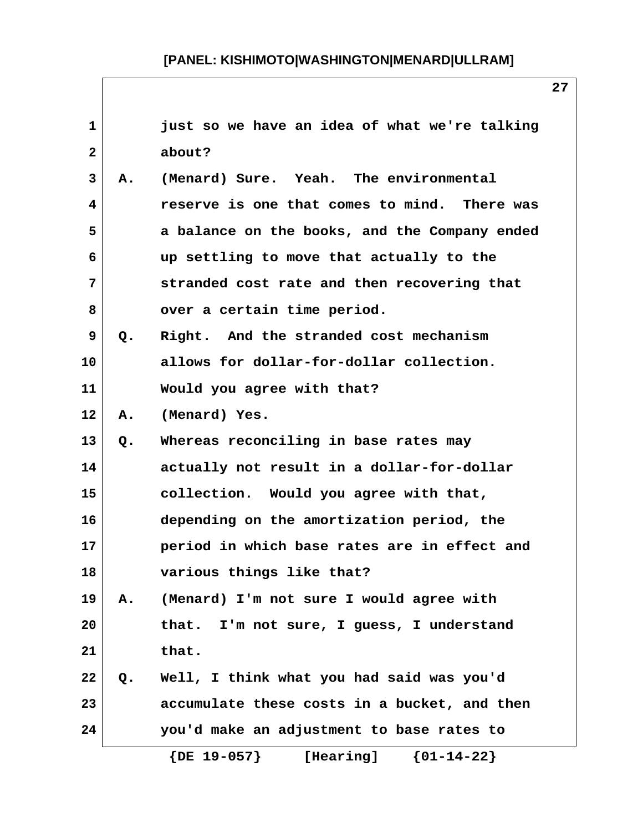| $\mathbf{1}$ |    | just so we have an idea of what we're talking |
|--------------|----|-----------------------------------------------|
| $\mathbf{2}$ |    | about?                                        |
| 3            | Α. | (Menard) Sure. Yeah. The environmental        |
| 4            |    | reserve is one that comes to mind. There was  |
| 5            |    | a balance on the books, and the Company ended |
| 6            |    | up settling to move that actually to the      |
| 7            |    | stranded cost rate and then recovering that   |
| 8            |    | over a certain time period.                   |
| 9            | Q. | Right. And the stranded cost mechanism        |
| 10           |    | allows for dollar-for-dollar collection.      |
| 11           |    | Would you agree with that?                    |
| 12           | Α. | (Menard) Yes.                                 |
| 13           | Q. | Whereas reconciling in base rates may         |
| 14           |    | actually not result in a dollar-for-dollar    |
| 15           |    | collection. Would you agree with that,        |
| 16           |    | depending on the amortization period, the     |
| 17           |    | period in which base rates are in effect and  |
| 18           |    | various things like that?                     |
| 19           | Α. | (Menard) I'm not sure I would agree with      |
| 20           |    | I'm not sure, I guess, I understand<br>that.  |
| 21           |    | that.                                         |
| 22           | Q. | Well, I think what you had said was you'd     |
| 23           |    | accumulate these costs in a bucket, and then  |
| 24           |    | you'd make an adjustment to base rates to     |
|              |    | $\{DE\ 19-057\}$<br>${01-14-22}$<br>[Hearing] |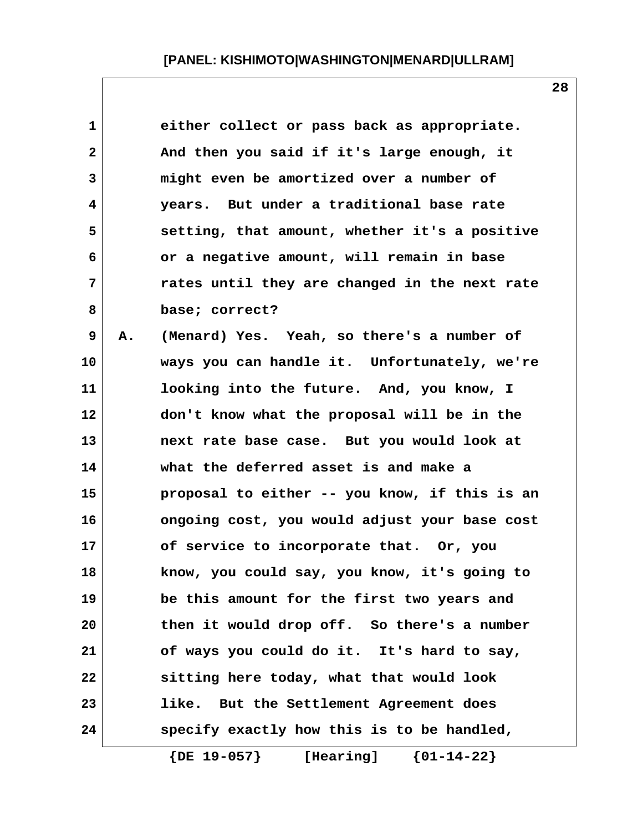| $\mathbf 1$  |    | either collect or pass back as appropriate.   |
|--------------|----|-----------------------------------------------|
| $\mathbf{2}$ |    | And then you said if it's large enough, it    |
| 3            |    | might even be amortized over a number of      |
| 4            |    | years. But under a traditional base rate      |
| 5            |    | setting, that amount, whether it's a positive |
| 6            |    | or a negative amount, will remain in base     |
| 7            |    | rates until they are changed in the next rate |
| 8            |    | base; correct?                                |
| 9            | Α. | (Menard) Yes. Yeah, so there's a number of    |
| 10           |    | ways you can handle it. Unfortunately, we're  |
| 11           |    | looking into the future. And, you know, I     |
| 12           |    | don't know what the proposal will be in the   |
| 13           |    | next rate base case. But you would look at    |
| 14           |    | what the deferred asset is and make a         |
| 15           |    | proposal to either -- you know, if this is an |
| 16           |    | ongoing cost, you would adjust your base cost |
| 17           |    | of service to incorporate that. Or, you       |
| 18           |    | know, you could say, you know, it's going to  |
| 19           |    | be this amount for the first two years and    |
| 20           |    | then it would drop off. So there's a number   |
| 21           |    | of ways you could do it. It's hard to say,    |
| 22           |    | sitting here today, what that would look      |
| 23           |    | like. But the Settlement Agreement does       |
| 24           |    | specify exactly how this is to be handled,    |

 **{DE 19-057} [Hearing] {01-14-22}**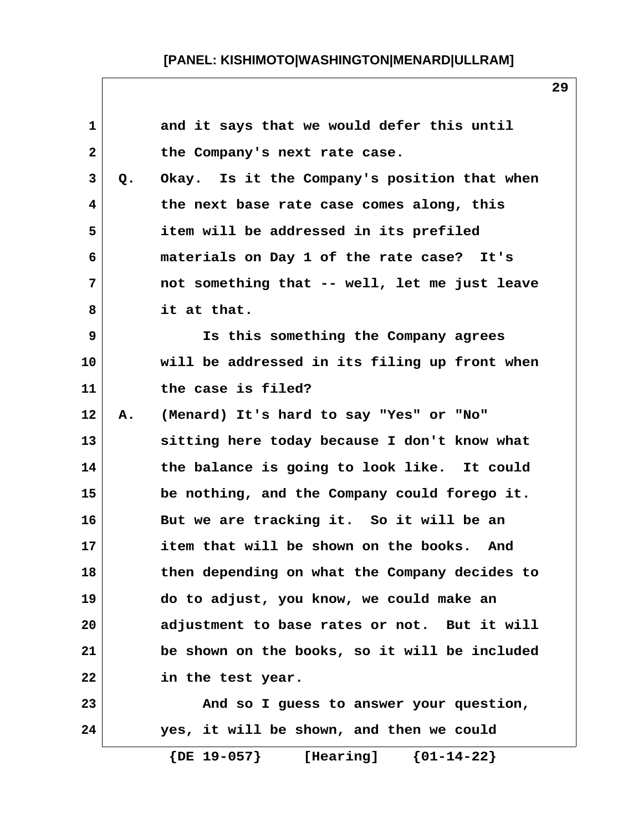| 1            |    | and it says that we would defer this until    |
|--------------|----|-----------------------------------------------|
| $\mathbf{2}$ |    | the Company's next rate case.                 |
| 3            | Q. | Okay. Is it the Company's position that when  |
| 4            |    | the next base rate case comes along, this     |
| 5            |    | item will be addressed in its prefiled        |
| 6            |    | materials on Day 1 of the rate case? It's     |
| 7            |    | not something that -- well, let me just leave |
| 8            |    | it at that.                                   |
| 9            |    | Is this something the Company agrees          |
| 10           |    | will be addressed in its filing up front when |
| 11           |    | the case is filed?                            |
| 12           | Α. | (Menard) It's hard to say "Yes" or "No"       |
| 13           |    | sitting here today because I don't know what  |
| 14           |    | the balance is going to look like. It could   |
| 15           |    | be nothing, and the Company could forego it.  |
| 16           |    | But we are tracking it. So it will be an      |
| 17           |    | item that will be shown on the books. And     |
| 18           |    | then depending on what the Company decides to |
| 19           |    | do to adjust, you know, we could make an      |
| 20           |    | adjustment to base rates or not. But it will  |
| 21           |    | be shown on the books, so it will be included |
| 22           |    | in the test year.                             |
| 23           |    | And so I guess to answer your question,       |
| 24           |    | yes, it will be shown, and then we could      |
|              |    | $\{DE\ 19-057\}$<br>${01-14-22}$<br>[Hearing] |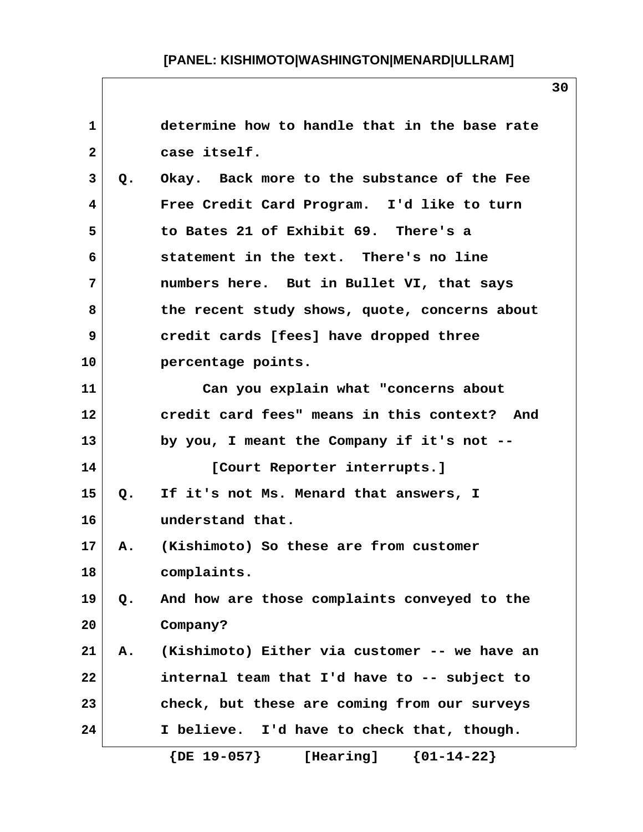| $\mathbf{1}$   |       | determine how to handle that in the base rate       |
|----------------|-------|-----------------------------------------------------|
| $\overline{2}$ |       | case itself.                                        |
| 3              | Q.    | Okay. Back more to the substance of the Fee         |
| 4              |       | Free Credit Card Program. I'd like to turn          |
| 5              |       | to Bates 21 of Exhibit 69. There's a                |
| 6              |       | statement in the text. There's no line              |
| 7              |       | numbers here. But in Bullet VI, that says           |
| 8              |       | the recent study shows, quote, concerns about       |
| 9              |       | credit cards [fees] have dropped three              |
| 10             |       | percentage points.                                  |
| 11             |       | Can you explain what "concerns about                |
| 12             |       | credit card fees" means in this context? And        |
| 13             |       | by you, I meant the Company if it's not --          |
| 14             |       | [Court Reporter interrupts.]                        |
| 15             | Q.    | If it's not Ms. Menard that answers, I              |
| 16             |       | understand that.                                    |
| 17             | А.    | (Kishimoto) So these are from customer              |
| 18             |       | complaints.                                         |
| 19             | $Q$ . | And how are those complaints conveyed to the        |
| 20             |       | Company?                                            |
| 21             | Α.    | (Kishimoto) Either via customer -- we have an       |
| 22             |       | internal team that I'd have to -- subject to        |
| 23             |       | check, but these are coming from our surveys        |
| 24             |       | I believe. I'd have to check that, though.          |
|                |       | $\{DE\ 19-057\}$<br>$\{01 - 14 - 22\}$<br>[Hearing] |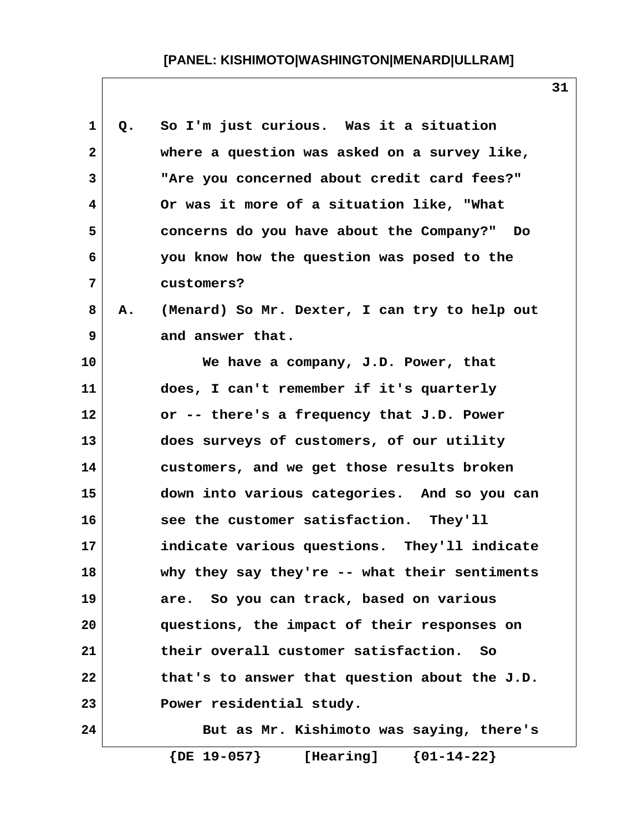| 1            | Q. | So I'm just curious. Was it a situation       |
|--------------|----|-----------------------------------------------|
| $\mathbf{2}$ |    | where a question was asked on a survey like,  |
| 3            |    | "Are you concerned about credit card fees?"   |
| 4            |    | Or was it more of a situation like, "What     |
| 5            |    | concerns do you have about the Company?" Do   |
| 6            |    | you know how the question was posed to the    |
| 7            |    | customers?                                    |
| 8            | Α. | (Menard) So Mr. Dexter, I can try to help out |
| 9            |    | and answer that.                              |
| 10           |    | We have a company, J.D. Power, that           |
| 11           |    | does, I can't remember if it's quarterly      |
| 12           |    | or -- there's a frequency that J.D. Power     |
| 13           |    | does surveys of customers, of our utility     |
| 14           |    | customers, and we get those results broken    |
| 15           |    | down into various categories. And so you can  |
| 16           |    | see the customer satisfaction. They'll        |
| 17           |    | indicate various questions. They'll indicate  |
| 18           |    | why they say they're -- what their sentiments |
| 19           |    | are. So you can track, based on various       |
| 20           |    | questions, the impact of their responses on   |
| 21           |    | their overall customer satisfaction. So       |
| 22           |    | that's to answer that question about the J.D. |
| 23           |    | Power residential study.                      |
| 24           |    | But as Mr. Kishimoto was saying, there's      |
|              |    | $\{DE 19-057\}$<br>[Hearing] ${01-14-22}$     |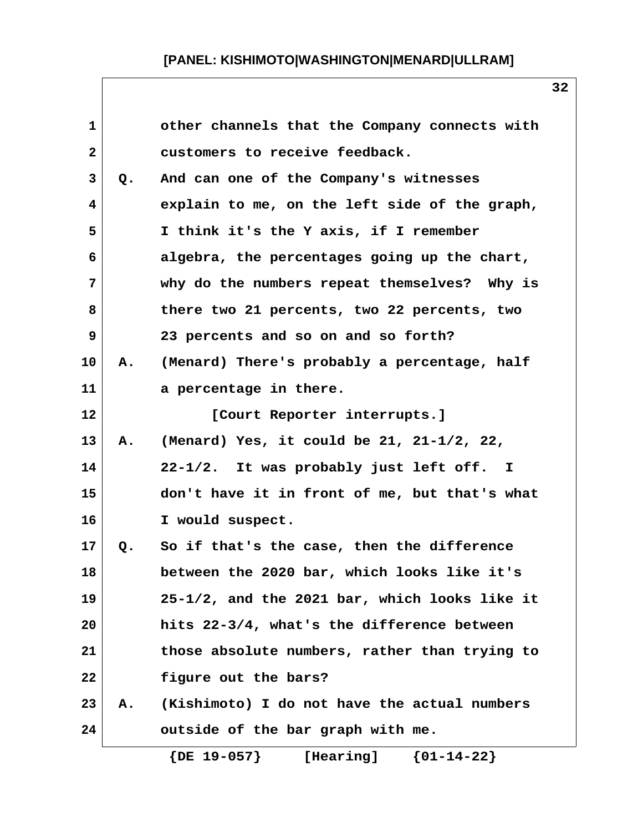| 1            |    | other channels that the Company connects with      |
|--------------|----|----------------------------------------------------|
| $\mathbf{2}$ |    | customers to receive feedback.                     |
| 3            | Q. | And can one of the Company's witnesses             |
| 4            |    | explain to me, on the left side of the graph,      |
| 5            |    | I think it's the Y axis, if I remember             |
| 6            |    | algebra, the percentages going up the chart,       |
| 7            |    | why do the numbers repeat themselves? Why is       |
| 8            |    | there two 21 percents, two 22 percents, two        |
| 9            |    | 23 percents and so on and so forth?                |
| 10           | Α. | (Menard) There's probably a percentage, half       |
| 11           |    | a percentage in there.                             |
| 12           |    | [Court Reporter interrupts.]                       |
| 13           | Α. | (Menard) Yes, it could be $21$ , $21-1/2$ , $22$ , |
| 14           |    | 22-1/2. It was probably just left off. I           |
| 15           |    | don't have it in front of me, but that's what      |
| 16           |    | I would suspect.                                   |
| 17           | Q. | So if that's the case, then the difference         |
| 18           |    | between the 2020 bar, which looks like it's        |
| 19           |    | 25-1/2, and the 2021 bar, which looks like it      |
| 20           |    | hits 22-3/4, what's the difference between         |
| 21           |    | those absolute numbers, rather than trying to      |
| 22           |    | figure out the bars?                               |
| 23           | Α. | (Kishimoto) I do not have the actual numbers       |
| 24           |    | outside of the bar graph with me.                  |
|              |    | $\{DE\ 19-057\}$<br>${01-14-22}$<br>[Hearing]      |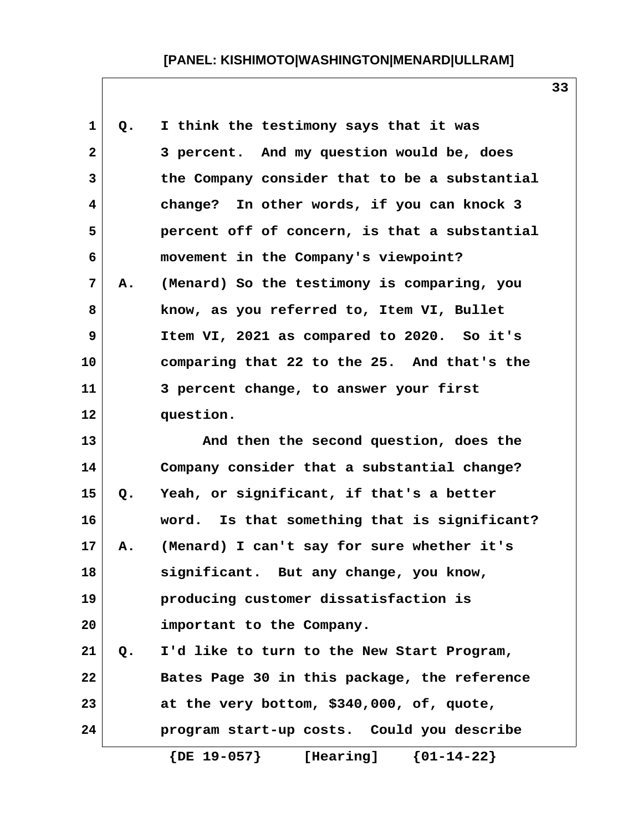| $\mathbf 1$    | Q. | I think the testimony says that it was        |
|----------------|----|-----------------------------------------------|
| $\overline{a}$ |    | 3 percent. And my question would be, does     |
| 3              |    | the Company consider that to be a substantial |
| 4              |    | change? In other words, if you can knock 3    |
| 5              |    | percent off of concern, is that a substantial |
| 6              |    | movement in the Company's viewpoint?          |
| $\overline{7}$ | Α. | (Menard) So the testimony is comparing, you   |
| 8              |    | know, as you referred to, Item VI, Bullet     |
| 9              |    | Item VI, 2021 as compared to 2020. So it's    |
| 10             |    | comparing that 22 to the 25. And that's the   |
| 11             |    | 3 percent change, to answer your first        |
| 12             |    | question.                                     |
| 13             |    | And then the second question, does the        |
| 14             |    | Company consider that a substantial change?   |
| 15             | Q. | Yeah, or significant, if that's a better      |
| 16             |    | word. Is that something that is significant?  |
| 17             | Α. | (Menard) I can't say for sure whether it's    |
| 18             |    | significant. But any change, you know,        |
| 19             |    | producing customer dissatisfaction is         |
| 20             |    | important to the Company.                     |
| 21             | Q. | I'd like to turn to the New Start Program,    |
| 22             |    | Bates Page 30 in this package, the reference  |
| 23             |    | at the very bottom, \$340,000, of, quote,     |
| 24             |    | program start-up costs. Could you describe    |
|                |    | ${01-14-22}$<br>$\{DE\ 19-057\}$<br>[Hearing] |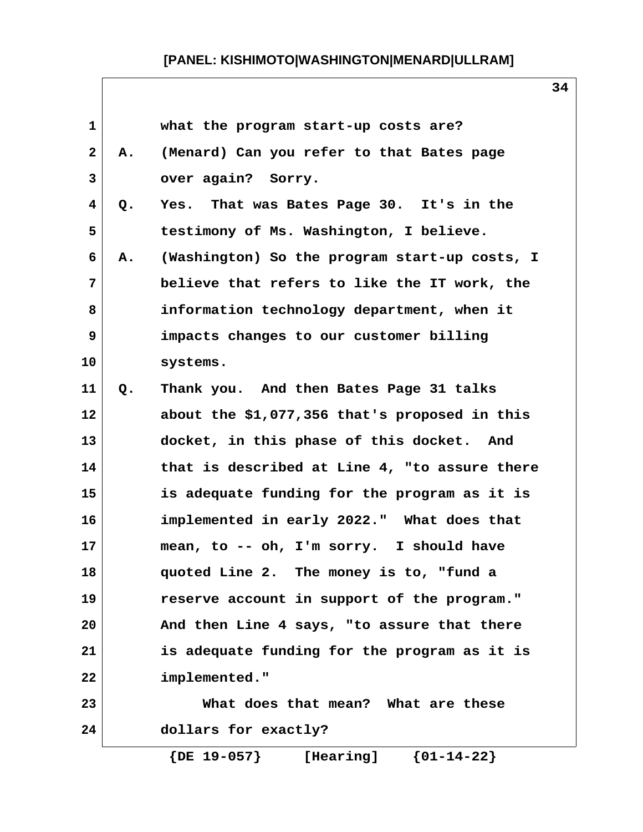| 1                       |    | what the program start-up costs are?            |
|-------------------------|----|-------------------------------------------------|
| $\mathbf{2}$            | Α. | (Menard) Can you refer to that Bates page       |
| 3                       |    | over again? Sorry.                              |
| $\overline{\mathbf{4}}$ | Q. | Yes. That was Bates Page 30. It's in the        |
| 5                       |    | testimony of Ms. Washington, I believe.         |
| 6                       | А. | (Washington) So the program start-up costs, I   |
| 7                       |    | believe that refers to like the IT work, the    |
| 8                       |    | information technology department, when it      |
| 9                       |    | impacts changes to our customer billing         |
| 10                      |    | systems.                                        |
| 11                      | Q. | Thank you. And then Bates Page 31 talks         |
| 12                      |    | about the \$1,077,356 that's proposed in this   |
| 13                      |    | docket, in this phase of this docket. And       |
| 14                      |    | that is described at Line 4, "to assure there   |
| 15                      |    | is adequate funding for the program as it is    |
| 16                      |    | implemented in early 2022." What does that      |
| 17                      |    | mean, to -- oh, I'm sorry. I should have        |
| 18                      |    | quoted Line 2. The money is to, "fund a         |
| 19                      |    | reserve account in support of the program."     |
| 20                      |    | And then Line 4 says, "to assure that there     |
| 21                      |    | is adequate funding for the program as it is    |
| 22                      |    | implemented."                                   |
| 23                      |    | What does that mean? What are these             |
| 24                      |    | dollars for exactly?                            |
|                         |    | ${01-14-22}$<br>$\{$ DE $19-057\}$<br>[Hearing] |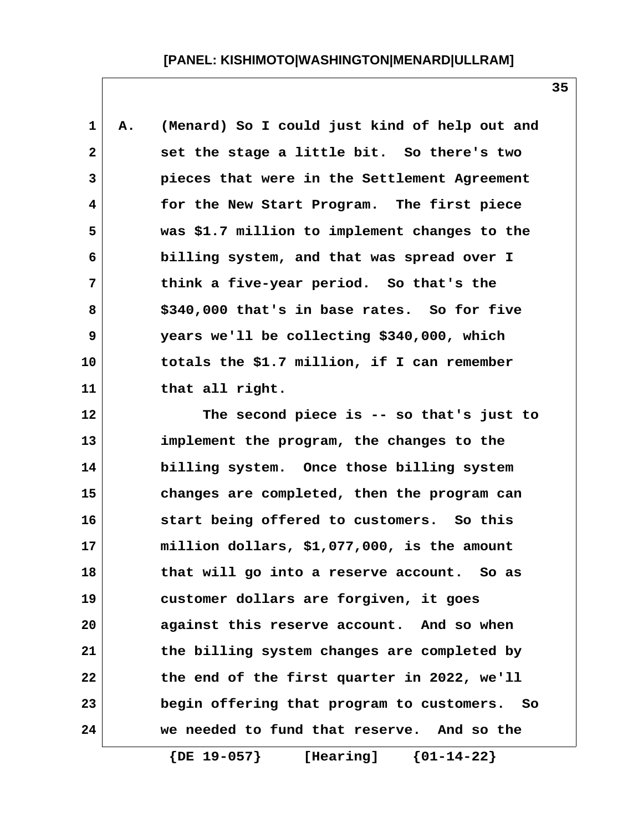| $\mathbf 1$  | Α. | (Menard) So I could just kind of help out and     |
|--------------|----|---------------------------------------------------|
| $\mathbf{2}$ |    | set the stage a little bit. So there's two        |
| 3            |    | pieces that were in the Settlement Agreement      |
| 4            |    | for the New Start Program. The first piece        |
| 5            |    | was \$1.7 million to implement changes to the     |
| 6            |    | billing system, and that was spread over I        |
| 7            |    | think a five-year period. So that's the           |
| 8            |    | \$340,000 that's in base rates. So for five       |
| 9            |    | years we'll be collecting \$340,000, which        |
| 10           |    | totals the \$1.7 million, if I can remember       |
| 11           |    | that all right.                                   |
| 12           |    | The second piece is -- so that's just to          |
| 13           |    | implement the program, the changes to the         |
| 14           |    | billing system. Once those billing system         |
| 15           |    | changes are completed, then the program can       |
| 16           |    | start being offered to customers. So this         |
| 17           |    | million dollars, \$1,077,000, is the amount       |
| 18           |    | that will go into a reserve account.<br>So as     |
| 19           |    | customer dollars are forgiven, it goes            |
| 20           |    | against this reserve account. And so when         |
| 21           |    | the billing system changes are completed by       |
| 22           |    | the end of the first quarter in 2022, we'll       |
| 23           |    | begin offering that program to customers.<br>- So |
| 24           |    | we needed to fund that reserve. And so the        |
|              |    | $\{$ DE $19-057\}$<br>${01-14-22}$<br>[Hearing]   |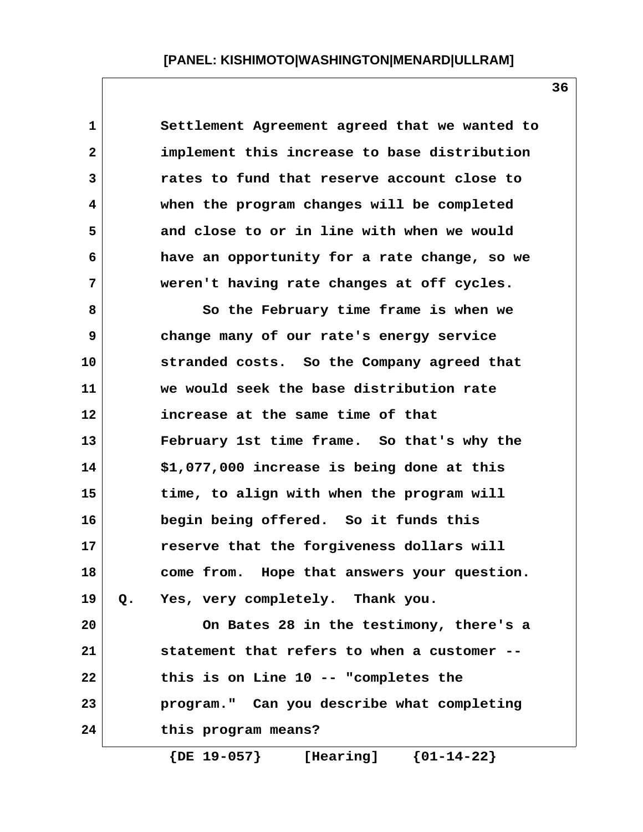**1 Settlement Agreement agreed that we wanted to 2 implement this increase to base distribution 3 rates to fund that reserve account close to 4 when the program changes will be completed 5 and close to or in line with when we would 6 have an opportunity for a rate change, so we 7 weren't having rate changes at off cycles. 8 So the February time frame is when we**

 **9 change many of our rate's energy service 10 stranded costs. So the Company agreed that 11 we would seek the base distribution rate 12 increase at the same time of that 13 February 1st time frame. So that's why the 14 \$1,077,000 increase is being done at this 15 time, to align with when the program will 16 begin being offered. So it funds this 17 reserve that the forgiveness dollars will 18 come from. Hope that answers your question. 19 Q. Yes, very completely. Thank you. 20 On Bates 28 in the testimony, there's a 21 statement that refers to when a customer -- 22 this is on Line 10 -- "completes the 23 program." Can you describe what completing 24 this program means?**

 **{DE 19-057} [Hearing] {01-14-22}**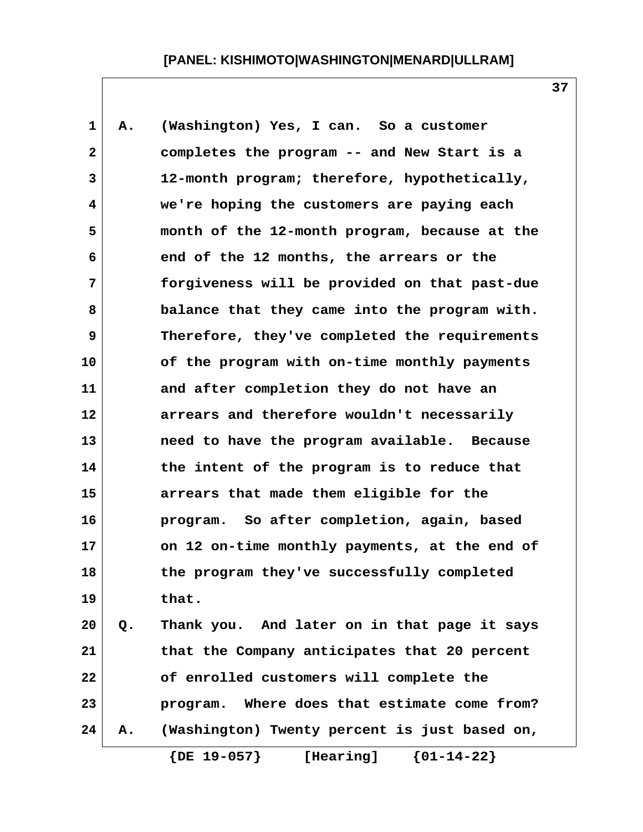**1 A. (Washington) Yes, I can. So a customer 2 completes the program -- and New Start is a 3 12-month program; therefore, hypothetically, 4 we're hoping the customers are paying each 5 month of the 12-month program, because at the 6 end of the 12 months, the arrears or the 7 forgiveness will be provided on that past-due 8 balance that they came into the program with. 9 Therefore, they've completed the requirements 10 of the program with on-time monthly payments 11 and after completion they do not have an 12 arrears and therefore wouldn't necessarily 13 need to have the program available. Because 14 the intent of the program is to reduce that 15 arrears that made them eligible for the 16 program. So after completion, again, based 17 on 12 on-time monthly payments, at the end of 18 the program they've successfully completed 19 that. 20 Q. Thank you. And later on in that page it says 21 that the Company anticipates that 20 percent 22 of enrolled customers will complete the 23 program. Where does that estimate come from? 24 A. (Washington) Twenty percent is just based on, {DE 19-057} [Hearing] {01-14-22}**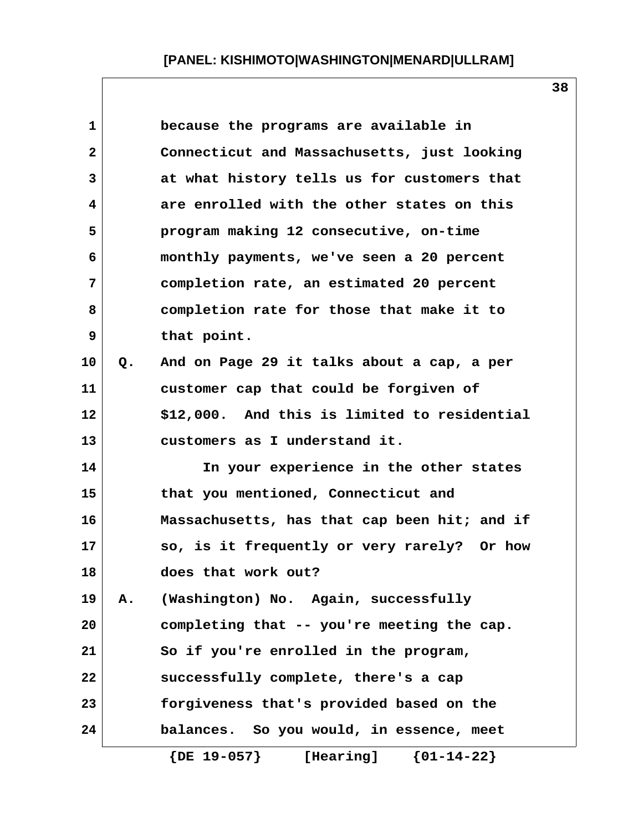| $\mathbf{1}$ |    | because the programs are available in         |
|--------------|----|-----------------------------------------------|
| $\mathbf{2}$ |    | Connecticut and Massachusetts, just looking   |
| 3            |    | at what history tells us for customers that   |
| 4            |    | are enrolled with the other states on this    |
| 5            |    | program making 12 consecutive, on-time        |
| 6            |    | monthly payments, we've seen a 20 percent     |
| 7            |    | completion rate, an estimated 20 percent      |
| 8            |    | completion rate for those that make it to     |
| 9            |    | that point.                                   |
| 10           | Q. | And on Page 29 it talks about a cap, a per    |
| 11           |    | customer cap that could be forgiven of        |
| 12           |    | \$12,000. And this is limited to residential  |
| 13           |    | customers as I understand it.                 |
| 14           |    | In your experience in the other states        |
| 15           |    | that you mentioned, Connecticut and           |
| 16           |    | Massachusetts, has that cap been hit; and if  |
| 17           |    | so, is it frequently or very rarely? Or how   |
| 18           |    | does that work out?                           |
| 19           | Α. | (Washington) No. Again, successfully          |
| 20           |    | completing that -- you're meeting the cap.    |
| 21           |    | So if you're enrolled in the program,         |
| 22           |    | successfully complete, there's a cap          |
| 23           |    | forgiveness that's provided based on the      |
| 24           |    | balances. So you would, in essence, meet      |
|              |    | $\{DE\ 19-057\}$<br>[Hearing]<br>${01-14-22}$ |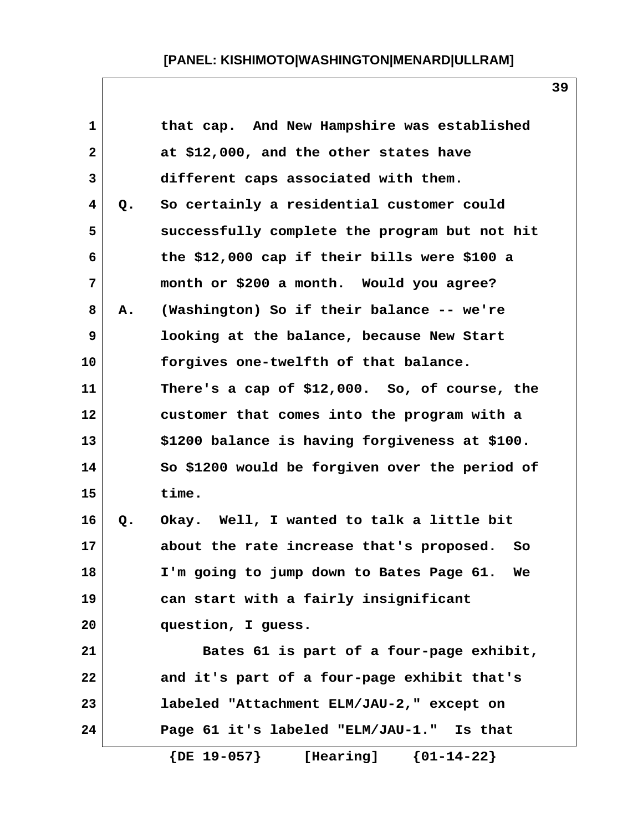| $\mathbf 1$  |    | that cap. And New Hampshire was established      |
|--------------|----|--------------------------------------------------|
| $\mathbf{2}$ |    | at \$12,000, and the other states have           |
| 3            |    | different caps associated with them.             |
| 4            | Q. | So certainly a residential customer could        |
| 5            |    | successfully complete the program but not hit    |
| 6            |    | the \$12,000 cap if their bills were \$100 a     |
| 7            |    | month or \$200 a month. Would you agree?         |
| 8            | Α. | (Washington) So if their balance -- we're        |
| 9            |    | looking at the balance, because New Start        |
| 10           |    | forgives one-twelfth of that balance.            |
| 11           |    | There's a cap of \$12,000. So, of course, the    |
| 12           |    | customer that comes into the program with a      |
| 13           |    | \$1200 balance is having forgiveness at \$100.   |
| 14           |    | So \$1200 would be forgiven over the period of   |
| 15           |    | time.                                            |
| 16           | Q. | Okay. Well, I wanted to talk a little bit        |
| 17           |    | about the rate increase that's proposed.<br>- So |
| 18           |    | I'm going to jump down to Bates Page 61.<br>We   |
| 19           |    | can start with a fairly insignificant            |
| 20           |    | question, I guess.                               |
| 21           |    | Bates 61 is part of a four-page exhibit,         |
| 22           |    | and it's part of a four-page exhibit that's      |
| 23           |    | labeled "Attachment ELM/JAU-2," except on        |
| 24           |    | Page 61 it's labeled "ELM/JAU-1." Is that        |
|              |    | $\{DE\ 19-057\}$<br>${01-14-22}$<br>[Hearing]    |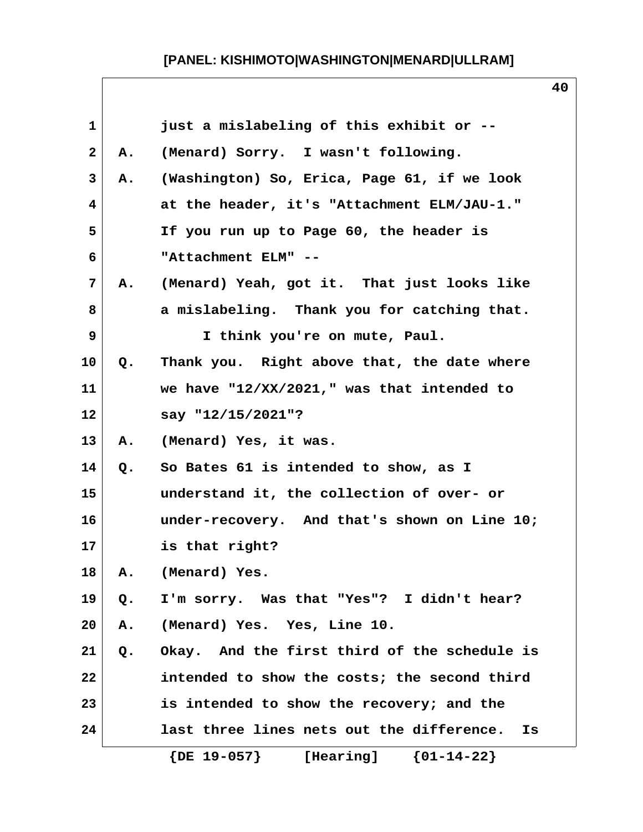| $\mathbf 1$  |    | just a mislabeling of this exhibit or --        |
|--------------|----|-------------------------------------------------|
| $\mathbf{2}$ | Α. | (Menard) Sorry. I wasn't following.             |
| 3            | А. | (Washington) So, Erica, Page 61, if we look     |
| 4            |    | at the header, it's "Attachment ELM/JAU-1."     |
| 5            |    | If you run up to Page 60, the header is         |
| 6            |    | "Attachment ELM" --                             |
| 7            | А. | (Menard) Yeah, got it. That just looks like     |
| 8            |    | a mislabeling. Thank you for catching that.     |
| 9            |    | I think you're on mute, Paul.                   |
| 10           | Q. | Thank you. Right above that, the date where     |
| 11           |    | we have $"12/XX/2021$ ," was that intended to   |
| 12           |    | say "12/15/2021"?                               |
| 13           | Α. | (Menard) Yes, it was.                           |
| 14           | Q. | So Bates 61 is intended to show, as I           |
| 15           |    | understand it, the collection of over- or       |
| 16           |    | under-recovery. And that's shown on Line 10;    |
| 17           |    | is that right?                                  |
| 18           | Α. | (Menard) Yes.                                   |
| 19           | Q. | I'm sorry. Was that "Yes"? I didn't hear?       |
| 20           | Α. | (Menard) Yes. Yes, Line 10.                     |
| 21           | Q. | Okay. And the first third of the schedule is    |
| 22           |    | intended to show the costs; the second third    |
| 23           |    | is intended to show the recovery; and the       |
| 24           |    | last three lines nets out the difference.<br>Is |
|              |    | [Hearing] ${01-14-22}$<br>$\{$ DE $19-057\}$    |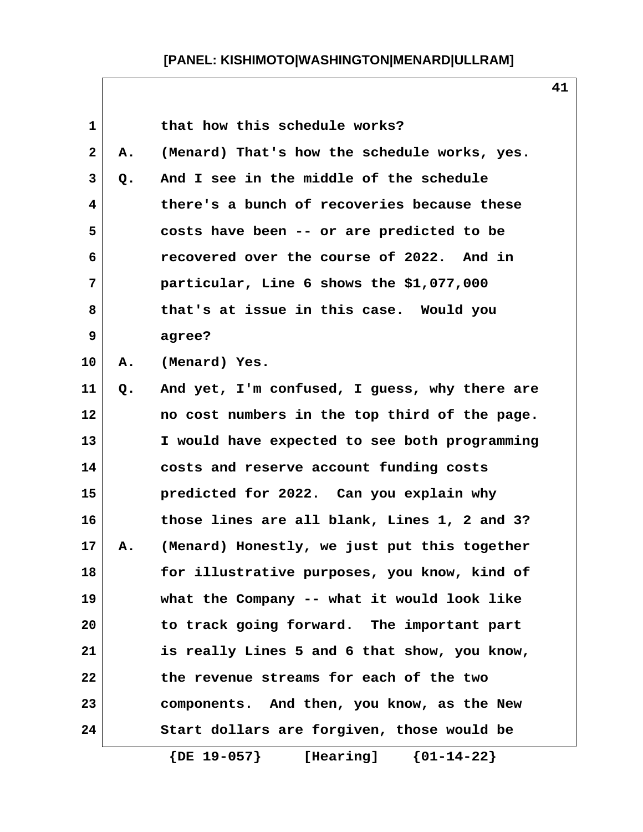| $\mathbf 1$  |    | that how this schedule works?                       |
|--------------|----|-----------------------------------------------------|
| $\mathbf{2}$ | Α. | (Menard) That's how the schedule works, yes.        |
| 3            | Q. | And I see in the middle of the schedule             |
| 4            |    | there's a bunch of recoveries because these         |
| 5            |    | costs have been -- or are predicted to be           |
| 6            |    | recovered over the course of 2022. And in           |
| 7            |    | particular, Line 6 shows the \$1,077,000            |
| 8            |    | that's at issue in this case. Would you             |
| 9            |    | agree?                                              |
| 10           | Α. | (Menard) Yes.                                       |
| 11           | Q. | And yet, I'm confused, I guess, why there are       |
| 12           |    | no cost numbers in the top third of the page.       |
| 13           |    | I would have expected to see both programming       |
| 14           |    | costs and reserve account funding costs             |
| 15           |    | predicted for 2022. Can you explain why             |
| 16           |    | those lines are all blank, Lines 1, 2 and 3?        |
| 17           | Α. | (Menard) Honestly, we just put this together        |
| 18           |    | for illustrative purposes, you know, kind of        |
| 19           |    | what the Company -- what it would look like         |
| 20           |    | to track going forward. The important part          |
| 21           |    | is really Lines 5 and 6 that show, you know,        |
| 22           |    | the revenue streams for each of the two             |
| 23           |    | components. And then, you know, as the New          |
| 24           |    | Start dollars are forgiven, those would be          |
|              |    | $\{DE\ 19-057\}$<br>$\{01 - 14 - 22\}$<br>[Hearing] |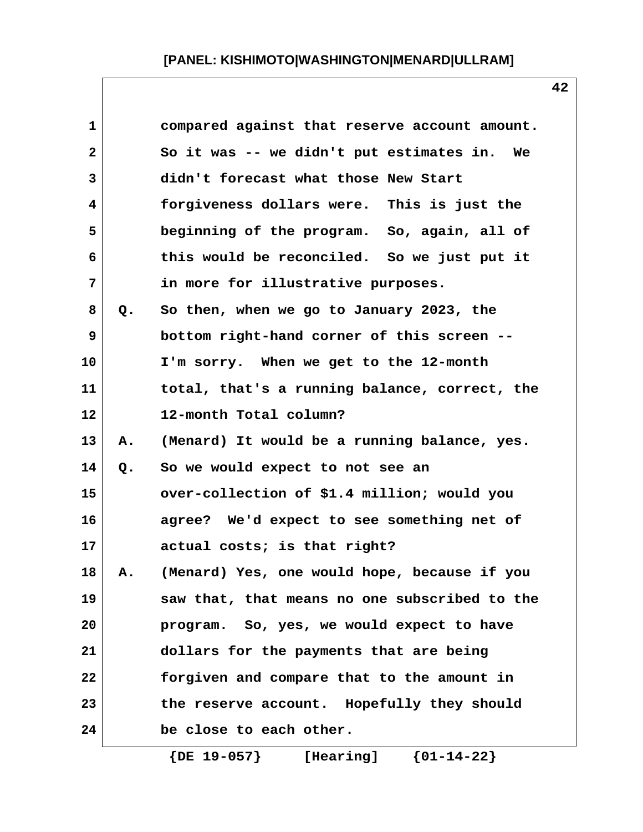| $\mathbf{1}$   |    | compared against that reserve account amount. |
|----------------|----|-----------------------------------------------|
| $\mathbf{2}$   |    | So it was -- we didn't put estimates in. We   |
| 3              |    | didn't forecast what those New Start          |
| 4              |    | forgiveness dollars were. This is just the    |
| 5              |    | beginning of the program. So, again, all of   |
| 6              |    | this would be reconciled. So we just put it   |
| $7\phantom{.}$ |    | in more for illustrative purposes.            |
| 8              | Q. | So then, when we go to January 2023, the      |
| 9              |    | bottom right-hand corner of this screen --    |
| 10             |    | I'm sorry. When we get to the 12-month        |
| 11             |    | total, that's a running balance, correct, the |
| 12             |    | 12-month Total column?                        |
| 13             | Α. | (Menard) It would be a running balance, yes.  |
| 14             | Q. | So we would expect to not see an              |
| 15             |    | over-collection of \$1.4 million; would you   |
| 16             |    | agree? We'd expect to see something net of    |
| 17             |    | actual costs; is that right?                  |
| 18             | Α. | (Menard) Yes, one would hope, because if you  |
| 19             |    | saw that, that means no one subscribed to the |
| 20             |    | program. So, yes, we would expect to have     |
| 21             |    | dollars for the payments that are being       |
| 22             |    | forgiven and compare that to the amount in    |
| 23             |    | the reserve account. Hopefully they should    |
| 24             |    | be close to each other.                       |
|                |    |                                               |

 **{DE 19-057} [Hearing] {01-14-22}**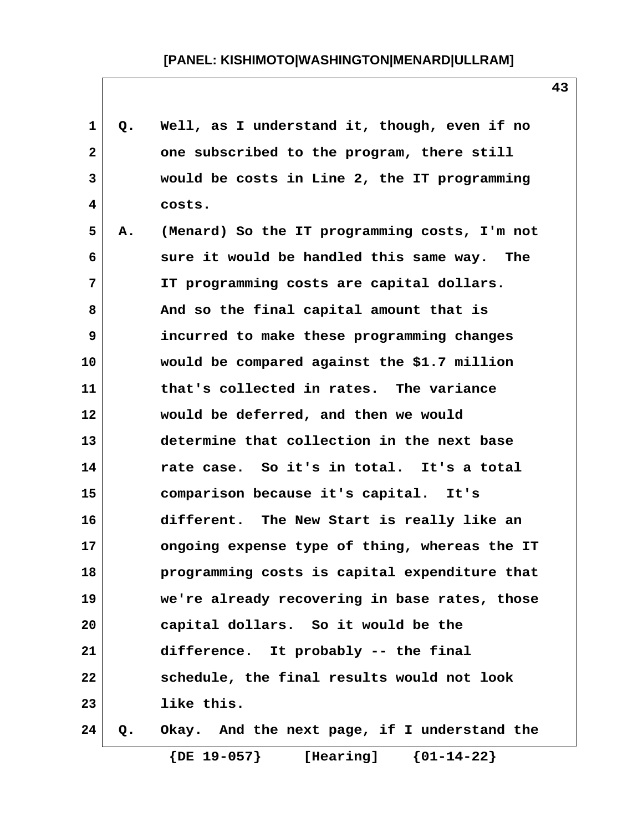| 1            | Q. | Well, as I understand it, though, even if no  |
|--------------|----|-----------------------------------------------|
| $\mathbf{2}$ |    | one subscribed to the program, there still    |
| 3            |    | would be costs in Line 2, the IT programming  |
| 4            |    | costs.                                        |
| 5            | Α. | (Menard) So the IT programming costs, I'm not |
| 6            |    | sure it would be handled this same way. The   |
| 7            |    | IT programming costs are capital dollars.     |
| 8            |    | And so the final capital amount that is       |
| 9            |    | incurred to make these programming changes    |
| 10           |    | would be compared against the \$1.7 million   |
| 11           |    | that's collected in rates. The variance       |
| 12           |    | would be deferred, and then we would          |
| 13           |    | determine that collection in the next base    |
| 14           |    | rate case. So it's in total. It's a total     |
| 15           |    | comparison because it's capital. It's         |
| 16           |    | different. The New Start is really like an    |
| 17           |    | ongoing expense type of thing, whereas the IT |
| 18           |    | programming costs is capital expenditure that |
| 19           |    | we're already recovering in base rates, those |
| 20           |    | capital dollars. So it would be the           |
| 21           |    | difference. It probably -- the final          |
| 22           |    | schedule, the final results would not look    |
| 23           |    | like this.                                    |
| 24           | Q. | Okay. And the next page, if I understand the  |

 **{DE 19-057} [Hearing] {01-14-22}**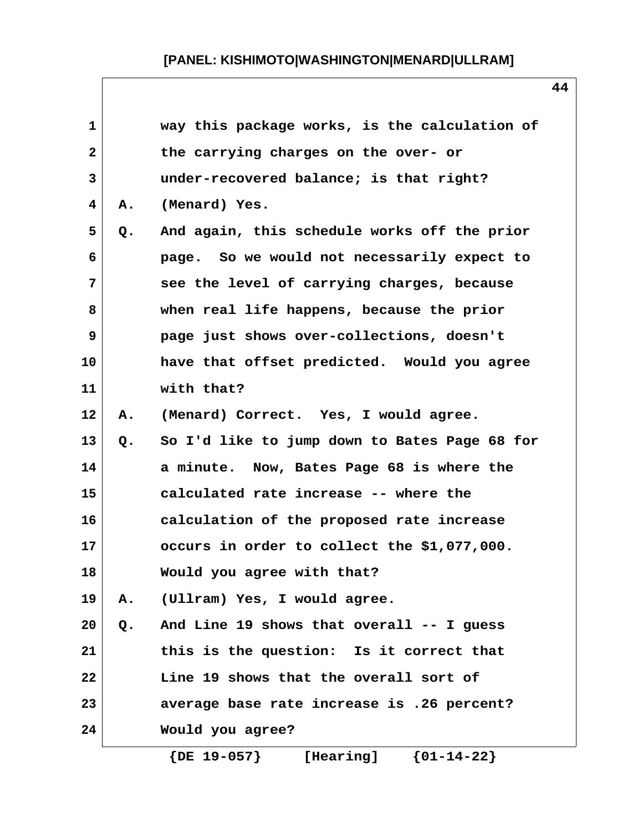| $\mathbf{1}$<br>way this package works, is the calculation of<br>$\mathbf{2}$<br>the carrying charges on the over- or<br>3<br>under-recovered balance; is that right?<br>(Menard) Yes.<br>4<br>Α.<br>5<br>And again, this schedule works off the prior<br>Q.<br>page. So we would not necessarily expect to<br>6 |  |
|------------------------------------------------------------------------------------------------------------------------------------------------------------------------------------------------------------------------------------------------------------------------------------------------------------------|--|
|                                                                                                                                                                                                                                                                                                                  |  |
|                                                                                                                                                                                                                                                                                                                  |  |
|                                                                                                                                                                                                                                                                                                                  |  |
|                                                                                                                                                                                                                                                                                                                  |  |
|                                                                                                                                                                                                                                                                                                                  |  |
|                                                                                                                                                                                                                                                                                                                  |  |
| 7<br>see the level of carrying charges, because                                                                                                                                                                                                                                                                  |  |
| 8<br>when real life happens, because the prior                                                                                                                                                                                                                                                                   |  |
| 9<br>page just shows over-collections, doesn't                                                                                                                                                                                                                                                                   |  |
| 10<br>have that offset predicted. Would you agree                                                                                                                                                                                                                                                                |  |
| with that?<br>11                                                                                                                                                                                                                                                                                                 |  |
| 12<br>(Menard) Correct. Yes, I would agree.<br>Α.                                                                                                                                                                                                                                                                |  |
| 13<br>So I'd like to jump down to Bates Page 68 for<br>Q.                                                                                                                                                                                                                                                        |  |
| 14<br>a minute. Now, Bates Page 68 is where the                                                                                                                                                                                                                                                                  |  |
| 15<br>calculated rate increase -- where the                                                                                                                                                                                                                                                                      |  |
| 16<br>calculation of the proposed rate increase                                                                                                                                                                                                                                                                  |  |
| 17<br>occurs in order to collect the \$1,077,000.                                                                                                                                                                                                                                                                |  |
| 18<br>Would you agree with that?                                                                                                                                                                                                                                                                                 |  |
| 19<br>A. (Ullram) Yes, I would agree.                                                                                                                                                                                                                                                                            |  |
| And Line 19 shows that overall -- I guess<br>20<br>Q.                                                                                                                                                                                                                                                            |  |
| 21<br>this is the question: Is it correct that                                                                                                                                                                                                                                                                   |  |
| 22<br>Line 19 shows that the overall sort of                                                                                                                                                                                                                                                                     |  |
| 23<br>average base rate increase is .26 percent?                                                                                                                                                                                                                                                                 |  |
| 24<br>Would you agree?                                                                                                                                                                                                                                                                                           |  |

 **{DE 19-057} [Hearing] {01-14-22}**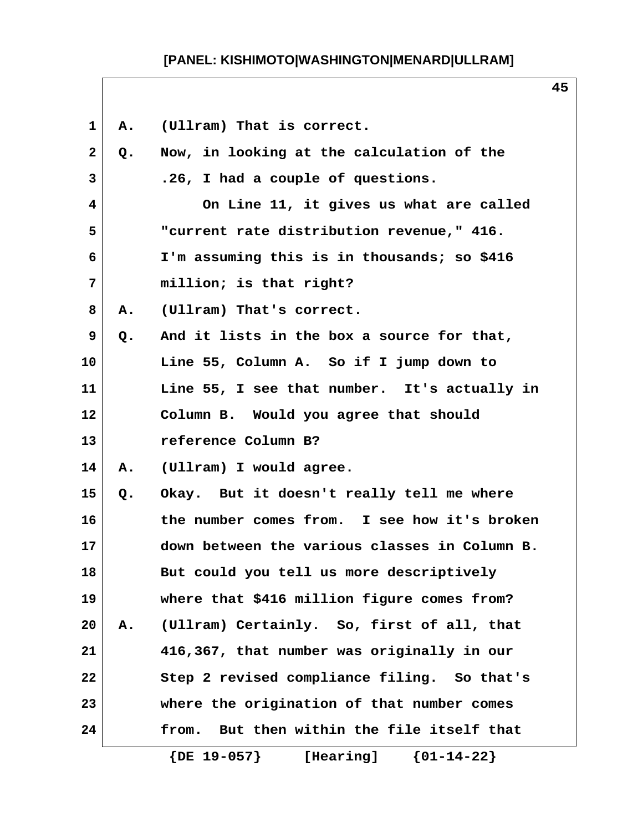| 1            | Α.    | (Ullram) That is correct.                           |
|--------------|-------|-----------------------------------------------------|
| $\mathbf{2}$ | Q.    | Now, in looking at the calculation of the           |
| 3            |       | .26, I had a couple of questions.                   |
| 4            |       | On Line 11, it gives us what are called             |
| 5            |       | "current rate distribution revenue," 416.           |
| 6            |       | I'm assuming this is in thousands; so \$416         |
| 7            |       | million; is that right?                             |
| 8            | Α.    | (Ullram) That's correct.                            |
| 9            | $Q$ . | And it lists in the box a source for that,          |
| 10           |       | Line 55, Column A. So if I jump down to             |
| 11           |       | Line 55, I see that number. It's actually in        |
| 12           |       | Column B. Would you agree that should               |
| 13           |       | reference Column B?                                 |
| 14           | Α.    | (Ullram) I would agree.                             |
| 15           | Q.    | Okay. But it doesn't really tell me where           |
| 16           |       | the number comes from. I see how it's broken        |
| 17           |       | down between the various classes in Column B.       |
| 18           |       | But could you tell us more descriptively            |
| 19           |       | where that \$416 million figure comes from?         |
| 20           | Α.    | (Ullram) Certainly. So, first of all, that          |
| 21           |       | 416,367, that number was originally in our          |
| 22           |       | Step 2 revised compliance filing. So that's         |
| 23           |       | where the origination of that number comes          |
| 24           |       | But then within the file itself that<br>from.       |
|              |       | $\{DE\ 19-057\}$<br>$\{01 - 14 - 22\}$<br>[Hearing] |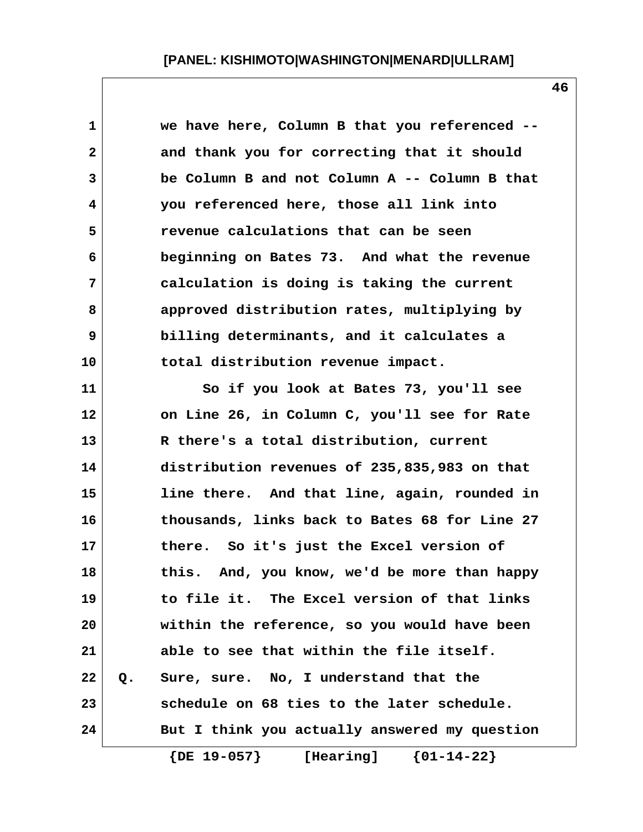| $\mathbf 1$  | we have here, Column B that you referenced --   |
|--------------|-------------------------------------------------|
| $\mathbf{2}$ | and thank you for correcting that it should     |
| 3            | be Column B and not Column A -- Column B that   |
| 4            | you referenced here, those all link into        |
| 5            | revenue calculations that can be seen           |
| 6            | beginning on Bates 73. And what the revenue     |
| 7            | calculation is doing is taking the current      |
| 8            | approved distribution rates, multiplying by     |
| 9            | billing determinants, and it calculates a       |
| 10           | total distribution revenue impact.              |
| 11           | So if you look at Bates 73, you'll see          |
| 12           | on Line 26, in Column C, you'll see for Rate    |
| 13           | R there's a total distribution, current         |
| 14           | distribution revenues of 235,835,983 on that    |
| 15           | line there. And that line, again, rounded in    |
| 16           | thousands, links back to Bates 68 for Line 27   |
| 17           | there. So it's just the Excel version of        |
| 18           | And, you know, we'd be more than happy<br>this. |
| 19           | to file it. The Excel version of that links     |
| 20           | within the reference, so you would have been    |
| 21           | able to see that within the file itself.        |
| 22           | Sure, sure. No, I understand that the<br>$Q$ .  |
| 23           | schedule on 68 ties to the later schedule.      |
| 24           | But I think you actually answered my question   |
|              | $[0.7, 10, 0.77]$ $[0.7, 10, 0.0]$              |

 **{DE 19-057} [Hearing] {01-14-22}**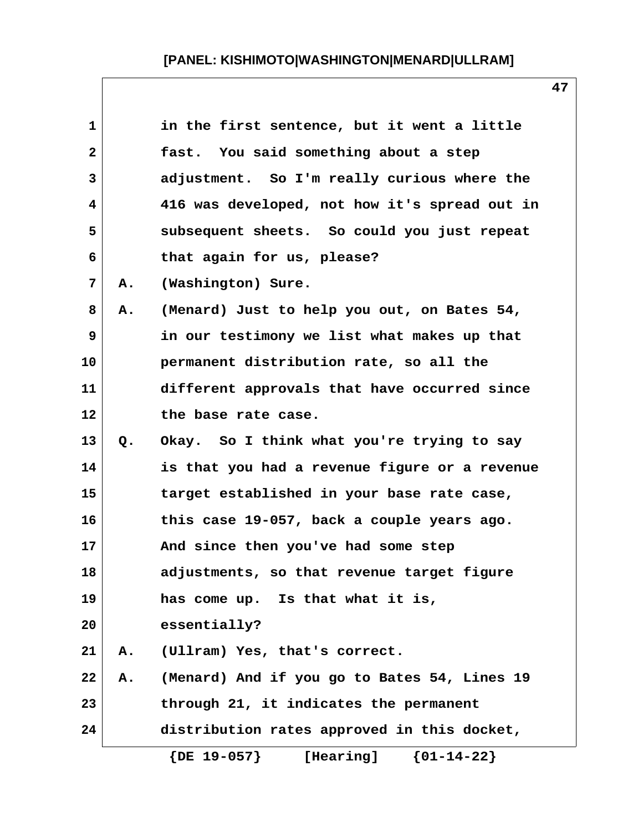| 1            |    | in the first sentence, but it went a little   |
|--------------|----|-----------------------------------------------|
| $\mathbf{2}$ |    | fast. You said something about a step         |
| 3            |    | adjustment. So I'm really curious where the   |
| 4            |    | 416 was developed, not how it's spread out in |
| 5            |    | subsequent sheets. So could you just repeat   |
| 6            |    | that again for us, please?                    |
| 7            | Α. | (Washington) Sure.                            |
| 8            | Α. | (Menard) Just to help you out, on Bates 54,   |
| 9            |    | in our testimony we list what makes up that   |
| 10           |    | permanent distribution rate, so all the       |
| 11           |    | different approvals that have occurred since  |
| 12           |    | the base rate case.                           |
| 13           | Q. | Okay. So I think what you're trying to say    |
| 14           |    | is that you had a revenue figure or a revenue |
| 15           |    | target established in your base rate case,    |
| 16           |    | this case 19-057, back a couple years ago.    |
| 17           |    | And since then you've had some step           |
| 18           |    | adjustments, so that revenue target figure    |
| 19           |    | has come up. Is that what it is,              |
| 20           |    | essentially?                                  |
| 21           | Α. | (Ullram) Yes, that's correct.                 |
| 22           | Α. | (Menard) And if you go to Bates 54, Lines 19  |
| 23           |    | through 21, it indicates the permanent        |
| 24           |    | distribution rates approved in this docket,   |
|              |    | $\{DE\ 19-057\}$<br>[Hearing] ${01-14-22}$    |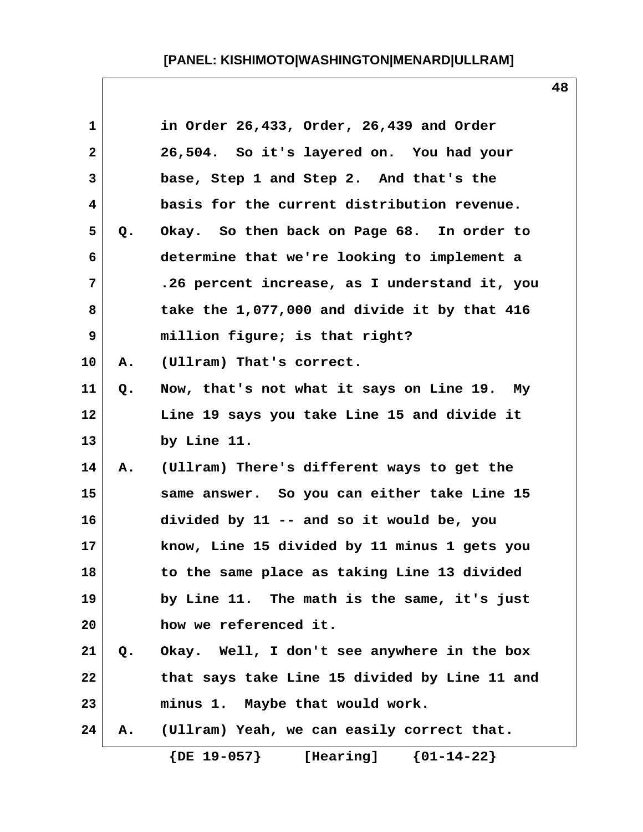| $\mathbf 1$  |    | in Order 26,433, Order, 26,439 and Order      |
|--------------|----|-----------------------------------------------|
| $\mathbf{2}$ |    | 26,504. So it's layered on. You had your      |
| 3            |    | base, Step 1 and Step 2. And that's the       |
| 4            |    | basis for the current distribution revenue.   |
| 5            | Q. | Okay. So then back on Page 68. In order to    |
| 6            |    | determine that we're looking to implement a   |
| 7            |    | .26 percent increase, as I understand it, you |
| 8            |    | take the 1,077,000 and divide it by that 416  |
| 9            |    | million figure; is that right?                |
| 10           | Α. | (Ullram) That's correct.                      |
| 11           | Q. | Now, that's not what it says on Line 19. My   |
| 12           |    | Line 19 says you take Line 15 and divide it   |
| 13           |    | by Line 11.                                   |
| 14           | Α. | (Ullram) There's different ways to get the    |
| 15           |    | same answer. So you can either take Line 15   |
| 16           |    | divided by 11 -- and so it would be, you      |
| 17           |    | know, Line 15 divided by 11 minus 1 gets you  |
| 18           |    | to the same place as taking Line 13 divided   |
| 19           |    | by Line 11. The math is the same, it's just   |
| 20           |    | how we referenced it.                         |
| 21           | Q. | Okay. Well, I don't see anywhere in the box   |
| 22           |    | that says take Line 15 divided by Line 11 and |
| 23           |    | minus 1. Maybe that would work.               |
| 24           | Α. | (Ullram) Yeah, we can easily correct that.    |
|              |    | $\{DE\ 19-057\}$<br>${01-14-22}$<br>[Hearing] |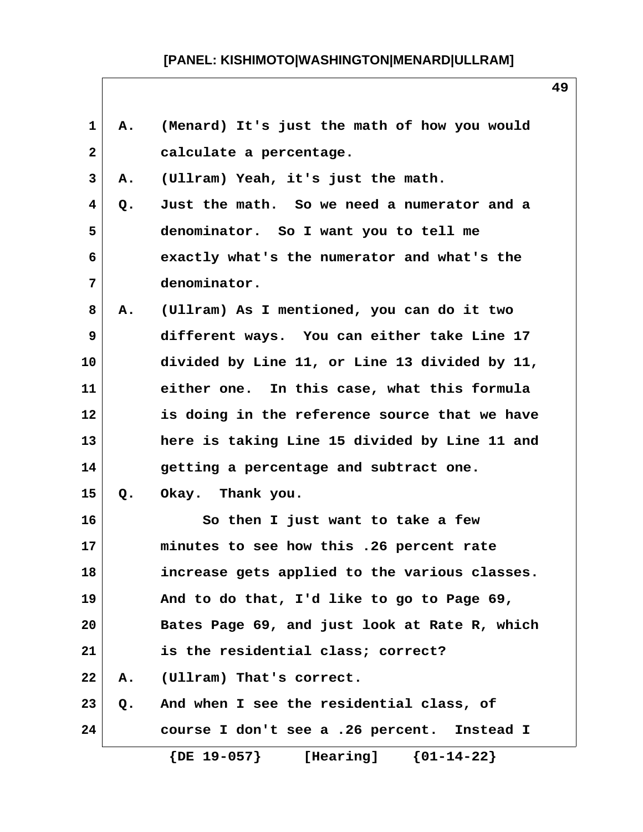| 1               | Α. | (Menard) It's just the math of how you would  |
|-----------------|----|-----------------------------------------------|
| $\mathbf{2}$    |    | calculate a percentage.                       |
| 3               | Α. | (Ullram) Yeah, it's just the math.            |
| 4               | Q. | Just the math. So we need a numerator and a   |
| 5               |    | denominator. So I want you to tell me         |
| 6               |    | exactly what's the numerator and what's the   |
| 7               |    | denominator.                                  |
| 8               | Α. | (Ullram) As I mentioned, you can do it two    |
| 9               |    | different ways. You can either take Line 17   |
| 10              |    | divided by Line 11, or Line 13 divided by 11, |
| 11              |    | either one. In this case, what this formula   |
| 12 <sub>2</sub> |    | is doing in the reference source that we have |
| 13              |    | here is taking Line 15 divided by Line 11 and |
| 14              |    | getting a percentage and subtract one.        |
| 15              | Q. | Okay. Thank you.                              |
| 16              |    | So then I just want to take a few             |
| 17              |    | minutes to see how this .26 percent rate      |
| 18              |    | increase gets applied to the various classes. |
| 19              |    | And to do that, I'd like to go to Page 69,    |
| 20              |    | Bates Page 69, and just look at Rate R, which |
| 21              |    | is the residential class; correct?            |
| 22              | Α. | (Ullram) That's correct.                      |
| 23              | Q. | And when I see the residential class, of      |
| 24              |    | course I don't see a .26 percent. Instead I   |
|                 |    | [Hearing] ${01-14-22}$<br>$\{DE\ 19-057\}$    |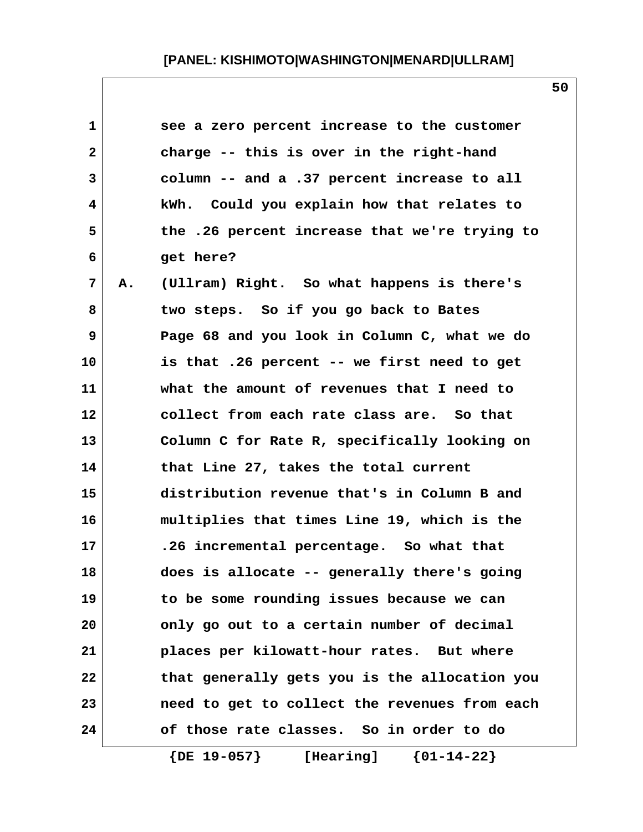| 1            |    | see a zero percent increase to the customer   |
|--------------|----|-----------------------------------------------|
| $\mathbf{2}$ |    | charge -- this is over in the right-hand      |
| 3            |    | column -- and a .37 percent increase to all   |
| 4            |    | kWh. Could you explain how that relates to    |
| 5            |    | the .26 percent increase that we're trying to |
| 6            |    | get here?                                     |
| 7            | Α. | (Ullram) Right. So what happens is there's    |
| 8            |    | two steps. So if you go back to Bates         |
| 9            |    | Page 68 and you look in Column C, what we do  |
| 10           |    | is that .26 percent -- we first need to get   |
| 11           |    | what the amount of revenues that I need to    |
| 12           |    | collect from each rate class are. So that     |
| 13           |    | Column C for Rate R, specifically looking on  |
| 14           |    | that Line 27, takes the total current         |
| 15           |    | distribution revenue that's in Column B and   |
| 16           |    | multiplies that times Line 19, which is the   |
| 17           |    | .26 incremental percentage. So what that      |
| 18           |    | does is allocate -- generally there's going   |
| 19           |    | to be some rounding issues because we can     |
| 20           |    | only go out to a certain number of decimal    |
| 21           |    | places per kilowatt-hour rates. But where     |
| 22           |    | that generally gets you is the allocation you |
| 23           |    | need to get to collect the revenues from each |
| 24           |    | of those rate classes. So in order to do      |

 **{DE 19-057} [Hearing] {01-14-22}**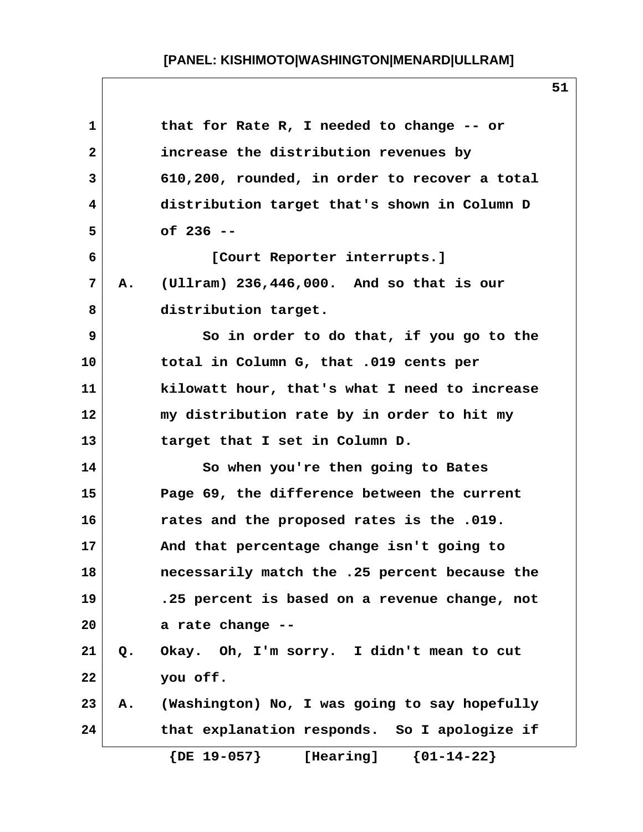| 1            |    | that for Rate R, I needed to change -- or     |
|--------------|----|-----------------------------------------------|
| $\mathbf{2}$ |    | increase the distribution revenues by         |
| 3            |    | 610,200, rounded, in order to recover a total |
| 4            |    | distribution target that's shown in Column D  |
| 5            |    | of 236 --                                     |
| 6            |    | [Court Reporter interrupts.]                  |
| 7            | Α. | (Ullram) $236,446,000$ . And so that is our   |
| 8            |    | distribution target.                          |
| 9            |    | So in order to do that, if you go to the      |
| 10           |    | total in Column G, that .019 cents per        |
| 11           |    | kilowatt hour, that's what I need to increase |
| 12           |    | my distribution rate by in order to hit my    |
| 13           |    | target that I set in Column D.                |
| 14           |    | So when you're then going to Bates            |
| 15           |    | Page 69, the difference between the current   |
| 16           |    | rates and the proposed rates is the .019.     |
| 17           |    | And that percentage change isn't going to     |
| 18           |    | necessarily match the .25 percent because the |
| 19           |    | .25 percent is based on a revenue change, not |
| 20           |    | a rate change --                              |
| 21           | Q. | Okay. Oh, I'm sorry. I didn't mean to cut     |
| 22           |    | you off.                                      |
| 23           | Α. | (Washington) No, I was going to say hopefully |
| 24           |    | that explanation responds. So I apologize if  |
|              |    | ${01-14-22}$<br>$\{DE\ 19-057\}$<br>[Hearing] |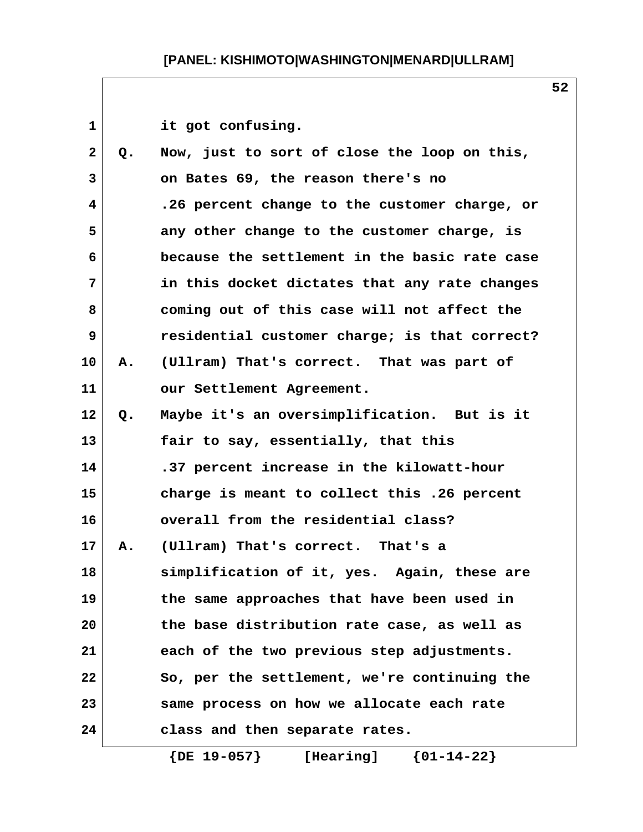|    | it got confusing.                             |  |
|----|-----------------------------------------------|--|
| Q. | Now, just to sort of close the loop on this,  |  |
|    | on Bates 69, the reason there's no            |  |
|    | .26 percent change to the customer charge, or |  |
|    | any other change to the customer charge, is   |  |
|    | because the settlement in the basic rate case |  |
|    | in this docket dictates that any rate changes |  |
|    | coming out of this case will not affect the   |  |
|    | residential customer charge; is that correct? |  |
| Α. | (Ullram) That's correct. That was part of     |  |
|    | our Settlement Agreement.                     |  |
| Q. | Maybe it's an oversimplification. But is it   |  |
|    | fair to say, essentially, that this           |  |
|    | .37 percent increase in the kilowatt-hour     |  |
|    | charge is meant to collect this .26 percent   |  |
|    | overall from the residential class?           |  |
| A. | (Ullram) That's correct. That's a             |  |
|    | simplification of it, yes. Again, these are   |  |
|    | the same approaches that have been used in    |  |
|    | the base distribution rate case, as well as   |  |
|    | each of the two previous step adjustments.    |  |
|    | So, per the settlement, we're continuing the  |  |
|    | same process on how we allocate each rate     |  |
|    | class and then separate rates.                |  |
|    |                                               |  |

 **{DE 19-057} [Hearing] {01-14-22}**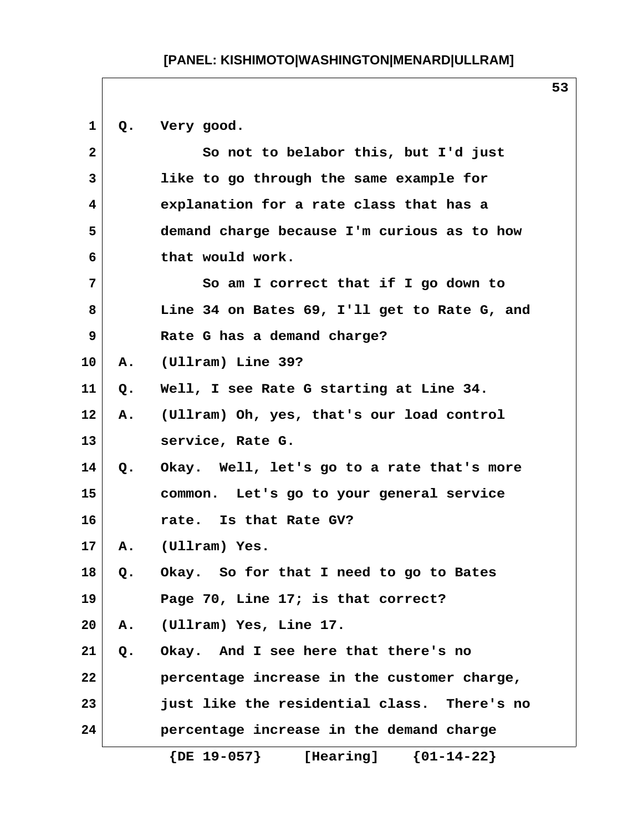**1 Q. Very good. 2 So not to belabor this, but I'd just 3 like to go through the same example for 4 explanation for a rate class that has a 5 demand charge because I'm curious as to how 6 that would work. 7 So am I correct that if I go down to 8 Line 34 on Bates 69, I'll get to Rate G, and 9 Rate G has a demand charge? 10 A. (Ullram) Line 39? 11 Q. Well, I see Rate G starting at Line 34. 12 A. (Ullram) Oh, yes, that's our load control 13 service, Rate G. 14 Q. Okay. Well, let's go to a rate that's more 15 common. Let's go to your general service 16 rate. Is that Rate GV? 17 A. (Ullram) Yes. 18 Q. Okay. So for that I need to go to Bates 19 Page 70, Line 17; is that correct? 20 A. (Ullram) Yes, Line 17. 21 Q. Okay. And I see here that there's no 22 percentage increase in the customer charge, 23 just like the residential class. There's no 24 percentage increase in the demand charge {DE 19-057} [Hearing] {01-14-22}**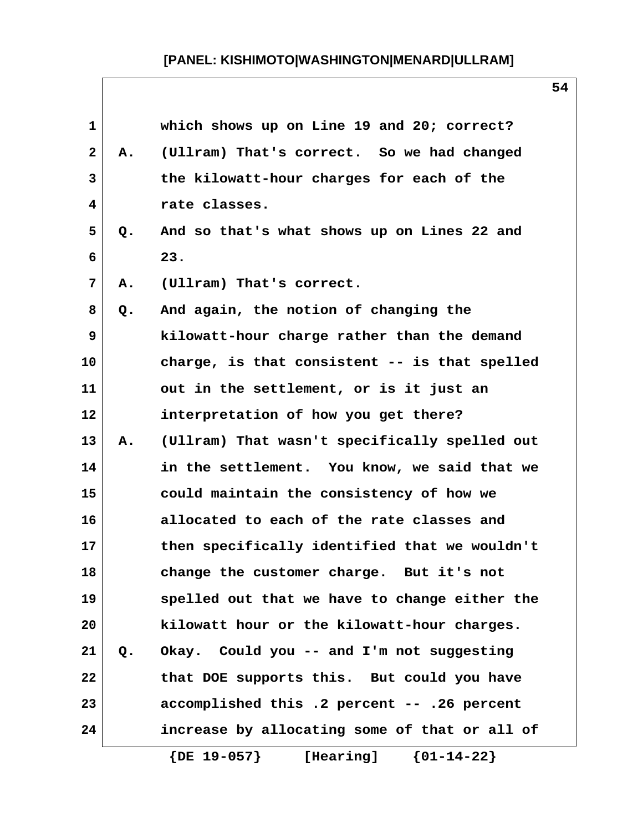| 1            |       | which shows up on Line 19 and 20; correct?    |
|--------------|-------|-----------------------------------------------|
| $\mathbf{2}$ | Α.    | (Ullram) That's correct. So we had changed    |
| 3            |       | the kilowatt-hour charges for each of the     |
| 4            |       | rate classes.                                 |
| 5            | Q.    | And so that's what shows up on Lines 22 and   |
| 6            |       | 23.                                           |
| 7            | Α.    | (Ullram) That's correct.                      |
| 8            | Q.    | And again, the notion of changing the         |
| 9            |       | kilowatt-hour charge rather than the demand   |
| 10           |       | charge, is that consistent -- is that spelled |
| 11           |       | out in the settlement, or is it just an       |
| 12           |       | interpretation of how you get there?          |
| 13           | A.    | (Ullram) That wasn't specifically spelled out |
| 14           |       | in the settlement. You know, we said that we  |
| 15           |       | could maintain the consistency of how we      |
| 16           |       | allocated to each of the rate classes and     |
| 17           |       | then specifically identified that we wouldn't |
| 18           |       | change the customer charge. But it's not      |
| 19           |       | spelled out that we have to change either the |
| 20           |       | kilowatt hour or the kilowatt-hour charges.   |
| 21           | $Q$ . | Okay. Could you -- and I'm not suggesting     |
| 22           |       | that DOE supports this. But could you have    |
| 23           |       | accomplished this .2 percent -- .26 percent   |
| 24           |       | increase by allocating some of that or all of |
|              |       | $\{DE\ 19-057\}$<br>${01-14-22}$<br>[Hearing] |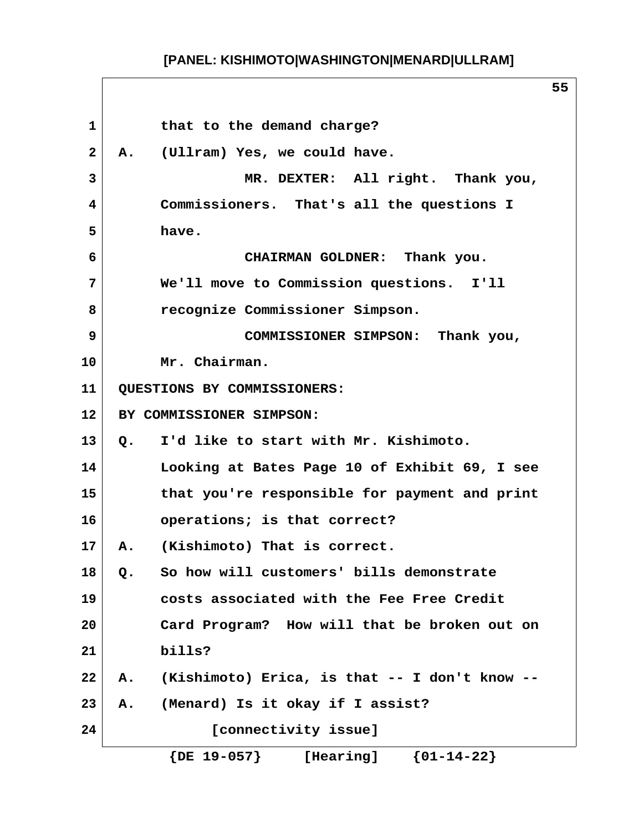| 1            | that to the demand charge?                             |
|--------------|--------------------------------------------------------|
| $\mathbf{2}$ | (Ullram) Yes, we could have.<br><b>A.</b>              |
| 3            | MR. DEXTER: All right. Thank you,                      |
| 4            | Commissioners. That's all the questions I              |
| 5            | have.                                                  |
| 6            | CHAIRMAN GOLDNER: Thank you.                           |
| 7            | We'll move to Commission questions. I'll               |
| 8            | recognize Commissioner Simpson.                        |
| 9            | COMMISSIONER SIMPSON: Thank you,                       |
| 10           | Mr. Chairman.                                          |
| 11           | QUESTIONS BY COMMISSIONERS:                            |
| 12           | BY COMMISSIONER SIMPSON:                               |
| 13           | I'd like to start with Mr. Kishimoto.<br>$Q_{\bullet}$ |
| 14           | Looking at Bates Page 10 of Exhibit 69, I see          |
| 15           | that you're responsible for payment and print          |
| 16           | operations; is that correct?                           |
| 17           | A. (Kishimoto) That is correct.                        |
| 18           | So how will customers' bills demonstrate<br>$Q$ .      |
| 19           | costs associated with the Fee Free Credit              |
| 20           | Card Program? How will that be broken out on           |
| 21           | bills?                                                 |
| 22           | (Kishimoto) Erica, is that -- I don't know --<br>Α.    |
| 23           | (Menard) Is it okay if I assist?<br>Α.                 |
| 24           | [connectivity issue]                                   |
|              | ${01-14-22}$<br>$\{DE\ 19-057\}$<br>[Hearing]          |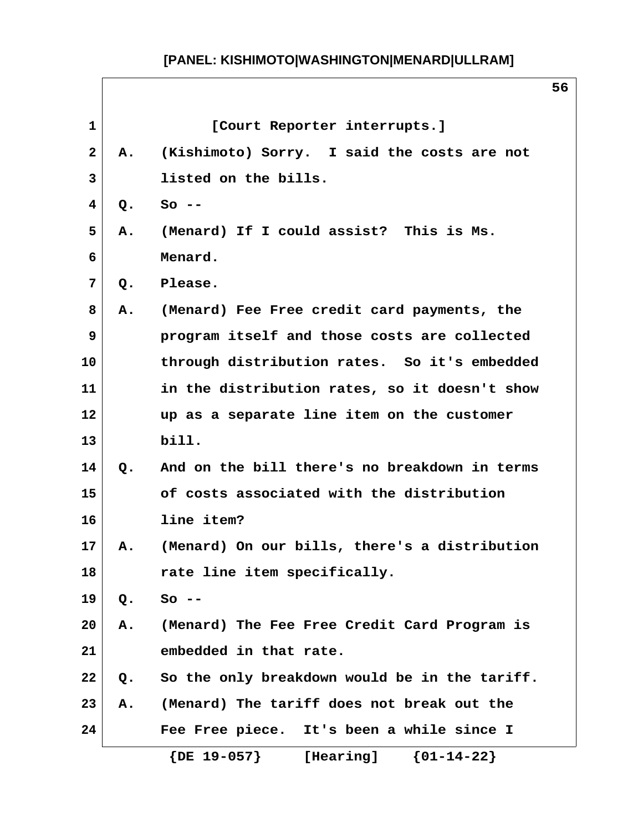| $\mathbf{1}$ |               | [Court Reporter interrupts.]                  |
|--------------|---------------|-----------------------------------------------|
| $\mathbf{2}$ | Α.            | (Kishimoto) Sorry. I said the costs are not   |
| 3            |               | listed on the bills.                          |
| 4            | Q.            | $So --$                                       |
| 5            | Α.            | (Menard) If I could assist? This is Ms.       |
| 6            |               | Menard.                                       |
| 7            | Q.            | Please.                                       |
| 8            | Α.            | (Menard) Fee Free credit card payments, the   |
| 9            |               | program itself and those costs are collected  |
| 10           |               | through distribution rates. So it's embedded  |
| 11           |               | in the distribution rates, so it doesn't show |
| 12           |               | up as a separate line item on the customer    |
| 13           |               | bill.                                         |
| 14           | $Q_{\bullet}$ | And on the bill there's no breakdown in terms |
| 15           |               | of costs associated with the distribution     |
| 16           |               | line item?                                    |
| 17           | Α.            | (Menard) On our bills, there's a distribution |
| 18           |               | rate line item specifically.                  |
| 19           | $Q$ .         | $So --$                                       |
| 20           | Α.            | (Menard) The Fee Free Credit Card Program is  |
| 21           |               | embedded in that rate.                        |
| 22           | Q.            | So the only breakdown would be in the tariff. |
| 23           | Α.            | (Menard) The tariff does not break out the    |
| 24           |               | Fee Free piece. It's been a while since I     |
|              |               | $\{DE\ 19-057\}$<br>${01-14-22}$<br>[Hearing] |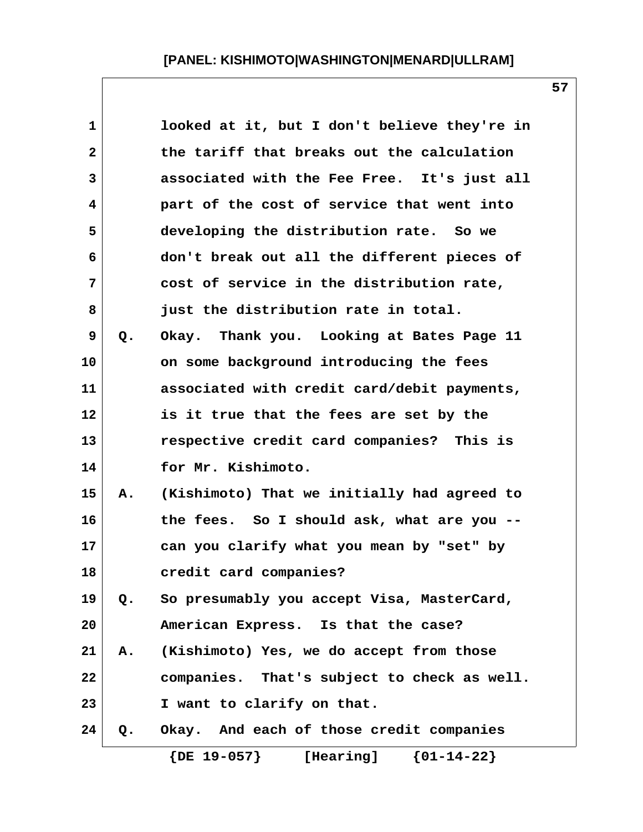| $\mathbf{1}$ |    | looked at it, but I don't believe they're in  |
|--------------|----|-----------------------------------------------|
| $\mathbf{2}$ |    | the tariff that breaks out the calculation    |
| 3            |    | associated with the Fee Free. It's just all   |
| 4            |    | part of the cost of service that went into    |
| 5            |    | developing the distribution rate. So we       |
| 6            |    | don't break out all the different pieces of   |
| 7            |    | cost of service in the distribution rate,     |
| 8            |    | just the distribution rate in total.          |
| 9            | Q. | Okay. Thank you. Looking at Bates Page 11     |
| 10           |    | on some background introducing the fees       |
| 11           |    | associated with credit card/debit payments,   |
| 12           |    | is it true that the fees are set by the       |
| 13           |    | respective credit card companies? This is     |
| 14           |    | for Mr. Kishimoto.                            |
| 15           | Α. | (Kishimoto) That we initially had agreed to   |
| 16           |    | the fees. So I should ask, what are you --    |
| 17           |    | can you clarify what you mean by "set" by     |
| 18           |    | credit card companies?                        |
| 19           | Q. | So presumably you accept Visa, MasterCard,    |
| 20           |    | American Express. Is that the case?           |
| 21           | Α. | (Kishimoto) Yes, we do accept from those      |
| 22           |    | companies. That's subject to check as well.   |
| 23           |    | I want to clarify on that.                    |
| 24           | Q. | Okay. And each of those credit companies      |
|              |    | $\{DE\ 19-057\}$<br>${01-14-22}$<br>[Hearing] |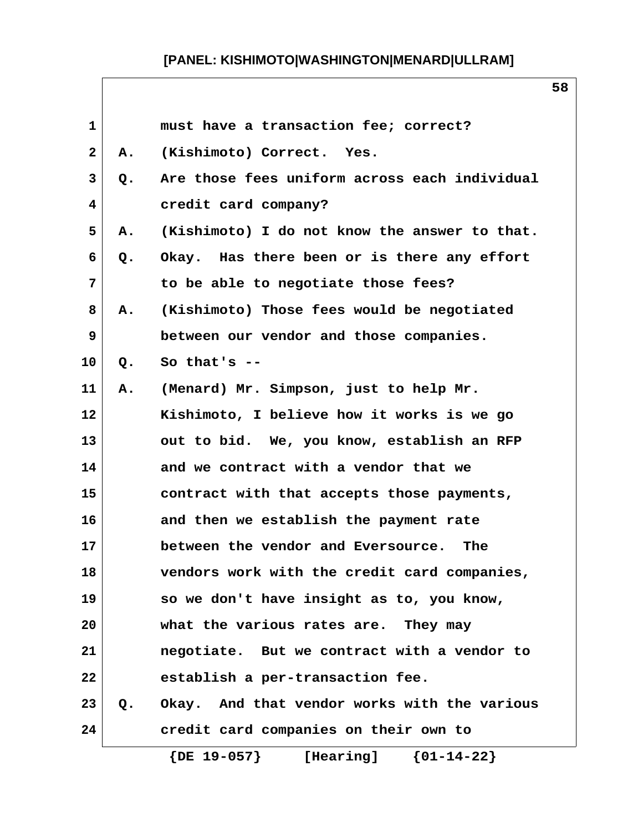| 1  |    | must have a transaction fee; correct?         |  |
|----|----|-----------------------------------------------|--|
| 2  | Α. | (Kishimoto) Correct. Yes.                     |  |
| 3  | Q. | Are those fees uniform across each individual |  |
| 4  |    | credit card company?                          |  |
| 5  | Α. | (Kishimoto) I do not know the answer to that. |  |
| 6  | Q. | Okay. Has there been or is there any effort   |  |
| 7  |    | to be able to negotiate those fees?           |  |
| 8  | Α. | (Kishimoto) Those fees would be negotiated    |  |
| 9  |    | between our vendor and those companies.       |  |
| 10 | Q. | So that's $-$                                 |  |
| 11 | Α. | (Menard) Mr. Simpson, just to help Mr.        |  |
| 12 |    | Kishimoto, I believe how it works is we go    |  |
| 13 |    | out to bid. We, you know, establish an RFP    |  |
| 14 |    | and we contract with a vendor that we         |  |
| 15 |    | contract with that accepts those payments,    |  |
| 16 |    | and then we establish the payment rate        |  |
| 17 |    | between the vendor and Eversource.<br>The     |  |
| 18 |    | vendors work with the credit card companies,  |  |
| 19 |    | so we don't have insight as to, you know,     |  |
| 20 |    | what the various rates are. They may          |  |
| 21 |    | negotiate. But we contract with a vendor to   |  |
| 22 |    | establish a per-transaction fee.              |  |
| 23 | Q. | Okay. And that vendor works with the various  |  |
| 24 |    | credit card companies on their own to         |  |
|    |    | $\{DE\ 19-057\}$<br>${01-14-22}$<br>[Hearing] |  |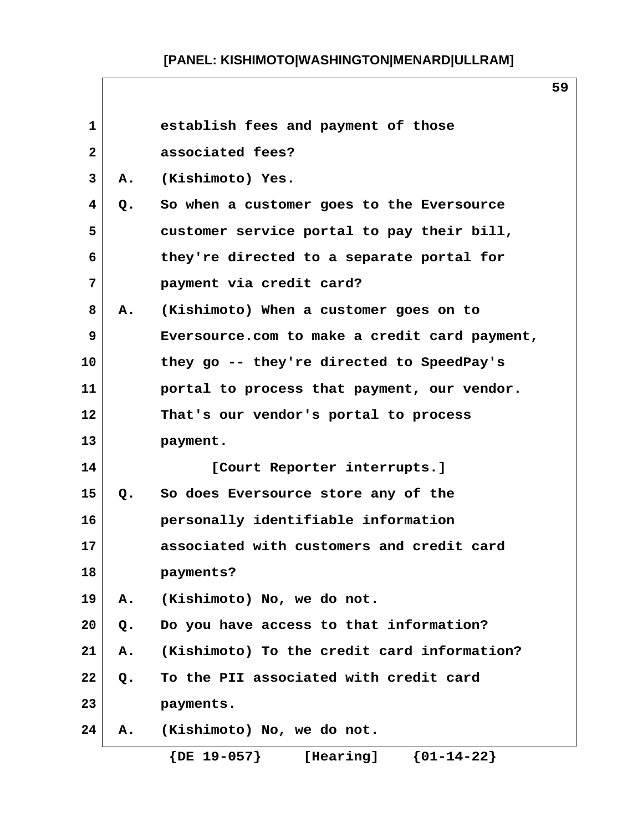| $\mathbf{1}$    |           | establish fees and payment of those           |
|-----------------|-----------|-----------------------------------------------|
| $\mathbf{2}$    |           | associated fees?                              |
| $\mathbf{3}$    | <b>A.</b> | (Kishimoto) Yes.                              |
| $\overline{4}$  | Q.        | So when a customer goes to the Eversource     |
| 5               |           | customer service portal to pay their bill,    |
| 6               |           | they're directed to a separate portal for     |
| 7               |           | payment via credit card?                      |
| 8               | Α.        | (Kishimoto) When a customer goes on to        |
| 9               |           | Eversource.com to make a credit card payment, |
| 10              |           | they go -- they're directed to SpeedPay's     |
| 11              |           | portal to process that payment, our vendor.   |
| 12 <sub>2</sub> |           | That's our vendor's portal to process         |
| 13              |           | payment.                                      |
| 14              |           | [Court Reporter interrupts.]                  |
| 15              | Q.        | So does Eversource store any of the           |
| 16              |           | personally identifiable information           |
| 17              |           | associated with customers and credit card     |
| 18              |           | payments?                                     |
| 19              | Α.        | (Kishimoto) No, we do not.                    |
| 20              | $Q$ .     | Do you have access to that information?       |
| 21              | Α.        | (Kishimoto) To the credit card information?   |
| 22              | Q.        | To the PII associated with credit card        |
| 23              |           | payments.                                     |
| 24              | Α.        | (Kishimoto) No, we do not.                    |
|                 |           | ${01-14-22}$<br>$\{DE\ 19-057\}$<br>[Hearing] |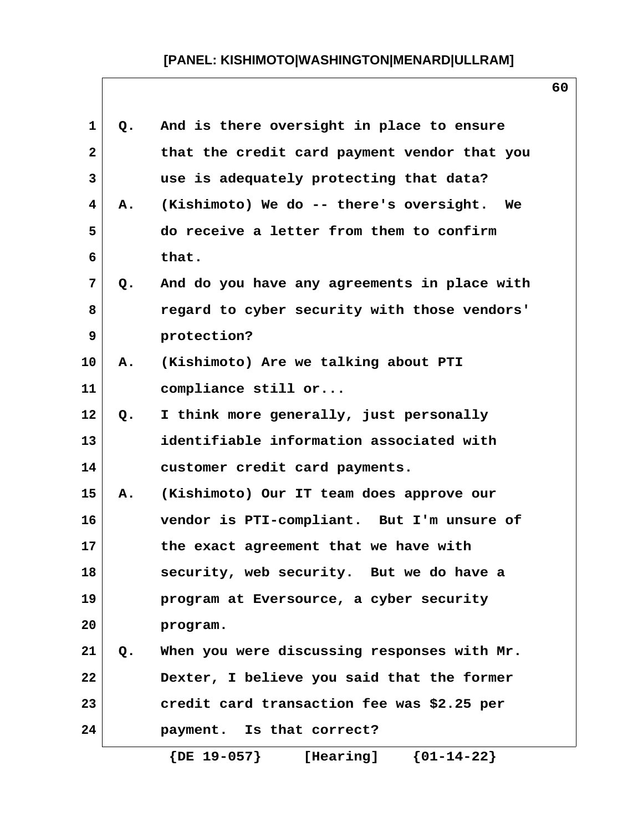| 1            | Q. | And is there oversight in place to ensure    |
|--------------|----|----------------------------------------------|
| $\mathbf{2}$ |    | that the credit card payment vendor that you |
| 3            |    | use is adequately protecting that data?      |
| 4            | Α. | (Kishimoto) We do -- there's oversight. We   |
| 5            |    | do receive a letter from them to confirm     |
| 6            |    | that.                                        |
| 7            | Q. | And do you have any agreements in place with |
| 8            |    | regard to cyber security with those vendors' |
| 9            |    | protection?                                  |
| 10           | Α. | (Kishimoto) Are we talking about PTI         |
| 11           |    | compliance still or                          |
| 12           | Q. | I think more generally, just personally      |
| 13           |    | identifiable information associated with     |
| 14           |    | customer credit card payments.               |
| 15           | Α. | (Kishimoto) Our IT team does approve our     |
| 16           |    | vendor is PTI-compliant. But I'm unsure of   |
| 17           |    | the exact agreement that we have with        |
| 18           |    | security, web security. But we do have a     |
| 19           |    | program at Eversource, a cyber security      |
| 20           |    | program.                                     |
| 21           | Q. | When you were discussing responses with Mr.  |
| 22           |    | Dexter, I believe you said that the former   |
| 23           |    | credit card transaction fee was \$2.25 per   |
| 24           |    | payment. Is that correct?                    |
|              |    | [Hearing] ${01-14-22}$<br>$\{$ DE $19-057\}$ |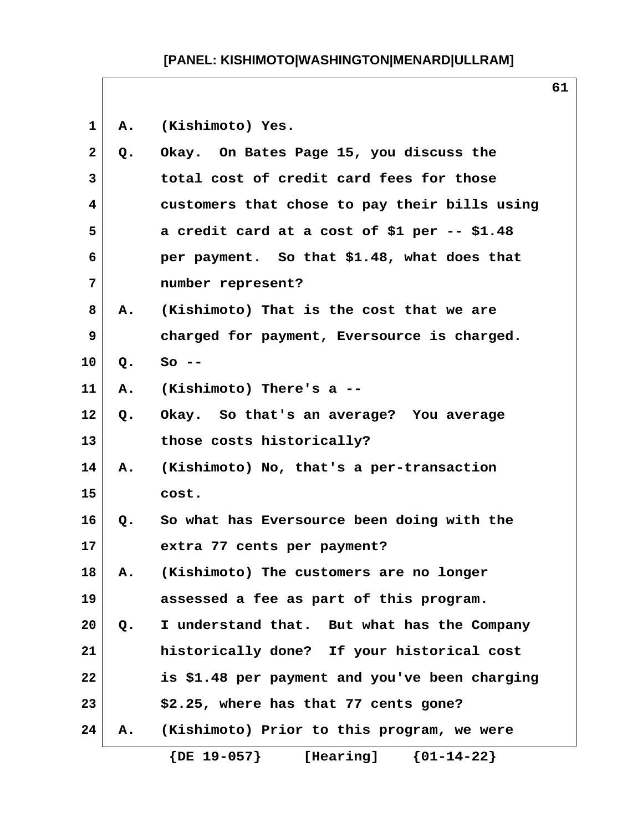**1 A. (Kishimoto) Yes. 2 Q. Okay. On Bates Page 15, you discuss the 3 total cost of credit card fees for those 4 customers that chose to pay their bills using 5 a credit card at a cost of \$1 per -- \$1.48 6 per payment. So that \$1.48, what does that 7 number represent? 8 A. (Kishimoto) That is the cost that we are 9 charged for payment, Eversource is charged. 10 Q. So -- 11 A. (Kishimoto) There's a -- 12 Q. Okay. So that's an average? You average 13 those costs historically? 14 A. (Kishimoto) No, that's a per-transaction 15 cost. 16 Q. So what has Eversource been doing with the 17 extra 77 cents per payment? 18 A. (Kishimoto) The customers are no longer 19 assessed a fee as part of this program. 20 Q. I understand that. But what has the Company 21 historically done? If your historical cost 22 is \$1.48 per payment and you've been charging 23 \$2.25, where has that 77 cents gone? 24 A. (Kishimoto) Prior to this program, we were {DE 19-057} [Hearing] {01-14-22}**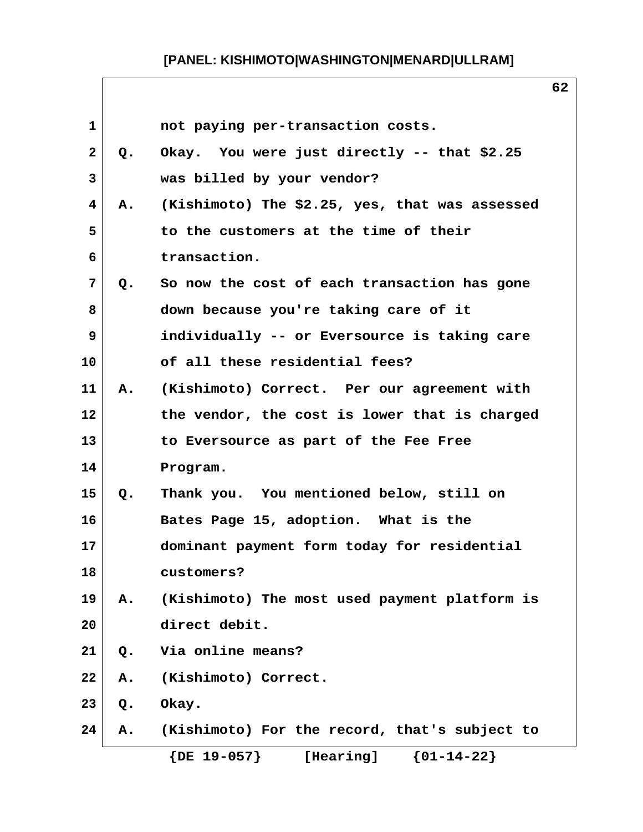| $\mathbf 1$ |               | not paying per-transaction costs.              |
|-------------|---------------|------------------------------------------------|
| 2           | $Q_{\bullet}$ | Okay. You were just directly -- that \$2.25    |
| 3           |               | was billed by your vendor?                     |
| 4           | <b>A.</b>     | (Kishimoto) The \$2.25, yes, that was assessed |
| 5           |               | to the customers at the time of their          |
| 6           |               | transaction.                                   |
| 7           | Q.            | So now the cost of each transaction has gone   |
| 8           |               | down because you're taking care of it          |
| 9           |               | individually -- or Eversource is taking care   |
| 10          |               | of all these residential fees?                 |
| 11          |               | A. (Kishimoto) Correct. Per our agreement with |
| 12          |               | the vendor, the cost is lower that is charged  |
| 13          |               | to Eversource as part of the Fee Free          |
| 14          |               | Program.                                       |
| 15          | Q.            | Thank you. You mentioned below, still on       |
| 16          |               | Bates Page 15, adoption. What is the           |
| 17          |               | dominant payment form today for residential    |
| 18          |               | customers?                                     |
| 19          | Α.            | (Kishimoto) The most used payment platform is  |
| 20          |               | direct debit.                                  |
| 21          | $Q$ .         | Via online means?                              |
| 22          | Α.            | (Kishimoto) Correct.                           |
| 23          | Q.            | Okay.                                          |
| 24          | Α.            | (Kishimoto) For the record, that's subject to  |
|             |               | $\{DE\ 19-057\}$<br>${01-14-22}$<br>[Hearing]  |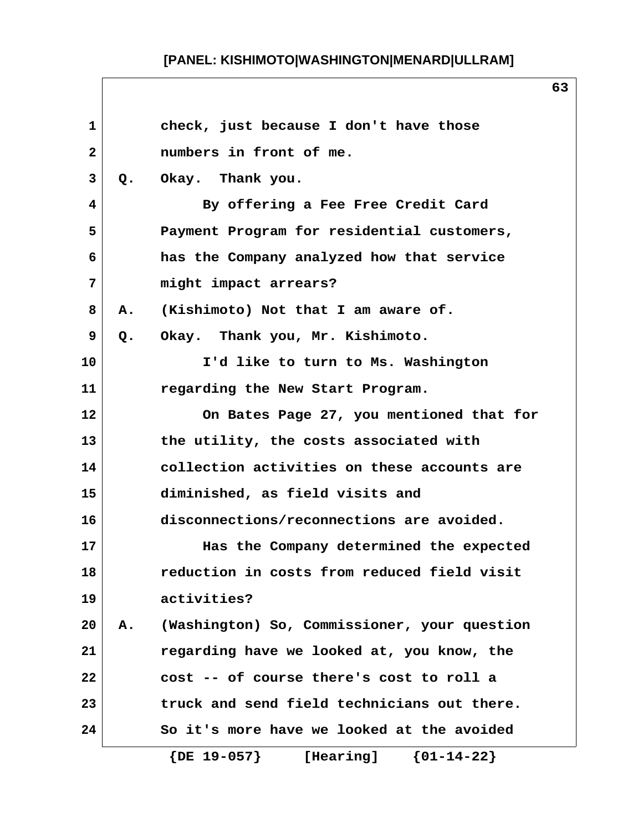| $\mathbf 1$    |           | check, just because I don't have those              |
|----------------|-----------|-----------------------------------------------------|
| $\mathbf{2}$   |           | numbers in front of me.                             |
| 3              | Q.        | Okay. Thank you.                                    |
| 4              |           | By offering a Fee Free Credit Card                  |
| 5              |           | Payment Program for residential customers,          |
| 6              |           | has the Company analyzed how that service           |
| $7\phantom{.}$ |           | might impact arrears?                               |
| 8              | <b>A.</b> | (Kishimoto) Not that I am aware of.                 |
| 9              | Q.        | Okay. Thank you, Mr. Kishimoto.                     |
| 10             |           | I'd like to turn to Ms. Washington                  |
| 11             |           | regarding the New Start Program.                    |
| 12             |           | On Bates Page 27, you mentioned that for            |
| 13             |           | the utility, the costs associated with              |
| 14             |           | collection activities on these accounts are         |
| 15             |           | diminished, as field visits and                     |
| 16             |           | disconnections/reconnections are avoided.           |
| 17             |           | Has the Company determined the expected             |
| 18             |           | reduction in costs from reduced field visit         |
| 19             |           | activities?                                         |
| 20             | А.        | (Washington) So, Commissioner, your question        |
| 21             |           | regarding have we looked at, you know, the          |
| 22             |           | cost -- of course there's cost to roll a            |
| 23             |           | truck and send field technicians out there.         |
| 24             |           | So it's more have we looked at the avoided          |
|                |           | $\{01 - 14 - 22\}$<br>$\{DE\ 19-057\}$<br>[Hearing] |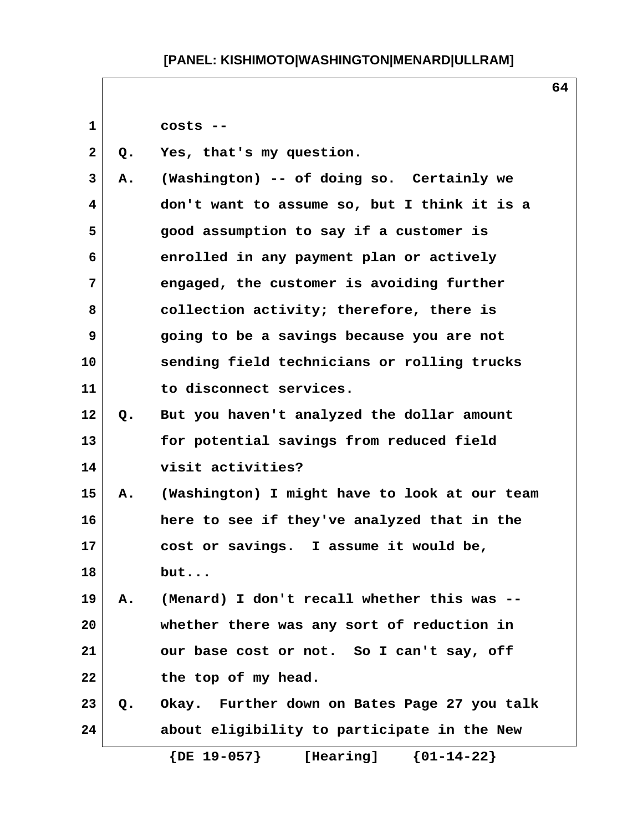**1 costs -- 2 Q. Yes, that's my question. 3 A. (Washington) -- of doing so. Certainly we 4 don't want to assume so, but I think it is a 5 good assumption to say if a customer is 6 enrolled in any payment plan or actively 7 engaged, the customer is avoiding further 8 collection activity; therefore, there is 9 going to be a savings because you are not 10 sending field technicians or rolling trucks 11 to disconnect services. 12 Q. But you haven't analyzed the dollar amount 13 for potential savings from reduced field 14 visit activities? 15 A. (Washington) I might have to look at our team 16 here to see if they've analyzed that in the 17 cost or savings. I assume it would be, 18 but... 19 A. (Menard) I don't recall whether this was -- 20 whether there was any sort of reduction in 21 our base cost or not. So I can't say, off 22 the top of my head. 23 Q. Okay. Further down on Bates Page 27 you talk 24 about eligibility to participate in the New {DE 19-057} [Hearing] {01-14-22}**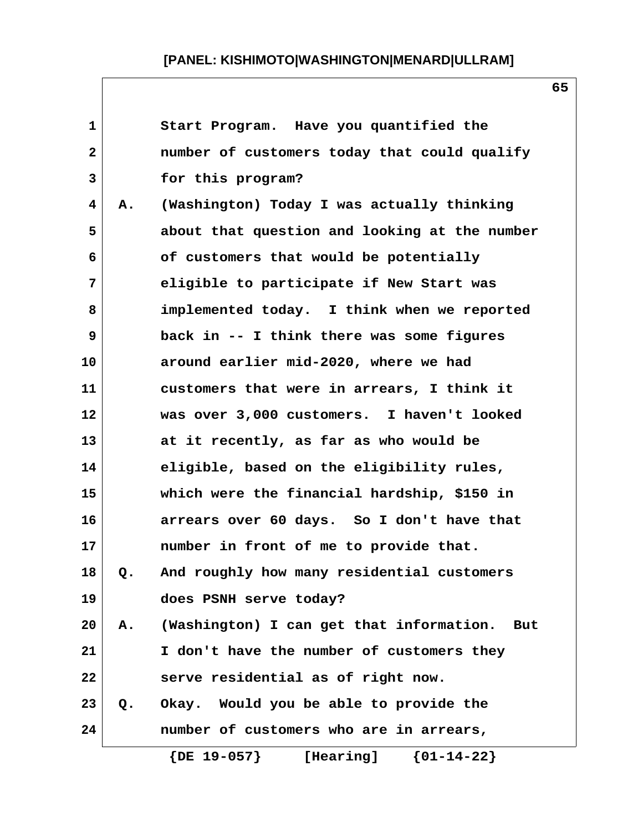| $\mathbf 1$    |       | Start Program. Have you quantified the          |
|----------------|-------|-------------------------------------------------|
| $\overline{a}$ |       | number of customers today that could qualify    |
| 3              |       | for this program?                               |
| 4              | Α.    | (Washington) Today I was actually thinking      |
| 5              |       | about that question and looking at the number   |
| 6              |       | of customers that would be potentially          |
| 7              |       | eligible to participate if New Start was        |
| 8              |       | implemented today. I think when we reported     |
| 9              |       | back in -- I think there was some figures       |
| 10             |       | around earlier mid-2020, where we had           |
| 11             |       | customers that were in arrears, I think it      |
| 12             |       | was over 3,000 customers. I haven't looked      |
| 13             |       | at it recently, as far as who would be          |
| 14             |       | eligible, based on the eligibility rules,       |
| 15             |       | which were the financial hardship, \$150 in     |
| 16             |       | arrears over 60 days. So I don't have that      |
| 17             |       | number in front of me to provide that.          |
| 18             | Q.    | And roughly how many residential customers      |
| 19             |       | does PSNH serve today?                          |
| 20             | Α.    | (Washington) I can get that information.<br>But |
| 21             |       | I don't have the number of customers they       |
| 22             |       | serve residential as of right now.              |
| 23             | $Q$ . | Okay. Would you be able to provide the          |
| 24             |       | number of customers who are in arrears,         |
|                |       | $\{DE\ 19-057\}$<br>${01-14-22}$<br>[Hearing]   |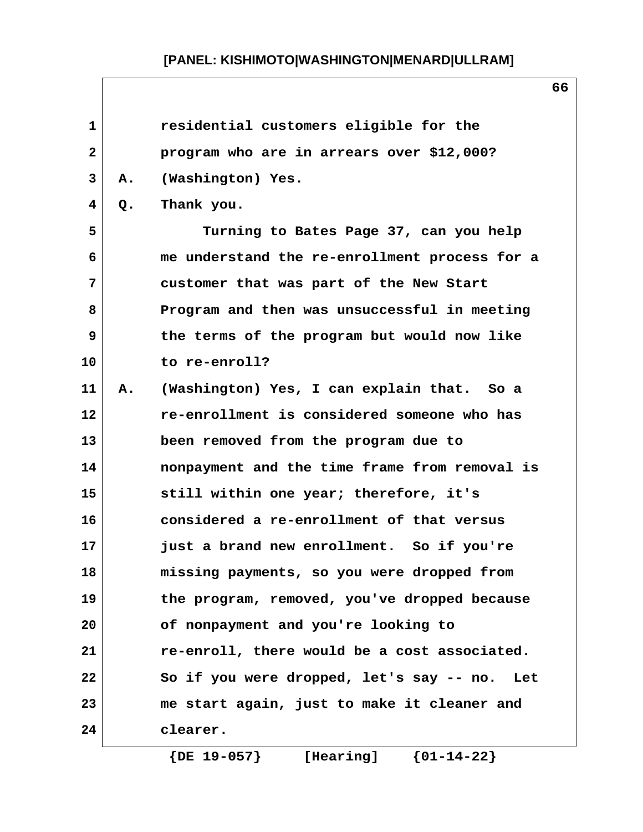| $\mathbf{1}$ |    | residential customers eligible for the          |
|--------------|----|-------------------------------------------------|
| $\mathbf{2}$ |    | program who are in arrears over \$12,000?       |
| 3            | Α. | (Washington) Yes.                               |
| 4            | Q. | Thank you.                                      |
| 5            |    | Turning to Bates Page 37, can you help          |
| 6            |    | me understand the re-enrollment process for a   |
| 7            |    | customer that was part of the New Start         |
| 8            |    | Program and then was unsuccessful in meeting    |
| 9            |    | the terms of the program but would now like     |
| 10           |    | to re-enroll?                                   |
| 11           | Α. | (Washington) Yes, I can explain that. So a      |
| 12           |    | re-enrollment is considered someone who has     |
| 13           |    | been removed from the program due to            |
| 14           |    | nonpayment and the time frame from removal is   |
| 15           |    | still within one year; therefore, it's          |
| 16           |    | considered a re-enrollment of that versus       |
| 17           |    | just a brand new enrollment. So if you're       |
| 18           |    | missing payments, so you were dropped from      |
| 19           |    | the program, removed, you've dropped because    |
| 20           |    | of nonpayment and you're looking to             |
| 21           |    | re-enroll, there would be a cost associated.    |
| 22           |    | So if you were dropped, let's say -- no.<br>Let |
| 23           |    | me start again, just to make it cleaner and     |
| 24           |    | clearer.                                        |
|              |    |                                                 |

 **{DE 19-057} [Hearing] {01-14-22}**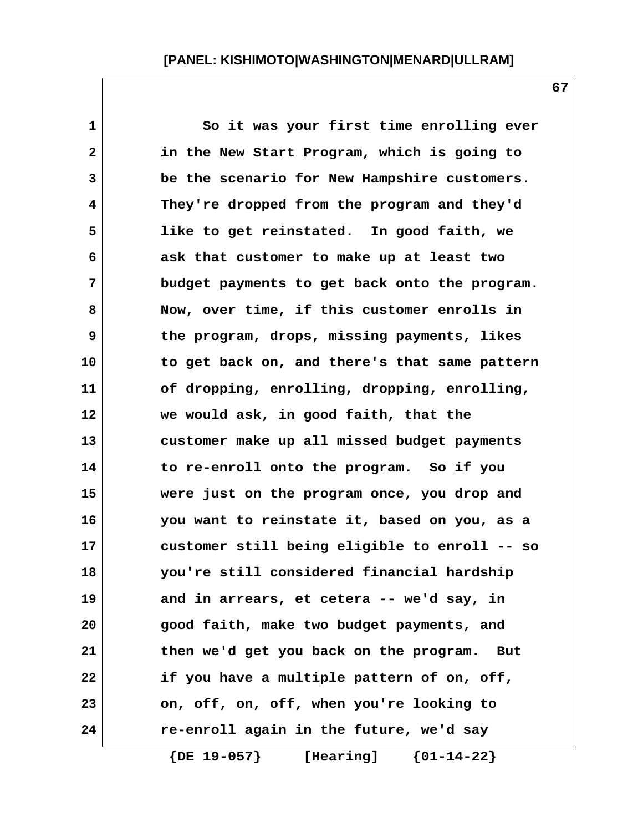1 So it was your first time enrolling ever  **2 in the New Start Program, which is going to 3 be the scenario for New Hampshire customers. 4 They're dropped from the program and they'd 5 like to get reinstated. In good faith, we 6 ask that customer to make up at least two 7 budget payments to get back onto the program. 8 Now, over time, if this customer enrolls in 9 the program, drops, missing payments, likes 10 to get back on, and there's that same pattern 11 of dropping, enrolling, dropping, enrolling, 12 we would ask, in good faith, that the 13 customer make up all missed budget payments 14 to re-enroll onto the program. So if you 15 were just on the program once, you drop and 16 you want to reinstate it, based on you, as a 17 customer still being eligible to enroll -- so 18 you're still considered financial hardship 19 and in arrears, et cetera -- we'd say, in 20 good faith, make two budget payments, and 21 then we'd get you back on the program. But 22 if you have a multiple pattern of on, off, 23 on, off, on, off, when you're looking to 24 re-enroll again in the future, we'd say {DE 19-057} [Hearing] {01-14-22}**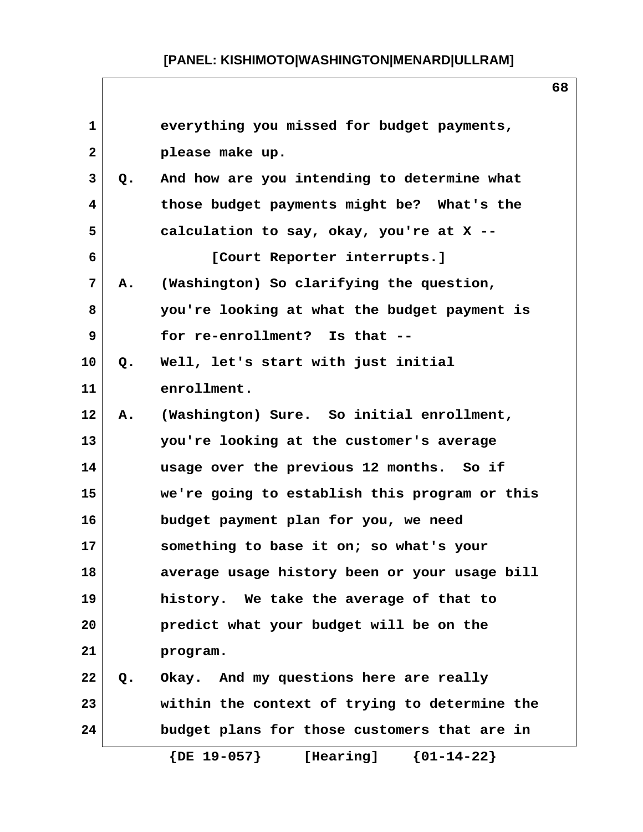| $\mathbf{1}$ |       | everything you missed for budget payments,          |
|--------------|-------|-----------------------------------------------------|
| $\mathbf{2}$ |       | please make up.                                     |
| 3            | Q.    | And how are you intending to determine what         |
| 4            |       | those budget payments might be? What's the          |
| 5            |       | calculation to say, okay, you're at X --            |
| 6            |       | [Court Reporter interrupts.]                        |
| 7            | А.    | (Washington) So clarifying the question,            |
| 8            |       | you're looking at what the budget payment is        |
| 9            |       | for re-enrollment? Is that --                       |
| 10           | Q.    | Well, let's start with just initial                 |
| 11           |       | enrollment.                                         |
| 12           | Α.    | (Washington) Sure. So initial enrollment,           |
| 13           |       | you're looking at the customer's average            |
| 14           |       | usage over the previous 12 months. So if            |
| 15           |       | we're going to establish this program or this       |
| 16           |       | budget payment plan for you, we need                |
| 17           |       | something to base it on; so what's your             |
| 18           |       | average usage history been or your usage bill       |
| 19           |       | history. We take the average of that to             |
| 20           |       | predict what your budget will be on the             |
| 21           |       | program.                                            |
| 22           | $Q$ . | Okay. And my questions here are really              |
| 23           |       | within the context of trying to determine the       |
| 24           |       | budget plans for those customers that are in        |
|              |       | $\{DE\ 19-057\}$<br>$\{01 - 14 - 22\}$<br>[Hearing] |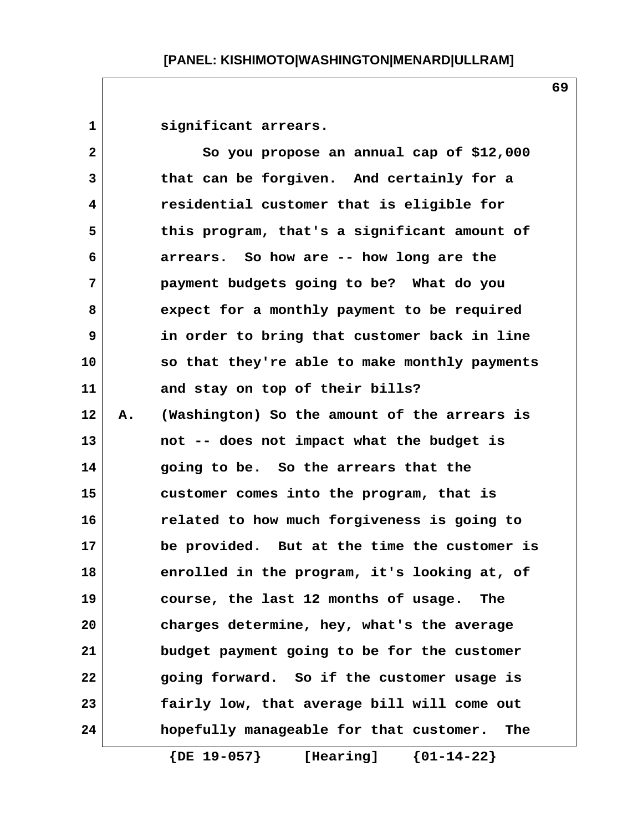1 **Significant arrears.** 

| $\mathbf{2}$ |    | So you propose an annual cap of \$12,000       |
|--------------|----|------------------------------------------------|
| 3            |    | that can be forgiven. And certainly for a      |
| 4            |    | residential customer that is eligible for      |
| 5            |    | this program, that's a significant amount of   |
| 6            |    | arrears. So how are -- how long are the        |
| 7            |    | payment budgets going to be? What do you       |
| 8            |    | expect for a monthly payment to be required    |
| 9            |    | in order to bring that customer back in line   |
| 10           |    | so that they're able to make monthly payments  |
| 11           |    | and stay on top of their bills?                |
| 12           | Α. | (Washington) So the amount of the arrears is   |
| 13           |    | not -- does not impact what the budget is      |
| 14           |    | going to be. So the arrears that the           |
| 15           |    | customer comes into the program, that is       |
| 16           |    | related to how much forgiveness is going to    |
| 17           |    | be provided. But at the time the customer is   |
| 18           |    | enrolled in the program, it's looking at, of   |
| 19           |    | course, the last 12 months of usage.<br>The    |
| 20           |    | charges determine, hey, what's the average     |
| 21           |    | budget payment going to be for the customer    |
| 22           |    | going forward. So if the customer usage is     |
| 23           |    | fairly low, that average bill will come out    |
| 24           |    | hopefully manageable for that customer.<br>The |
|              |    | $\{DE\ 19-057\}$<br>${01-14-22}$<br>[Hearing]  |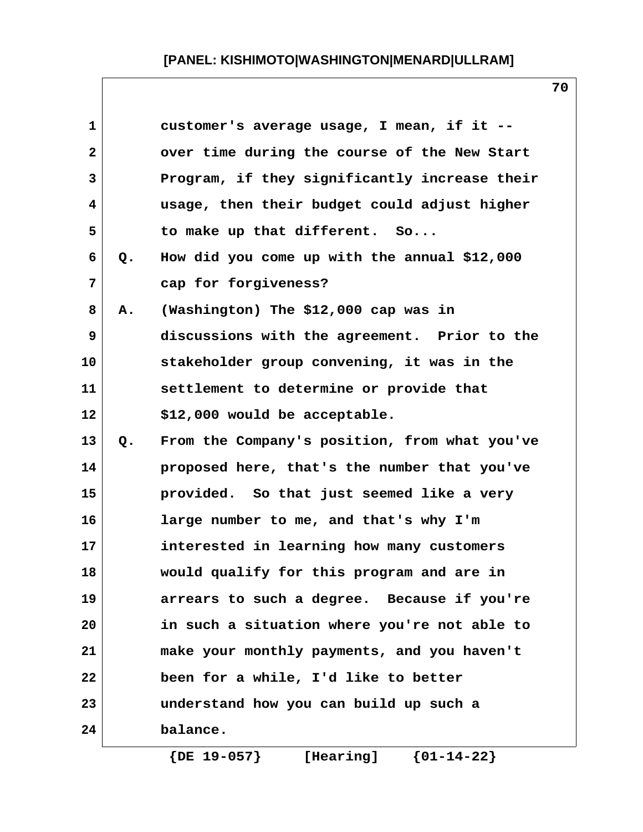| $\mathbf{1}$   |    | customer's average usage, I mean, if it --    |
|----------------|----|-----------------------------------------------|
| $\overline{a}$ |    | over time during the course of the New Start  |
| 3              |    | Program, if they significantly increase their |
| 4              |    | usage, then their budget could adjust higher  |
| 5              |    | to make up that different. So                 |
| 6              | Q. | How did you come up with the annual \$12,000  |
| 7              |    | cap for forgiveness?                          |
| 8              | Α. | (Washington) The \$12,000 cap was in          |
| 9              |    | discussions with the agreement. Prior to the  |
| 10             |    | stakeholder group convening, it was in the    |
| 11             |    | settlement to determine or provide that       |
| 12             |    | \$12,000 would be acceptable.                 |
| 13             | Q. | From the Company's position, from what you've |
| 14             |    | proposed here, that's the number that you've  |
| 15             |    | provided. So that just seemed like a very     |
| 16             |    | large number to me, and that's why I'm        |
| 17             |    | interested in learning how many customers     |
| 18             |    | would qualify for this program and are in     |
| 19             |    | arrears to such a degree. Because if you're   |
| 20             |    | in such a situation where you're not able to  |
| 21             |    | make your monthly payments, and you haven't   |
| 22             |    | been for a while, I'd like to better          |
| 23             |    | understand how you can build up such a        |
| 24             |    | balance.                                      |
|                |    |                                               |

 **{DE 19-057} [Hearing] {01-14-22}**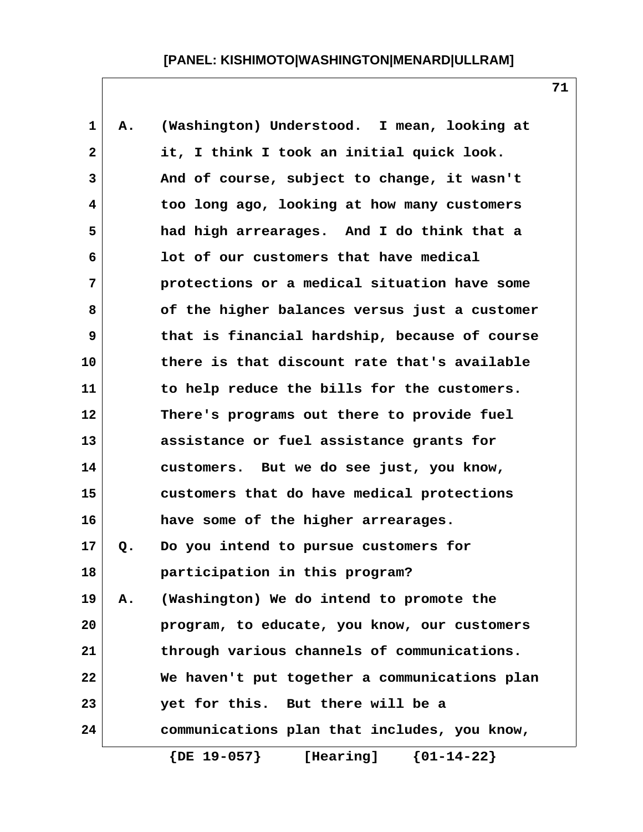| $\mathbf{1}$            | Α. | (Washington) Understood. I mean, looking at   |
|-------------------------|----|-----------------------------------------------|
| $\overline{\mathbf{2}}$ |    | it, I think I took an initial quick look.     |
| 3                       |    | And of course, subject to change, it wasn't   |
| 4                       |    | too long ago, looking at how many customers   |
| 5                       |    | had high arrearages. And I do think that a    |
| 6                       |    | lot of our customers that have medical        |
| 7                       |    | protections or a medical situation have some  |
| 8                       |    | of the higher balances versus just a customer |
| 9                       |    | that is financial hardship, because of course |
| 10                      |    | there is that discount rate that's available  |
| 11                      |    | to help reduce the bills for the customers.   |
| 12                      |    | There's programs out there to provide fuel    |
| 13                      |    | assistance or fuel assistance grants for      |
| 14                      |    | customers. But we do see just, you know,      |
| 15                      |    | customers that do have medical protections    |
| 16                      |    | have some of the higher arrearages.           |
| 17                      | Q. | Do you intend to pursue customers for         |
| 18                      |    | participation in this program?                |
| 19                      | Α. | (Washington) We do intend to promote the      |
| 20                      |    | program, to educate, you know, our customers  |
| 21                      |    | through various channels of communications.   |
| 22                      |    | We haven't put together a communications plan |
| 23                      |    | yet for this. But there will be a             |
| 24                      |    | communications plan that includes, you know,  |
|                         |    | $\{DE\ 19-057\}$<br>${01-14-22}$<br>[Hearing] |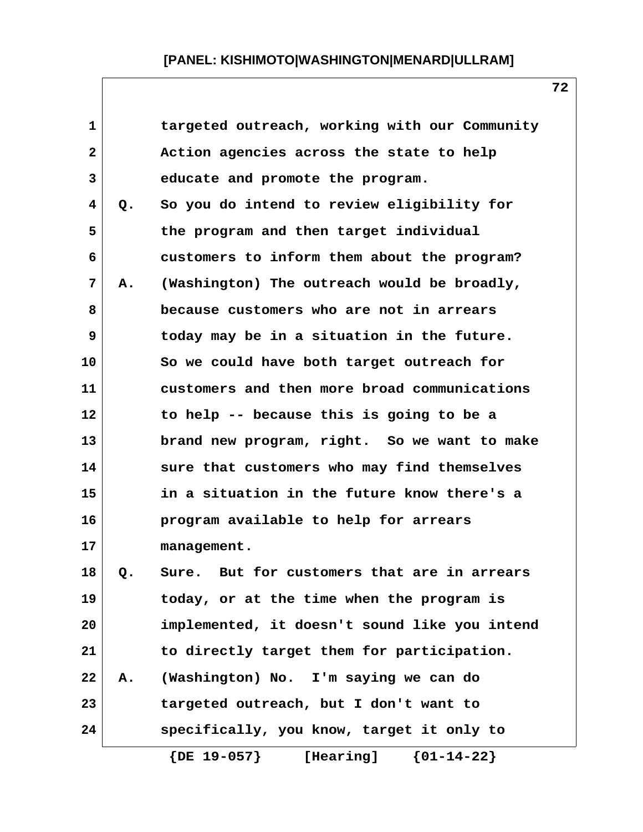| $\mathbf{1}$   |    | targeted outreach, working with our Community |
|----------------|----|-----------------------------------------------|
| $\overline{2}$ |    | Action agencies across the state to help      |
| 3              |    | educate and promote the program.              |
| 4              | Q. | So you do intend to review eligibility for    |
| 5              |    | the program and then target individual        |
| 6              |    | customers to inform them about the program?   |
| 7              | Α. | (Washington) The outreach would be broadly,   |
| 8              |    | because customers who are not in arrears      |
| 9              |    | today may be in a situation in the future.    |
| 10             |    | So we could have both target outreach for     |
| 11             |    | customers and then more broad communications  |
| 12             |    | to help -- because this is going to be a      |
| 13             |    | brand new program, right. So we want to make  |
| 14             |    | sure that customers who may find themselves   |
| 15             |    | in a situation in the future know there's a   |
| 16             |    | program available to help for arrears         |
| 17             |    | management.                                   |
| 18             | Q. | Sure. But for customers that are in arrears   |
| 19             |    | today, or at the time when the program is     |
| 20             |    | implemented, it doesn't sound like you intend |
| 21             |    | to directly target them for participation.    |
| 22             | Α. | (Washington) No. I'm saying we can do         |
| 23             |    | targeted outreach, but I don't want to        |
| 24             |    | specifically, you know, target it only to     |
|                |    | $\{DE\ 19-057\}$<br>${01-14-22}$<br>[Hearing] |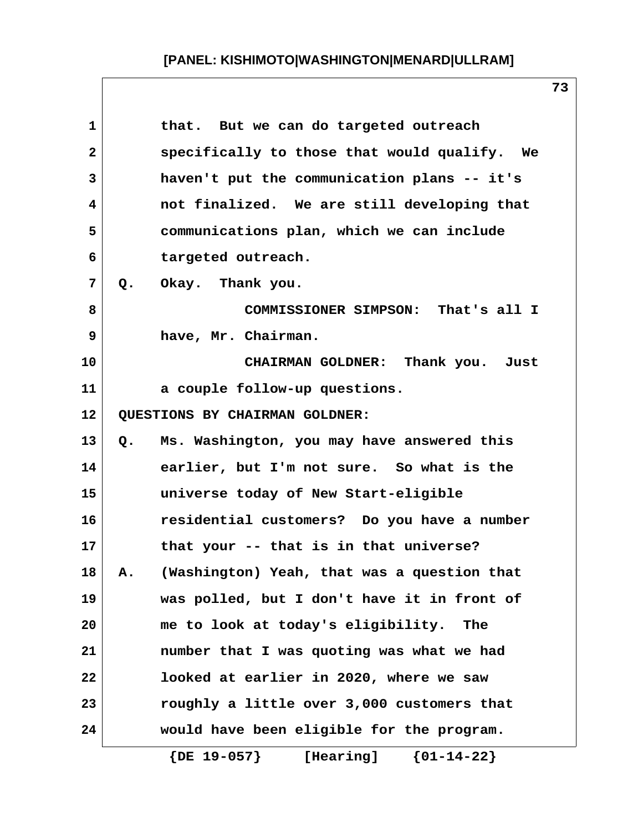| 1            |    | that. But we can do targeted outreach               |
|--------------|----|-----------------------------------------------------|
| $\mathbf{2}$ |    | specifically to those that would qualify. We        |
| 3            |    | haven't put the communication plans -- it's         |
| 4            |    | not finalized. We are still developing that         |
| 5            |    | communications plan, which we can include           |
| 6            |    | targeted outreach.                                  |
| 7            |    | Q. Okay. Thank you.                                 |
| 8            |    | COMMISSIONER SIMPSON: That's all I                  |
| 9            |    | have, Mr. Chairman.                                 |
| 10           |    | CHAIRMAN GOLDNER: Thank you. Just                   |
| 11           |    | a couple follow-up questions.                       |
| 12           |    | QUESTIONS BY CHAIRMAN GOLDNER:                      |
| 13           | Q. | Ms. Washington, you may have answered this          |
| 14           |    | earlier, but I'm not sure. So what is the           |
| 15           |    | universe today of New Start-eligible                |
| 16           |    | residential customers? Do you have a number         |
| 17           |    | that your -- that is in that universe?              |
| 18           | Α. | (Washington) Yeah, that was a question that         |
| 19           |    | was polled, but I don't have it in front of         |
| 20           |    | me to look at today's eligibility.<br>The           |
| 21           |    | number that I was quoting was what we had           |
| 22           |    | looked at earlier in 2020, where we saw             |
| 23           |    | roughly a little over 3,000 customers that          |
| 24           |    | would have been eligible for the program.           |
|              |    | $\{DE\ 19-057\}$<br>$\{01 - 14 - 22\}$<br>[Hearing] |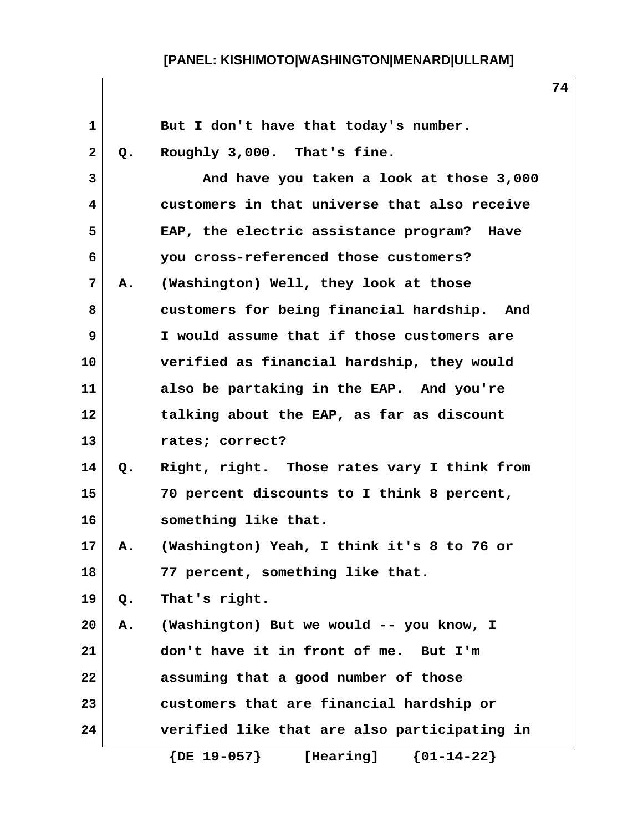| 1            |    | But I don't have that today's number.         |
|--------------|----|-----------------------------------------------|
| $\mathbf{2}$ | Q. | Roughly 3,000. That's fine.                   |
| 3            |    | And have you taken a look at those 3,000      |
| 4            |    | customers in that universe that also receive  |
| 5            |    | EAP, the electric assistance program? Have    |
| 6            |    | you cross-referenced those customers?         |
| 7            | Α. | (Washington) Well, they look at those         |
| 8            |    | customers for being financial hardship. And   |
| 9            |    | I would assume that if those customers are    |
| 10           |    | verified as financial hardship, they would    |
| 11           |    | also be partaking in the EAP. And you're      |
| 12           |    | talking about the EAP, as far as discount     |
| 13           |    | rates; correct?                               |
| 14           | Q. | Right, right. Those rates vary I think from   |
| 15           |    | 70 percent discounts to I think 8 percent,    |
| 16           |    | something like that.                          |
| 17           | Α. | (Washington) Yeah, I think it's 8 to 76 or    |
| 18           |    | 77 percent, something like that.              |
| 19           | Q. | That's right.                                 |
| 20           | Α. | (Washington) But we would -- you know, I      |
| 21           |    | don't have it in front of me. But I'm         |
| 22           |    | assuming that a good number of those          |
| 23           |    | customers that are financial hardship or      |
| 24           |    | verified like that are also participating in  |
|              |    | $\{DE\ 19-057\}$<br>${01-14-22}$<br>[Hearing] |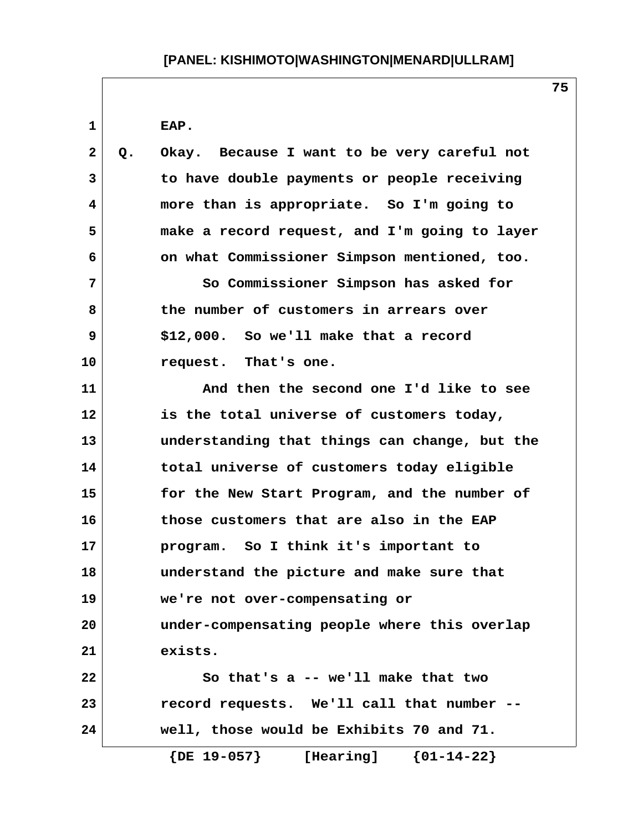**1 EAP. 2 Q. Okay. Because I want to be very careful not 3 to have double payments or people receiving 4 more than is appropriate. So I'm going to 5 make a record request, and I'm going to layer 6 on what Commissioner Simpson mentioned, too. 7 So Commissioner Simpson has asked for 8 the number of customers in arrears over 9 \$12,000. So we'll make that a record 10 request. That's one. 11 And then the second one I'd like to see 12 is the total universe of customers today, 13 understanding that things can change, but the 14 total universe of customers today eligible 15 for the New Start Program, and the number of 16 those customers that are also in the EAP 17 program. So I think it's important to 18 understand the picture and make sure that 19 we're not over-compensating or 20 under-compensating people where this overlap 21 exists. 22 So that's a -- we'll make that two 23 record requests. We'll call that number -- 24 well, those would be Exhibits 70 and 71. {DE 19-057} [Hearing] {01-14-22}**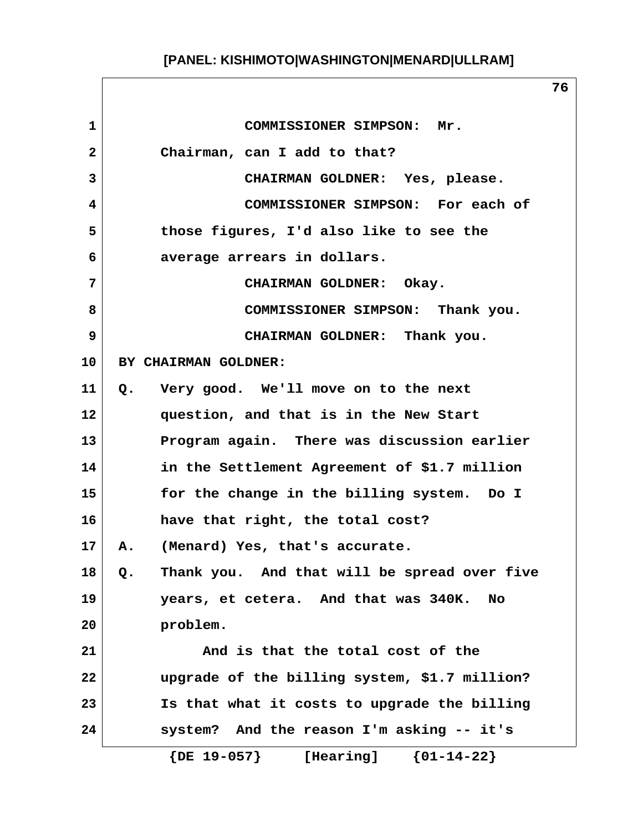**1 COMMISSIONER SIMPSON: Mr. 2 Chairman, can I add to that? 3 CHAIRMAN GOLDNER: Yes, please. 4 COMMISSIONER SIMPSON: For each of 5 those figures, I'd also like to see the 6 average arrears in dollars. 7 CHAIRMAN GOLDNER: Okay. 8 COMMISSIONER SIMPSON: Thank you. 9 CHAIRMAN GOLDNER: Thank you. 10 BY CHAIRMAN GOLDNER: 11 Q. Very good. We'll move on to the next 12 question, and that is in the New Start 13 Program again. There was discussion earlier 14 in the Settlement Agreement of \$1.7 million 15 for the change in the billing system. Do I 16 have that right, the total cost? 17 A. (Menard) Yes, that's accurate. 18 Q. Thank you. And that will be spread over five 19 years, et cetera. And that was 340K. No 20 problem. 21 And is that the total cost of the 22 upgrade of the billing system, \$1.7 million? 23 Is that what it costs to upgrade the billing 24 system? And the reason I'm asking -- it's {DE 19-057} [Hearing] {01-14-22}**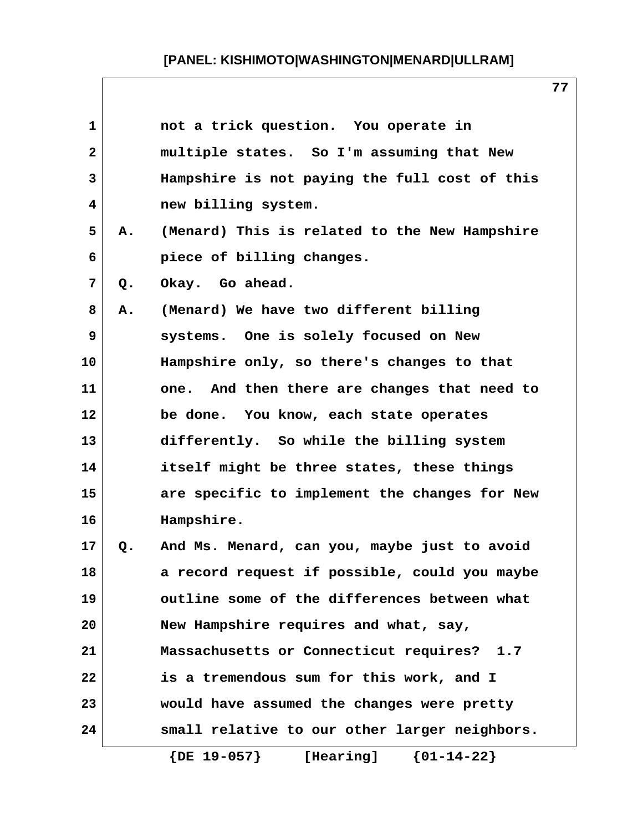| $\mathbf{1}$ |       | not a trick question. You operate in          |
|--------------|-------|-----------------------------------------------|
| $\mathbf{2}$ |       | multiple states. So I'm assuming that New     |
| 3            |       | Hampshire is not paying the full cost of this |
| 4            |       | new billing system.                           |
| 5            | Α.    | (Menard) This is related to the New Hampshire |
| 6            |       | piece of billing changes.                     |
| 7            | $Q$ . | Okay. Go ahead.                               |
| 8            | Α.    | (Menard) We have two different billing        |
| 9            |       | systems. One is solely focused on New         |
| 10           |       | Hampshire only, so there's changes to that    |
| 11           |       | one. And then there are changes that need to  |
| 12           |       | be done. You know, each state operates        |
| 13           |       | differently. So while the billing system      |
| 14           |       | itself might be three states, these things    |
| 15           |       | are specific to implement the changes for New |
| 16           |       | Hampshire.                                    |
| 17           | Q.    | And Ms. Menard, can you, maybe just to avoid  |
| 18           |       | a record request if possible, could you maybe |
| 19           |       | outline some of the differences between what  |
| 20           |       | New Hampshire requires and what, say,         |
| 21           |       | Massachusetts or Connecticut requires? 1.7    |
| 22           |       | is a tremendous sum for this work, and I      |
| 23           |       | would have assumed the changes were pretty    |
| 24           |       | small relative to our other larger neighbors. |
|              |       | ${01-14-22}$<br>$\{DE\ 19-057\}$<br>[Hearing] |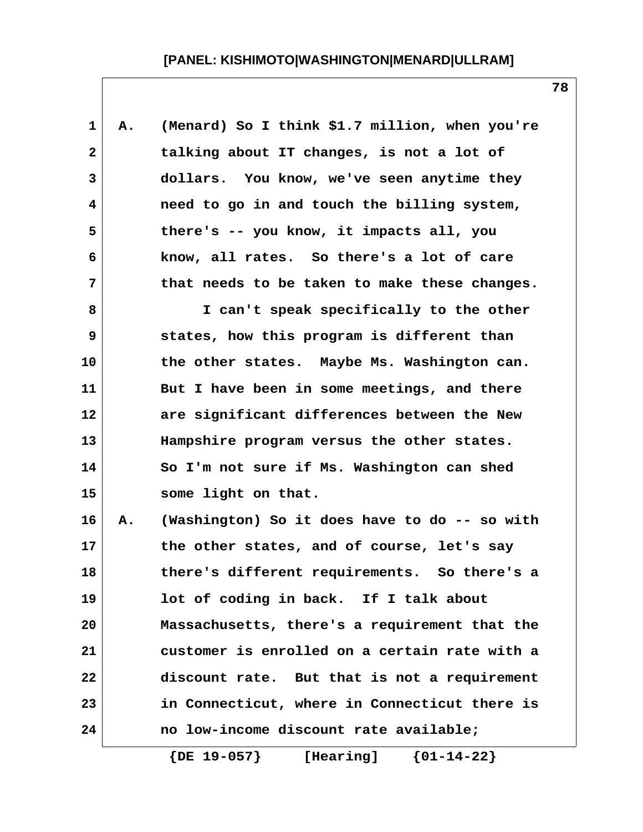| $\mathbf 1$    | Α. | (Menard) So I think \$1.7 million, when you're |
|----------------|----|------------------------------------------------|
| $\overline{2}$ |    | talking about IT changes, is not a lot of      |
| 3              |    | dollars. You know, we've seen anytime they     |
| 4              |    | need to go in and touch the billing system,    |
| 5              |    | there's -- you know, it impacts all, you       |
| 6              |    | know, all rates. So there's a lot of care      |
| 7              |    | that needs to be taken to make these changes.  |
| 8              |    | I can't speak specifically to the other        |
| 9              |    | states, how this program is different than     |
| 10             |    | the other states. Maybe Ms. Washington can.    |
| 11             |    | But I have been in some meetings, and there    |
| 12             |    | are significant differences between the New    |
| 13             |    | Hampshire program versus the other states.     |
| 14             |    | So I'm not sure if Ms. Washington can shed     |
| 15             |    | some light on that.                            |
| 16             | Α. | (Washington) So it does have to do -- so with  |
| 17             |    | the other states, and of course, let's say     |
| 18             |    | there's different requirements. So there's a   |
| 19             |    | lot of coding in back. If I talk about         |
| 20             |    | Massachusetts, there's a requirement that the  |
| 21             |    | customer is enrolled on a certain rate with a  |
| 22             |    | discount rate. But that is not a requirement   |
| 23             |    | in Connecticut, where in Connecticut there is  |
| 24             |    | no low-income discount rate available;         |
|                |    |                                                |

 **{DE 19-057} [Hearing] {01-14-22}**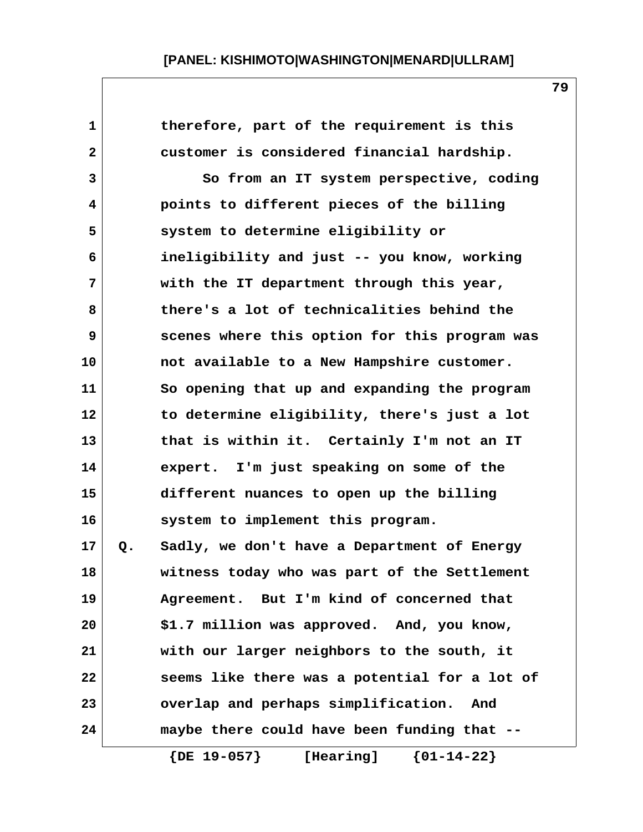| $\mathbf 1$  |    | therefore, part of the requirement is this         |
|--------------|----|----------------------------------------------------|
| $\mathbf{2}$ |    | customer is considered financial hardship.         |
| 3            |    | So from an IT system perspective, coding           |
| 4            |    | points to different pieces of the billing          |
| 5            |    | system to determine eligibility or                 |
| 6            |    | ineligibility and just -- you know, working        |
| 7            |    | with the IT department through this year,          |
| 8            |    | there's a lot of technicalities behind the         |
| 9            |    | scenes where this option for this program was      |
| 10           |    | not available to a New Hampshire customer.         |
| 11           |    | So opening that up and expanding the program       |
| 12           |    | to determine eligibility, there's just a lot       |
| 13           |    | that is within it. Certainly I'm not an IT         |
| 14           |    | expert. I'm just speaking on some of the           |
| 15           |    | different nuances to open up the billing           |
| 16           |    | system to implement this program.                  |
| 17           | Q. | Sadly, we don't have a Department of Energy        |
| 18           |    | witness today who was part of the Settlement       |
| 19           |    | Agreement. But I'm kind of concerned that          |
| 20           |    | \$1.7 million was approved. And, you know,         |
| 21           |    | with our larger neighbors to the south, it         |
| 22           |    | seems like there was a potential for a lot of      |
| 23           |    | overlap and perhaps simplification.<br>And         |
| 24           |    | maybe there could have been funding that --        |
|              |    | $\{$ DE $19-057$ $\}$<br>${01-14-22}$<br>[Hearing] |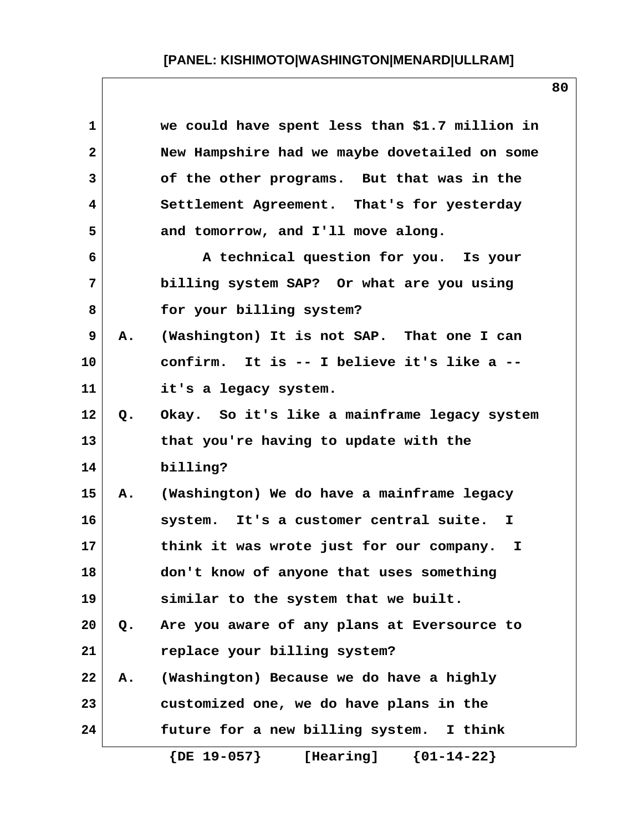| 1            |    | we could have spent less than \$1.7 million in |
|--------------|----|------------------------------------------------|
| $\mathbf{2}$ |    | New Hampshire had we maybe dovetailed on some  |
| 3            |    | of the other programs. But that was in the     |
| 4            |    | Settlement Agreement. That's for yesterday     |
| 5            |    | and tomorrow, and I'll move along.             |
| 6            |    | A technical question for you. Is your          |
| 7            |    | billing system SAP? Or what are you using      |
| 8            |    | for your billing system?                       |
| 9            | А. | (Washington) It is not SAP. That one I can     |
| 10           |    | confirm. It is -- I believe it's like a --     |
| 11           |    | it's a legacy system.                          |
| 12           | Q. | Okay. So it's like a mainframe legacy system   |
| 13           |    | that you're having to update with the          |
| 14           |    | billing?                                       |
| 15           | Α. | (Washington) We do have a mainframe legacy     |
| 16           |    | system. It's a customer central suite. I       |
| 17           |    | think it was wrote just for our company. I     |
| 18           |    | don't know of anyone that uses something       |
| 19           |    | similar to the system that we built.           |
| 20           | Q. | Are you aware of any plans at Eversource to    |
| 21           |    | replace your billing system?                   |
| 22           | Α. | (Washington) Because we do have a highly       |
| 23           |    | customized one, we do have plans in the        |
| 24           |    | future for a new billing system. I think       |
|              |    | $\{DE\ 19-057\}$<br>${01-14-22}$<br>[Hearing]  |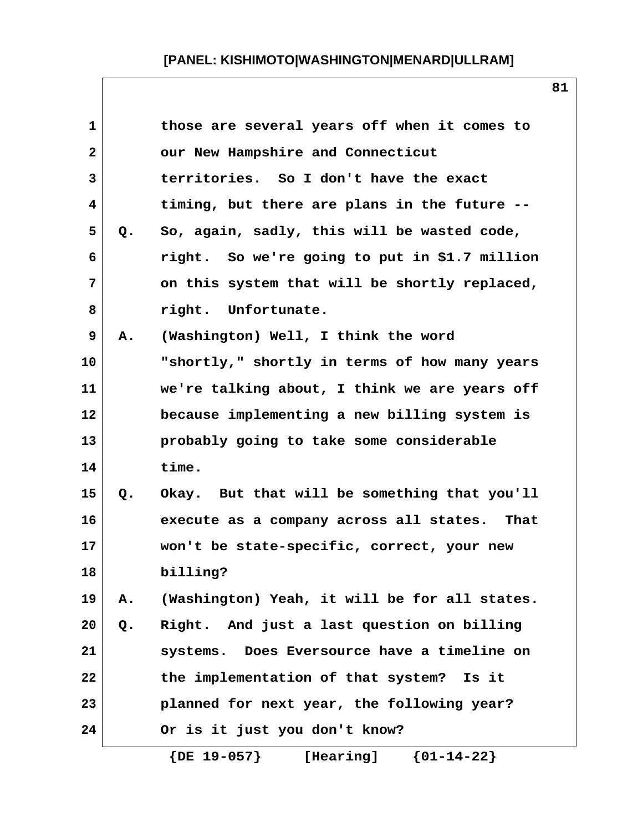| $\mathbf{1}$<br>those are several years off when it comes to<br>$\overline{\mathbf{2}}$<br>our New Hampshire and Connecticut<br>3<br>territories. So I don't have the exact<br>4<br>timing, but there are plans in the future --<br>5<br>So, again, sadly, this will be wasted code,<br>Q.<br>right. So we're going to put in \$1.7 million<br>6<br>7<br>on this system that will be shortly replaced, |  |
|--------------------------------------------------------------------------------------------------------------------------------------------------------------------------------------------------------------------------------------------------------------------------------------------------------------------------------------------------------------------------------------------------------|--|
|                                                                                                                                                                                                                                                                                                                                                                                                        |  |
|                                                                                                                                                                                                                                                                                                                                                                                                        |  |
|                                                                                                                                                                                                                                                                                                                                                                                                        |  |
|                                                                                                                                                                                                                                                                                                                                                                                                        |  |
|                                                                                                                                                                                                                                                                                                                                                                                                        |  |
|                                                                                                                                                                                                                                                                                                                                                                                                        |  |
|                                                                                                                                                                                                                                                                                                                                                                                                        |  |
| 8<br>right. Unfortunate.                                                                                                                                                                                                                                                                                                                                                                               |  |
| 9<br>(Washington) Well, I think the word<br>Α.                                                                                                                                                                                                                                                                                                                                                         |  |
| 10<br>"shortly," shortly in terms of how many years                                                                                                                                                                                                                                                                                                                                                    |  |
| we're talking about, I think we are years off<br>11                                                                                                                                                                                                                                                                                                                                                    |  |
| 12<br>because implementing a new billing system is                                                                                                                                                                                                                                                                                                                                                     |  |
| 13<br>probably going to take some considerable                                                                                                                                                                                                                                                                                                                                                         |  |
| time.<br>14                                                                                                                                                                                                                                                                                                                                                                                            |  |
| 15<br>Okay. But that will be something that you'll<br>Q.                                                                                                                                                                                                                                                                                                                                               |  |
| 16<br>execute as a company across all states. That                                                                                                                                                                                                                                                                                                                                                     |  |
| 17<br>won't be state-specific, correct, your new                                                                                                                                                                                                                                                                                                                                                       |  |
| 18<br>billing?                                                                                                                                                                                                                                                                                                                                                                                         |  |
| 19<br>(Washington) Yeah, it will be for all states.<br>Α.                                                                                                                                                                                                                                                                                                                                              |  |
| Right. And just a last question on billing<br>20<br>Q.                                                                                                                                                                                                                                                                                                                                                 |  |
| 21<br>systems. Does Eversource have a timeline on                                                                                                                                                                                                                                                                                                                                                      |  |
| the implementation of that system? Is it<br>22                                                                                                                                                                                                                                                                                                                                                         |  |
| 23<br>planned for next year, the following year?                                                                                                                                                                                                                                                                                                                                                       |  |
| 24<br>Or is it just you don't know?                                                                                                                                                                                                                                                                                                                                                                    |  |

 **{DE 19-057} [Hearing] {01-14-22}**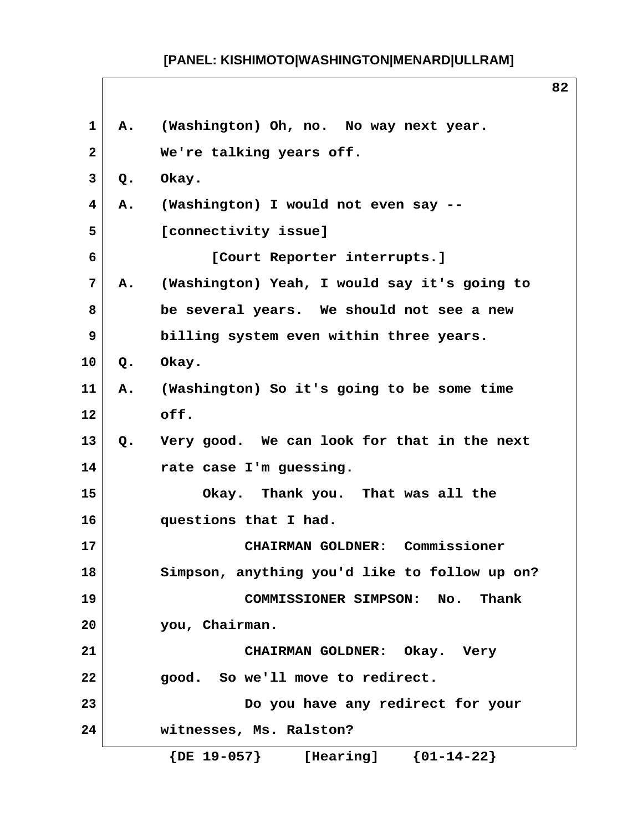| $\mathbf{1}$   |       | A. (Washington) Oh, no. No way next year.     |  |  |  |  |  |
|----------------|-------|-----------------------------------------------|--|--|--|--|--|
| $\mathbf{2}$   |       | We're talking years off.                      |  |  |  |  |  |
| 3              | Q.    | Okay.                                         |  |  |  |  |  |
| 4              | Α.    | (Washington) I would not even say --          |  |  |  |  |  |
| 5              |       | [connectivity issue]                          |  |  |  |  |  |
| 6              |       | [Court Reporter interrupts.]                  |  |  |  |  |  |
| $\overline{7}$ | А.    | (Washington) Yeah, I would say it's going to  |  |  |  |  |  |
| 8              |       | be several years. We should not see a new     |  |  |  |  |  |
| 9              |       | billing system even within three years.       |  |  |  |  |  |
| 10             | $Q$ . | Okay.                                         |  |  |  |  |  |
| 11             | Α.    | (Washington) So it's going to be some time    |  |  |  |  |  |
| 12             |       | off.                                          |  |  |  |  |  |
| 13             | Q.    | Very good. We can look for that in the next   |  |  |  |  |  |
| 14             |       | rate case I'm guessing.                       |  |  |  |  |  |
| 15             |       | Okay. Thank you. That was all the             |  |  |  |  |  |
| 16             |       | questions that I had.                         |  |  |  |  |  |
| 17             |       | CHAIRMAN GOLDNER: Commissioner                |  |  |  |  |  |
| 18             |       | Simpson, anything you'd like to follow up on? |  |  |  |  |  |
| 19             |       | <b>COMMISSIONER SIMPSON:</b><br>Thank<br>No.  |  |  |  |  |  |
| 20             |       | you, Chairman.                                |  |  |  |  |  |
| 21             |       | CHAIRMAN GOLDNER: Okay. Very                  |  |  |  |  |  |
| 22             |       | good. So we'll move to redirect.              |  |  |  |  |  |
| 23             |       | Do you have any redirect for your             |  |  |  |  |  |
| 24             |       | witnesses, Ms. Ralston?                       |  |  |  |  |  |
|                |       | ${01-14-22}$<br>$\{DE\ 19-057\}$<br>[Hearing] |  |  |  |  |  |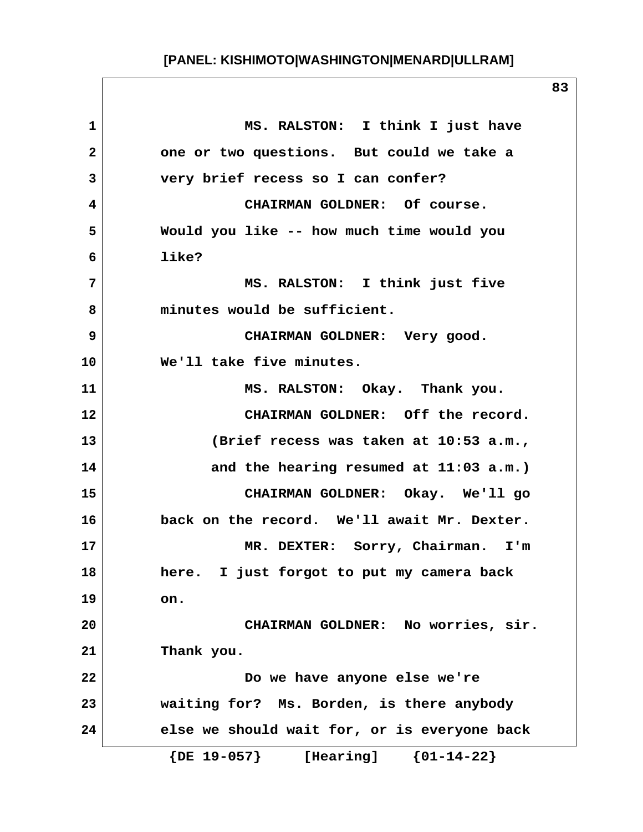1 MS. RALSTON: I think I just have  **2 one or two questions. But could we take a 3 very brief recess so I can confer? 4 CHAIRMAN GOLDNER: Of course. 5 Would you like -- how much time would you 6 like? 7 MS. RALSTON: I think just five 8 minutes would be sufficient. 9 CHAIRMAN GOLDNER: Very good. 10 We'll take five minutes. 11 MS. RALSTON: Okay. Thank you. 12 CHAIRMAN GOLDNER: Off the record. 13 (Brief recess was taken at 10:53 a.m., 14 and the hearing resumed at 11:03 a.m.) 15 CHAIRMAN GOLDNER: Okay. We'll go 16 back on the record. We'll await Mr. Dexter. 17 MR. DEXTER: Sorry, Chairman. I'm 18 here. I just forgot to put my camera back 19 on. 20 CHAIRMAN GOLDNER: No worries, sir. 21 Thank you. 22 Do we have anyone else we're 23 waiting for? Ms. Borden, is there anybody 24 else we should wait for, or is everyone back {DE 19-057} [Hearing] {01-14-22}**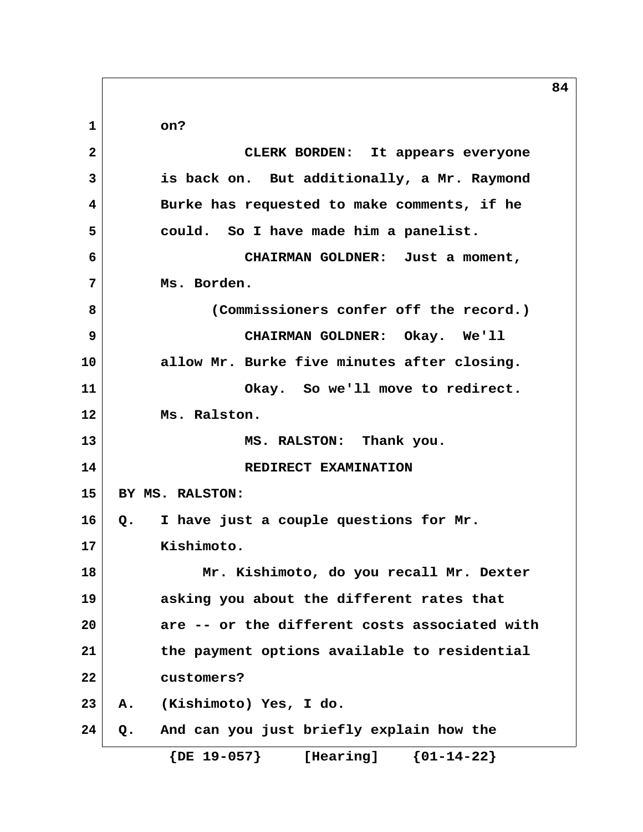**84 1 on? 2 CLERK BORDEN: It appears everyone 3 is back on. But additionally, a Mr. Raymond 4 Burke has requested to make comments, if he 5 could. So I have made him a panelist. 6 CHAIRMAN GOLDNER: Just a moment, 7 Ms. Borden. 8 (Commissioners confer off the record.) 9 CHAIRMAN GOLDNER: Okay. We'll 10 allow Mr. Burke five minutes after closing. 11 Okay. So we'll move to redirect. 12 Ms. Ralston. 13 MS. RALSTON: Thank you. 14** REDIRECT EXAMINATION **15 BY MS. RALSTON: 16 Q. I have just a couple questions for Mr. 17 Kishimoto. 18 Mr. Kishimoto, do you recall Mr. Dexter 19 asking you about the different rates that 20 are -- or the different costs associated with 21 the payment options available to residential 22 customers? 23 A. (Kishimoto) Yes, I do. 24 Q. And can you just briefly explain how the {DE 19-057} [Hearing] {01-14-22}**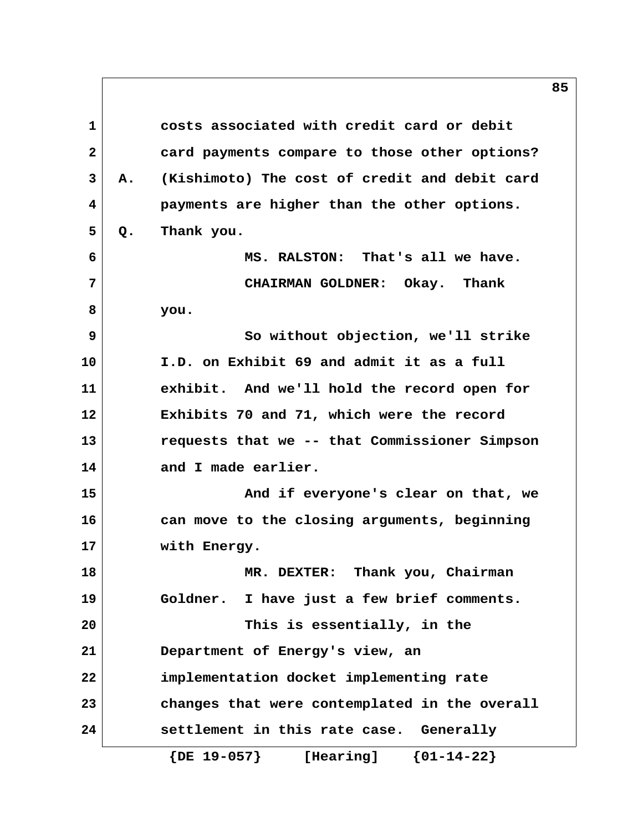**1 costs associated with credit card or debit 2 card payments compare to those other options? 3 A. (Kishimoto) The cost of credit and debit card 4 payments are higher than the other options. 5 Q. Thank you. 6 MS. RALSTON: That's all we have. 7 CHAIRMAN GOLDNER: Okay. Thank 8 you. 9 So without objection, we'll strike 10 I.D. on Exhibit 69 and admit it as a full 11 exhibit. And we'll hold the record open for 12 Exhibits 70 and 71, which were the record 13 requests that we -- that Commissioner Simpson 14 and I made earlier. 15 And if everyone's clear on that, we 16 can move to the closing arguments, beginning 17 with Energy. 18 MR. DEXTER: Thank you, Chairman 19 Goldner. I have just a few brief comments. 20 This is essentially, in the 21 Department of Energy's view, an 22 implementation docket implementing rate 23 changes that were contemplated in the overall 24 settlement in this rate case. Generally {DE 19-057} [Hearing] {01-14-22}**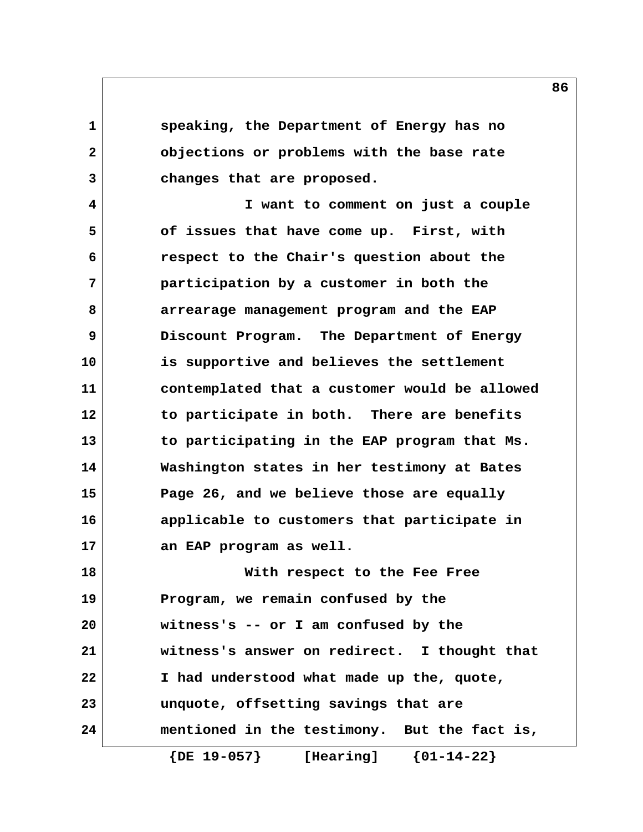**1 speaking, the Department of Energy has no 2 objections or problems with the base rate 3 changes that are proposed.**

 **4 I want to comment on just a couple 5 of issues that have come up. First, with 6 respect to the Chair's question about the 7 participation by a customer in both the 8 arrearage management program and the EAP 9 Discount Program. The Department of Energy 10 is supportive and believes the settlement 11 contemplated that a customer would be allowed 12 to participate in both. There are benefits 13 to participating in the EAP program that Ms. 14 Washington states in her testimony at Bates 15 Page 26, and we believe those are equally 16 applicable to customers that participate in 17 an EAP program as well. 18 With respect to the Fee Free**

**19 Program, we remain confused by the 20 witness's -- or I am confused by the 21 witness's answer on redirect. I thought that 22 I had understood what made up the, quote, 23 unquote, offsetting savings that are 24 mentioned in the testimony. But the fact is, {DE 19-057} [Hearing] {01-14-22}**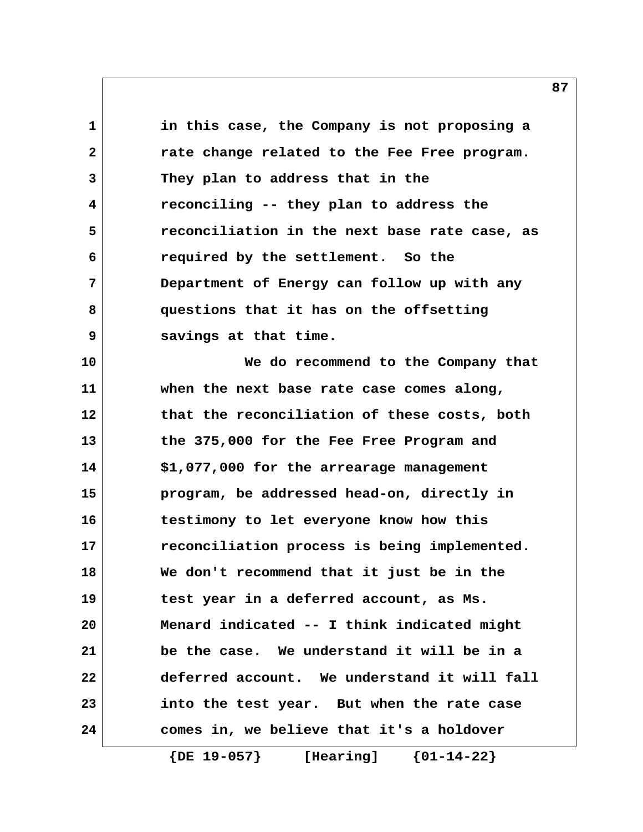**1 in this case, the Company is not proposing a 2 rate change related to the Fee Free program. 3 They plan to address that in the 4 reconciling -- they plan to address the 5 reconciliation in the next base rate case, as 6 required by the settlement. So the 7 Department of Energy can follow up with any 8 questions that it has on the offsetting 9 savings at that time. 10 We do recommend to the Company that 11 when the next base rate case comes along, 12 that the reconciliation of these costs, both 13 the 375,000 for the Fee Free Program and 14 \$1,077,000 for the arrearage management 15 program, be addressed head-on, directly in 16 testimony to let everyone know how this 17 reconciliation process is being implemented. 18 We don't recommend that it just be in the 19 test year in a deferred account, as Ms. 20 Menard indicated -- I think indicated might 21 be the case. We understand it will be in a 22 deferred account. We understand it will fall 23 into the test year. But when the rate case 24 comes in, we believe that it's a holdover**

 **{DE 19-057} [Hearing] {01-14-22}**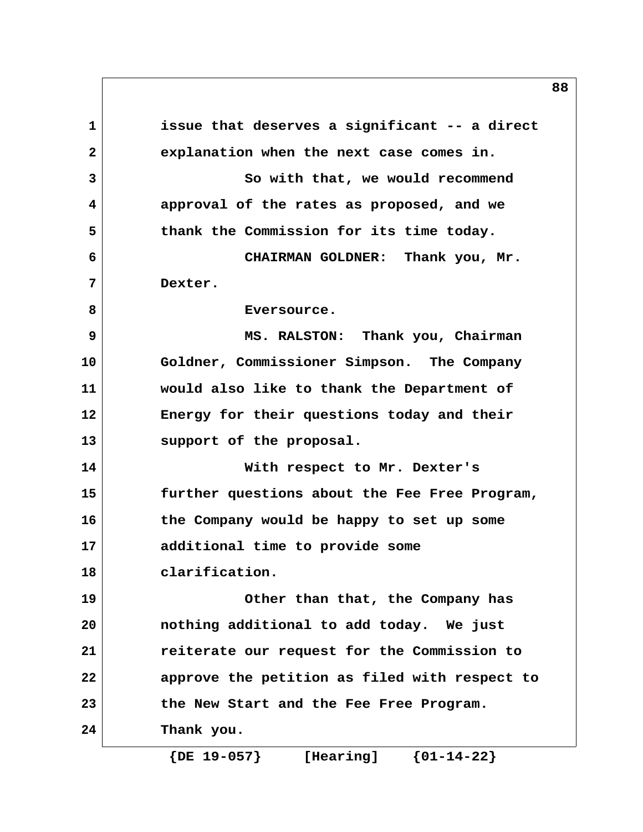**1 issue that deserves a significant -- a direct 2 explanation when the next case comes in. 3** So with that, we would recommend  **4 approval of the rates as proposed, and we 5 thank the Commission for its time today. 6 CHAIRMAN GOLDNER: Thank you, Mr. 7 Dexter.** 8 Byersource.  **9 MS. RALSTON: Thank you, Chairman 10 Goldner, Commissioner Simpson. The Company 11 would also like to thank the Department of 12 Energy for their questions today and their 13 support of the proposal. 14 With respect to Mr. Dexter's 15 further questions about the Fee Free Program, 16 the Company would be happy to set up some 17 additional time to provide some 18 clarification. 19 Other than that, the Company has 20 nothing additional to add today. We just 21 reiterate our request for the Commission to 22 approve the petition as filed with respect to 23 the New Start and the Fee Free Program. 24 Thank you.**

 **{DE 19-057} [Hearing] {01-14-22}**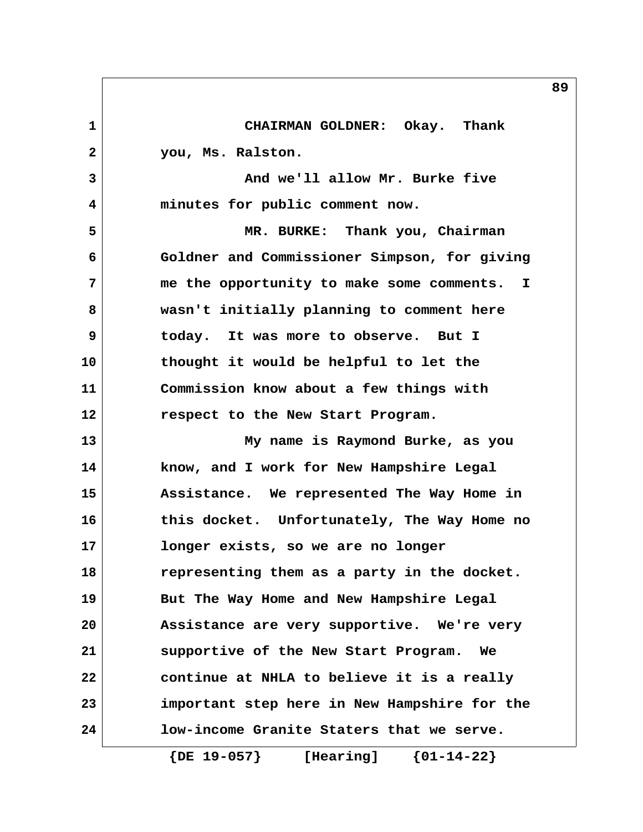**1 CHAIRMAN GOLDNER: Okay. Thank 2 you, Ms. Ralston. 3 And we'll allow Mr. Burke five 4 minutes for public comment now. 5 MR. BURKE: Thank you, Chairman 6 Goldner and Commissioner Simpson, for giving 7 me the opportunity to make some comments. I 8 wasn't initially planning to comment here 9 today. It was more to observe. But I 10 thought it would be helpful to let the 11 Commission know about a few things with 12 respect to the New Start Program. 13 My name is Raymond Burke, as you 14 know, and I work for New Hampshire Legal 15 Assistance. We represented The Way Home in 16 this docket. Unfortunately, The Way Home no 17 longer exists, so we are no longer 18 representing them as a party in the docket. 19 But The Way Home and New Hampshire Legal 20 Assistance are very supportive. We're very 21 supportive of the New Start Program. We 22 continue at NHLA to believe it is a really 23 important step here in New Hampshire for the 24 low-income Granite Staters that we serve.**

 **{DE 19-057} [Hearing] {01-14-22}**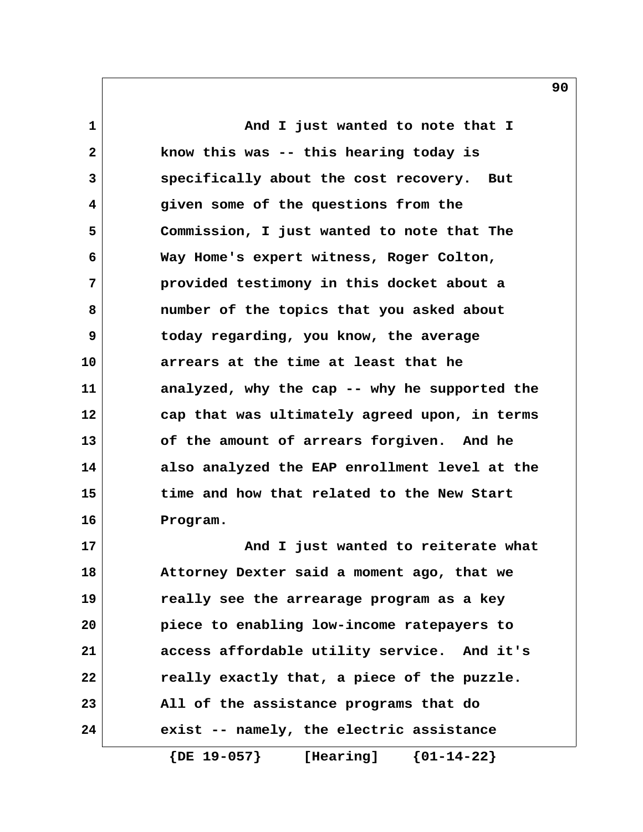**1 And I just wanted to note that I 2 know this was -- this hearing today is 3 specifically about the cost recovery. But 4 given some of the questions from the 5 Commission, I just wanted to note that The 6 Way Home's expert witness, Roger Colton, 7 provided testimony in this docket about a 8 number of the topics that you asked about 9 today regarding, you know, the average 10 arrears at the time at least that he 11 analyzed, why the cap -- why he supported the 12 cap that was ultimately agreed upon, in terms 13 of the amount of arrears forgiven. And he 14 also analyzed the EAP enrollment level at the 15 time and how that related to the New Start 16 Program. 17 And I just wanted to reiterate what**

**18 Attorney Dexter said a moment ago, that we 19 really see the arrearage program as a key 20 piece to enabling low-income ratepayers to 21 access affordable utility service. And it's 22 really exactly that, a piece of the puzzle. 23 All of the assistance programs that do 24 exist -- namely, the electric assistance**

 **{DE 19-057} [Hearing] {01-14-22}**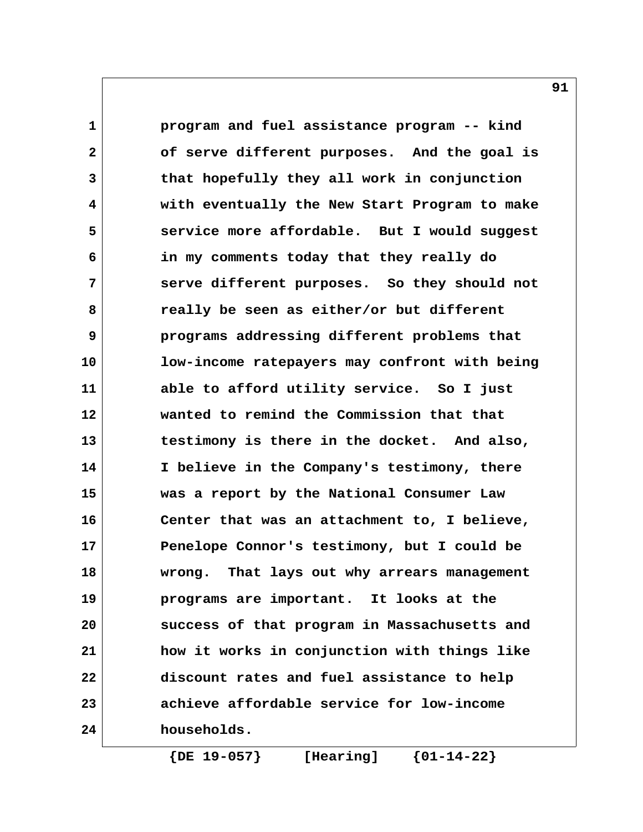**1 program and fuel assistance program -- kind 2 of serve different purposes. And the goal is 3 that hopefully they all work in conjunction 4 with eventually the New Start Program to make 5 service more affordable. But I would suggest 6 in my comments today that they really do 7 serve different purposes. So they should not 8 really be seen as either/or but different 9 programs addressing different problems that 10 low-income ratepayers may confront with being 11 able to afford utility service. So I just 12 wanted to remind the Commission that that 13 testimony is there in the docket. And also, 14 I believe in the Company's testimony, there 15 was a report by the National Consumer Law 16 Center that was an attachment to, I believe, 17 Penelope Connor's testimony, but I could be 18 wrong. That lays out why arrears management 19 programs are important. It looks at the 20 success of that program in Massachusetts and 21 how it works in conjunction with things like 22 discount rates and fuel assistance to help 23 achieve affordable service for low-income 24 households.**

 **{DE 19-057} [Hearing] {01-14-22}**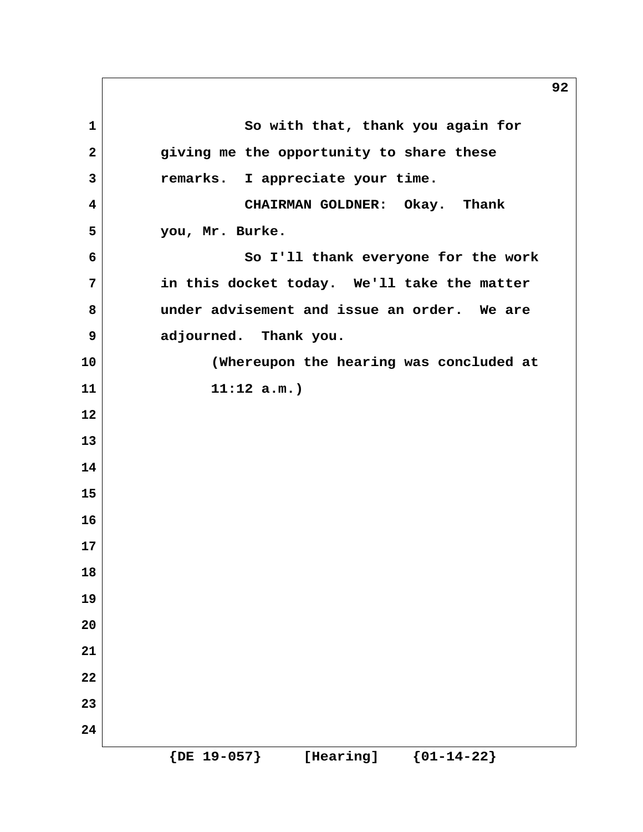**1** So with that, thank you again for  **2 giving me the opportunity to share these 3 remarks. I appreciate your time. 4 CHAIRMAN GOLDNER: Okay. Thank 5 you, Mr. Burke. 6 So I'll thank everyone for the work 7 in this docket today. We'll take the matter 8 under advisement and issue an order. We are 9 adjourned. Thank you. 10 (Whereupon the hearing was concluded at 11 11:12 a.m.) 12 13 14 15 16 17 18 19 20 21 22 23 24 {DE 19-057} [Hearing] {01-14-22}**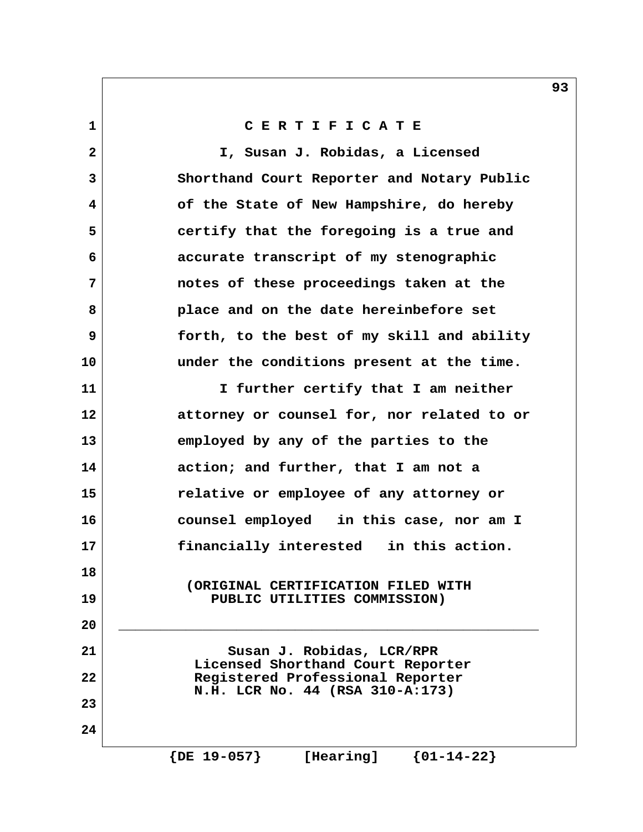**1 C E R T I F I C A T E**

 **2 I, Susan J. Robidas, a Licensed 3 Shorthand Court Reporter and Notary Public 4 of the State of New Hampshire, do hereby 5 certify that the foregoing is a true and 6 accurate transcript of my stenographic 7 notes of these proceedings taken at the 8 place and on the date hereinbefore set 9 forth, to the best of my skill and ability 10 under the conditions present at the time. 11 I further certify that I am neither 12 attorney or counsel for, nor related to or 13 employed by any of the parties to the 14 action; and further, that I am not a 15 relative or employee of any attorney or 16 counsel employed in this case, nor am I 17 financially interested in this action. 18 (ORIGINAL CERTIFICATION FILED WITH 19 PUBLIC UTILITIES COMMISSION) 20 \_\_\_\_\_\_\_\_\_\_\_\_\_\_\_\_\_\_\_\_\_\_\_\_\_\_\_\_\_\_\_\_\_\_\_\_\_\_\_\_\_\_\_\_\_\_\_\_\_\_** 21 Susan J. Robidas, LCR/RPR  **Licensed Shorthand Court Reporter 22 Registered Professional Reporter N.H. LCR No. 44 (RSA 310-A:173) 23 24 {DE 19-057} [Hearing] {01-14-22}**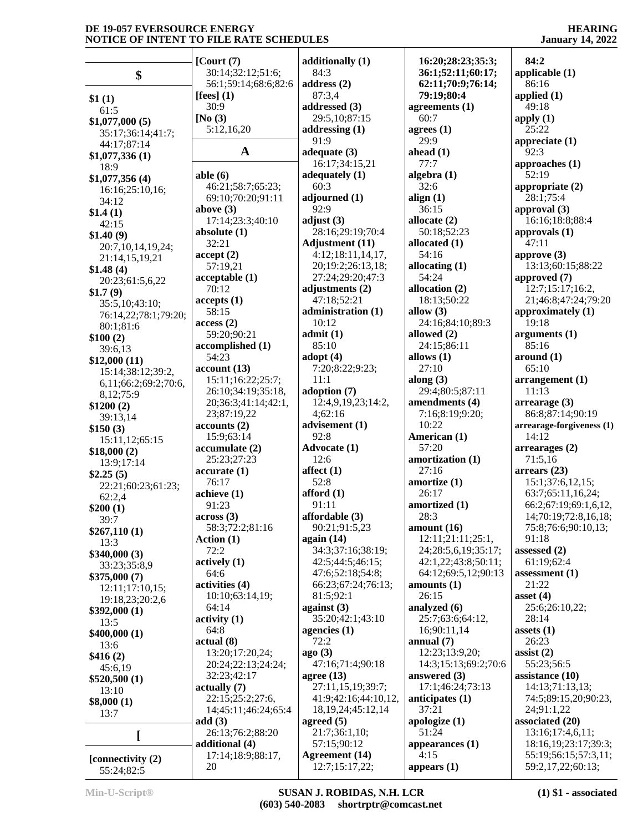**HEARING January 14, 2022**

|                      | [Court (7)]           | additionally (1)       | 16:20;28:23;35:3;    | 84:2                      |
|----------------------|-----------------------|------------------------|----------------------|---------------------------|
| \$                   | 30:14;32:12;51:6;     | 84:3                   | 36:1;52:11;60:17;    | applicable $(1)$          |
|                      | 56:1;59:14;68:6;82:6  | address (2)            | 62:11;70:9;76:14;    | 86:16                     |
| \$1(1)               | [fees] $(1)$          | 87:3,4                 | 79:19;80:4           | applied $(1)$             |
| 61:5                 | 30:9                  | addressed (3)          | agreements $(1)$     | 49:18                     |
| \$1,077,000(5)       | [No $(3)$             | 29:5,10;87:15          | 60:7                 | apply $(1)$               |
| 35:17;36:14;41:7;    | 5:12,16,20            | addressing $(1)$       | agrees $(1)$         | 25:22                     |
| 44:17:87:14          |                       | 91:9                   | 29:9                 | appreciate $(1)$          |
| \$1,077,336(1)       | $\mathbf A$           | adequate $(3)$         | ahead $(1)$          | 92:3                      |
| 18:9                 |                       | 16:17;34:15,21         | 77:7                 | approaches $(1)$          |
|                      | able $(6)$            | adequately $(1)$       | algebra (1)          | 52:19                     |
| \$1,077,356(4)       | 46:21;58:7;65:23;     | 60:3                   | 32:6                 | appropriate $(2)$         |
| 16:16;25:10,16;      | 69:10;70:20;91:11     | adjourned (1)          | align $(1)$          | 28:1;75:4                 |
| 34:12                | above $(3)$           | 92:9                   | 36:15                | approval $(3)$            |
| \$1.4(1)             | 17:14;23:3;40:10      | adjust $(3)$           | allocate (2)         | 16:16;18:8;88:4           |
| 42:15                |                       | 28:16;29:19;70:4       | 50:18;52:23          | approvals $(1)$           |
| \$1.40(9)            | absolute $(1)$        |                        |                      |                           |
| 20:7,10,14,19,24;    | 32:21                 | <b>Adjustment</b> (11) | allocated (1)        | 47:11                     |
| 21:14,15,19,21       | accept(2)             | 4:12;18:11,14,17,      | 54:16                | approve $(3)$             |
| \$1.48(4)            | 57:19,21              | 20;19:2;26:13,18;      | allocating $(1)$     | 13:13;60:15;88:22         |
| 20:23;61:5,6,22      | acceptable(1)         | 27:24;29:20;47:3       | 54:24                | approved (7)              |
| \$1.7(9)             | 70:12                 | adjustments (2)        | allocation (2)       | 12:7;15:17;16:2,          |
| 35:5,10;43:10;       | accepts(1)            | 47:18;52:21            | 18:13:50:22          | 21;46:8;47:24;79:20       |
| 76:14,22;78:1;79:20; | 58:15                 | administration (1)     | allow $(3)$          | approximately (1)         |
| 80:1;81:6            | access(2)             | 10:12                  | 24:16:84:10:89:3     | 19:18                     |
| \$100(2)             | 59:20;90:21           | admit(1)               | allowed (2)          | arguments $(1)$           |
| 39:6,13              | accomplished (1)      | 85:10                  | 24:15;86:11          | 85:16                     |
| \$12,000(11)         | 54:23                 | adopt $(4)$            | allows $(1)$         | around (1)                |
|                      | account(13)           | 7:20;8:22;9:23;        | 27:10                | 65:10                     |
| 15:14;38:12;39:2,    | 15:11;16:22;25:7;     | 11:1                   | along $(3)$          | arrangement(1)            |
| 6,11;66:2;69:2;70:6, | 26:10;34:19;35:18,    | adoption (7)           | 29:4;80:5;87:11      | 11:13                     |
| 8,12;75:9            | 20;36:3;41:14;42:1,   | 12:4,9,19,23;14:2,     | amendments (4)       | $\arrearage(3)$           |
| \$1200(2)            | 23;87:19,22           | 4;62:16                | 7:16;8:19;9:20;      | 86:8;87:14;90:19          |
| 39:13,14             |                       |                        | 10:22                |                           |
| \$150(3)             | accounts(2)           | advisement (1)         |                      | arrearage-forgiveness (1) |
| 15:11,12;65:15       | 15:9;63:14            | 92:8                   | American (1)         | 14:12                     |
| \$18,000(2)          | accumulate(2)         | <b>Advocate (1)</b>    | 57:20                | arrearages (2)            |
| 13:9;17:14           | 25:23;27:23           | 12:6                   | amortization (1)     | 71:5,16                   |
| \$2.25(5)            | accurate(1)           | affect $(1)$           | 27:16                | arrears(23)               |
| 22:21;60:23;61:23;   | 76:17                 | 52:8                   | amortize (1)         | 15:1;37:6,12,15;          |
| 62:2,4               | achieve (1)           | afford $(1)$           | 26:17                | 63:7;65:11,16,24;         |
| \$200(1)             | 91:23                 | 91:11                  | amortized (1)        | 66:2;67:19;69:1,6,12,     |
| 39:7                 | across(3)             | affordable (3)         | 28:3                 | 14;70:19;72:8,16,18;      |
| \$267,110(1)         | 58:3;72:2;81:16       | 90:21;91:5,23          | amount $(16)$        | 75:8;76:6;90:10,13;       |
|                      | Action (1)            | again $(14)$           | 12:11;21:11;25:1,    | 91:18                     |
| 13:3<br>\$340,000(3) | 72:2                  | 34:3;37:16;38:19;      | 24;28:5,6,19;35:17;  | assessed $(2)$            |
|                      | actively(1)           | 42:5;44:5;46:15;       | 42:1,22;43:8;50:11;  | 61:19;62:4                |
| 33:23;35:8,9         | 64:6                  | 47:6;52:18;54:8;       | 64:12;69:5,12;90:13  | assessment $(1)$          |
| \$375,000(7)         | activities (4)        | 66:23;67:24;76:13;     | amounts $(1)$        | 21:22                     |
| 12:11;17:10,15;      | 10:10:63:14,19;       | 81:5;92:1              | 26:15                | asset $(4)$               |
| 19:18,23;20:2,6      |                       | against $(3)$          | analyzed $(6)$       | 25:6;26:10,22;            |
| \$392,000(1)         | 64:14                 | 35:20;42:1;43:10       |                      |                           |
| 13:5                 | $\text{activity} (1)$ |                        | 25:7;63:6;64:12,     | 28:14                     |
| \$400,000(1)         | 64:8                  | agencies $(1)$         | 16;90:11,14          | assets $(1)$              |
| 13:6                 | actual(8)             | 72:2                   | annual $(7)$         | 26:23                     |
| \$416(2)             | 13:20;17:20,24;       | ago(3)                 | 12:23;13:9,20;       | assist $(2)$              |
| 45:6,19              | 20:24;22:13;24:24;    | 47:16;71:4;90:18       | 14:3;15:13;69:2;70:6 | 55:23;56:5                |
| \$520,500(1)         | 32:23;42:17           | agree $(13)$           | answered $(3)$       | assistance (10)           |
| 13:10                | actually(7)           | 27:11,15,19;39:7;      | 17:1;46:24;73:13     | 14:13;71:13,13;           |
| \$8,000(1)           | 22:15;25:2;27:6,      | 41:9;42:16;44:10,12,   | anticipates $(1)$    | 74:5;89:15,20;90:23,      |
|                      | 14;45:11;46:24;65:4   | 18, 19, 24; 45: 12, 14 | 37:21                | 24;91:1,22                |
| 13:7                 | add(3)                | agreed $(5)$           | apologize $(1)$      | associated (20)           |
|                      | 26:13;76:2;88:20      | 21:7;36:1,10;          | 51:24                | 13:16;17:4,6,11;          |
| L                    | additional (4)        | 57:15;90:12            | appearances $(1)$    | 18:16, 19; 23:17; 39:3;   |
|                      | 17:14;18:9;88:17,     | Agreement (14)         | 4:15                 | 55:19;56:15;57:3,11;      |
| [connectivity (2)    | 20                    |                        |                      | 59:2,17,22;60:13;         |
| 55:24;82:5           |                       | 12:7;15:17,22;         | appears $(1)$        |                           |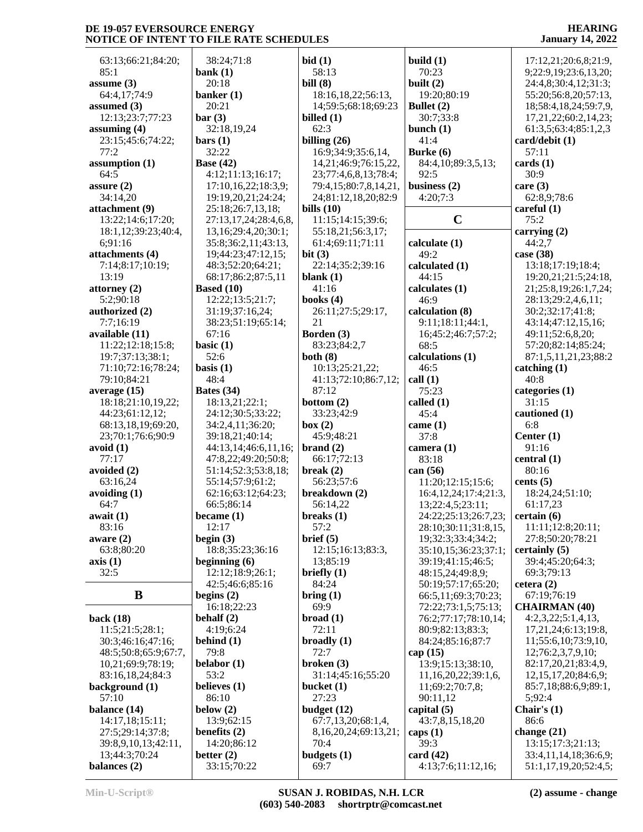**HEARING January 14, 2022**

| 63:13;66:21;84:20;   | 38:24;71:8            | bid(1)                     | build $(1)$                        | 17:12,21;20:6,8;21:9,     |
|----------------------|-----------------------|----------------------------|------------------------------------|---------------------------|
| 85:1                 | bank $(1)$            | 58:13                      | 70:23                              | 9;22:9,19;23:6,13,20;     |
| assume $(3)$         | 20:18                 | bill $(8)$                 | built $(2)$                        | 24:4,8;30:4,12;31:3;      |
| 64:4,17;74:9         | banker $(1)$          | 18:16,18,22;56:13,         | 19:20;80:19                        | 55:20;56:8,20;57:13,      |
| assumed $(3)$        | 20:21                 | 14;59:5;68:18;69:23        | Bullet (2)                         | 18;58:4,18,24;59:7,9,     |
| 12:13:23:7:77:23     | bar(3)                | billed $(1)$               | 30:7;33:8                          | 17,21,22;60:2,14,23;      |
| assuming $(4)$       | 32:18,19,24           | 62:3                       | bunch $(1)$                        | 61:3,5;63:4;85:1,2,3      |
| 23:15;45:6;74:22;    | bars(1)               | billing $(26)$             | 41:4                               | card/debit (1)            |
| 77:2                 | 32:22                 | 16:9;34:9;35:6,14,         | Burke $(6)$                        | 57:11                     |
| assumption (1)       | <b>Base (42)</b>      | 14,21;46:9;76:15,22,       | 84:4,10;89:3,5,13;                 | cards(1)                  |
| 64:5                 | 4:12;11:13;16:17;     |                            | 92:5                               | 30:9                      |
|                      |                       | 23;77:4,6,8,13;78:4;       |                                    |                           |
| assure $(2)$         | 17:10,16,22;18:3,9;   | 79:4,15;80:7,8,14,21,      | business $(2)$                     | care $(3)$                |
| 34:14,20             | 19:19,20,21;24:24;    | 24;81:12,18,20;82:9        | 4:20;7:3                           | 62:8,9;78:6               |
| attachment (9)       | 25:18;26:7,13,18;     | bills $(10)$               |                                    | careful $(1)$             |
| 13:22;14:6;17:20;    | 27:13,17,24;28:4,6,8, | 11:15;14:15;39:6;          | $\mathbf C$                        | 75:2                      |
| 18:1,12;39:23;40:4,  | 13,16;29:4,20;30:1;   | 55:18,21;56:3,17;          |                                    | carrying $(2)$            |
| 6;91:16              | 35:8;36:2,11;43:13,   | 61:4;69:11;71:11           | calculate (1)                      | 44:2,7                    |
| attachments (4)      | 19;44:23;47:12,15;    | bit(3)                     | 49:2                               | case (38)                 |
| 7:14;8:17;10:19;     | 48:3;52:20;64:21;     | 22:14;35:2;39:16           | calculated (1)                     | 13:18;17:19;18:4;         |
| 13:19                | 68:17;86:2;87:5,11    | blank $(1)$                | 44:15                              | 19:20,21;21:5;24:18,      |
| attorney $(2)$       | <b>Based (10)</b>     | 41:16                      | calculates (1)                     | 21;25:8,19;26:1,7,24;     |
| 5:2;90:18            | 12:22;13:5;21:7;      | books $(4)$                | 46:9                               | 28:13;29:2,4,6,11;        |
| authorized (2)       | 31:19;37:16,24;       | 26:11;27:5;29:17,          | calculation (8)                    | 30:2;32:17;41:8;          |
| 7:7;16:19            | 38:23;51:19;65:14;    | 21                         | 9:11;18:11;44:1,                   | 43:14;47:12,15,16;        |
| available (11)       | 67:16                 | Borden (3)                 | 16;45:2;46:7;57:2;                 | 49:11;52:6,8,20;          |
| 11:22;12:18;15:8;    | basic $(1)$           | 83:23;84:2,7               | 68:5                               | 57:20;82:14;85:24;        |
| 19:7;37:13;38:1;     | 52:6                  | both $(8)$                 | calculations (1)                   | 87:1,5,11,21,23;88:2      |
| 71:10;72:16;78:24;   | basis $(1)$           | 10:13;25:21,22;            | 46:5                               | catching(1)               |
| 79:10;84:21          | 48:4                  | 41:13;72:10;86:7,12;       | call(1)                            | 40:8                      |
| average $(15)$       | Bates (34)            | 87:12                      | 75:23                              | categories (1)            |
| 18:18;21:10,19,22;   | 18:13,21;22:1;        | bottom $(2)$               | called $(1)$                       | 31:15                     |
| 44:23;61:12,12;      | 24:12;30:5;33:22;     | 33:23;42:9                 | 45:4                               | cautioned (1)             |
| 68:13,18,19;69:20,   | 34:2,4,11;36:20;      | box (2)                    | came $(1)$                         | 6:8                       |
| 23;70:1;76:6;90:9    | 39:18,21;40:14;       | 45:9;48:21                 | 37:8                               | Center $(1)$              |
| avoid(1)             | 44:13,14;46:6,11,16;  | brand(2)                   | camera $(1)$                       | 91:16                     |
| 77:17                | 47:8,22;49:20;50:8;   | 66:17;72:13                | 83:18                              | central $(1)$             |
| avoided (2)          | 51:14;52:3;53:8,18;   | break $(2)$                | can $(56)$                         | 80:16                     |
| 63:16,24             | 55:14;57:9;61:2;      | 56:23;57:6                 | 11:20;12:15;15:6;                  | cents $(5)$               |
| avoiding $(1)$       | 62:16;63:12;64:23;    | breakdown (2)              | 16:4, 12, 24; 17:4; 21:3,          | 18:24,24;51:10;           |
| 64:7                 | 66:5;86:14            | 56:14,22                   |                                    | 61:17,23                  |
|                      |                       |                            | 13;22:4,5;23:11;                   |                           |
| await(1)             | became $(1)$          | breaks $(1)$               | $24:22;25:13;26:7,23;$ certain (6) |                           |
| 83:16                | 12:17                 | 57:2                       | 28:10;30:11;31:8,15,               | 11:11;12:8;20:11;         |
| aware $(2)$          | begin $(3)$           | brief (5)                  | 19;32:3;33:4;34:2;                 | 27:8;50:20;78:21          |
| 63:8;80:20           | 18:8;35:23;36:16      | 12:15;16:13;83:3,          | 35:10,15;36:23;37:1;               | certainly(5)              |
| axis(1)              | beginning $(6)$       | 13;85:19                   | 39:19;41:15;46:5;                  | 39:4;45:20;64:3;          |
| 32:5                 | 12:12;18:9;26:1;      | briefly $(1)$              | 48:15,24;49:8,9;                   | 69:3;79:13                |
|                      | 42:5;46:6;85:16       | 84:24                      | 50:19;57:17;65:20;                 | cetera $(2)$              |
| B                    | begins $(2)$          | $\text{bring} (1)$         | 66:5,11;69:3;70:23;                | 67:19;76:19               |
|                      | 16:18;22:23           | 69:9                       | 72:22;73:1,5;75:13;                | <b>CHAIRMAN (40)</b>      |
| back $(18)$          | behalf $(2)$          | broad(1)                   | 76:2;77:17;78:10,14;               | 4:2,3,22;5:1,4,13,        |
| 11:5;21:5;28:1;      | 4:19;6:24             | 72:11                      | 80:9;82:13;83:3;                   | 17,21,24;6:13;19:8,       |
| 30:3;46:16;47:16;    | behind $(1)$          | broadly(1)                 | 84:24;85:16;87:7                   | 11;55:6,10;73:9,10,       |
| 48:5;50:8;65:9;67:7, | 79:8                  | 72:7                       | cap $(15)$                         | 12;76:2,3,7,9,10;         |
| 10,21;69:9;78:19;    | belabor $(1)$         | broken $(3)$               | 13:9;15:13;38:10,                  | 82:17,20,21;83:4,9,       |
| 83:16,18,24;84:3     | 53:2                  | 31:14;45:16;55:20          | 11,16,20,22;39:1,6,                | 12, 15, 17, 20; 84: 6, 9; |
| background (1)       | believes (1)          | bucket (1)                 | 11;69:2;70:7,8;                    | 85:7,18;88:6,9;89:1,      |
| 57:10                | 86:10                 | 27:23                      | 90:11,12                           | 5:92:4                    |
| balance (14)         | below $(2)$           | budget $(12)$              | capital $(5)$                      | Chair's $(1)$             |
| 14:17,18;15:11;      | 13:9;62:15            | 67:7,13,20;68:1,4,         | 43:7,8,15,18,20                    | 86:6                      |
| 27:5;29:14;37:8;     | benefits $(2)$        | 8, 16, 20, 24; 69: 13, 21; | caps $(1)$                         | change $(21)$             |
| 39:8,9,10,13;42:11,  | 14:20;86:12           | 70:4                       | 39:3                               | 13:15;17:3;21:13;         |
| 13;44:3;70:24        | better $(2)$          | budgets $(1)$              | card $(42)$                        | 33:4,11,14,18;36:6,9;     |
| balances (2)         | 33:15;70:22           | 69:7                       | 4:13;7:6;11:12,16;                 | 51:1,17,19,20;52:4,5;     |
|                      |                       |                            |                                    |                           |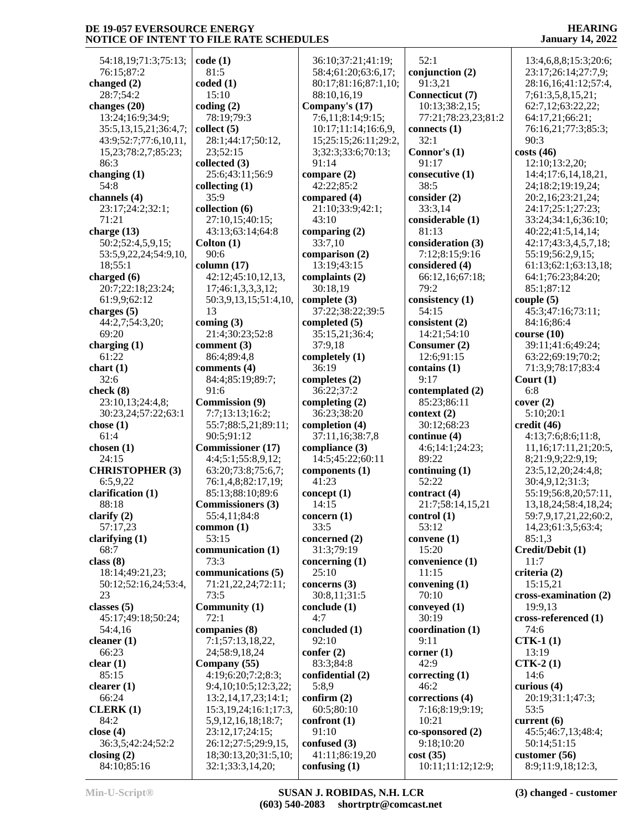54:18,19;71:3;75:13; 76:15;87:2 **changed (2)** 28:7;54:2 **changes (20)** 13:24;16:9;34:9; 35:5,13,15,21;36:4,7; 43:9;52:7;77:6,10,11, 15,23;78:2,7;85:23; 86:3 **changing (1)** 54:8 **channels (4)** 23:17;24:2;32:1; 71:21 **charge (13)** 50:2;52:4,5,9,15; 53:5,9,22,24;54:9,10, 18;55:1 **charged (6)** 20:7;22:18;23:24; 61:9,9;62:12 **charges (5)** 44:2,7;54:3,20; 69:20 **charging (1)** 61:22 **chart (1)** 32:6 **check (8)** 23:10,13;24:4,8; 30:23,24;57:22;63:1 **chose (1)** 61:4 **chosen (1)** 24:15 **CHRISTOPHER (3)** 6:5,9,22 **clarification (1)** 88:18 **clarify (2)** 57:17,23 **clarifying (1)** 68:7 **class (8)** 18:14;49:21,23; 50:12;52:16,24;53:4, 23 **classes (5)** 45:17;49:18;50:24; 54:4,16 **cleaner (1)** 66:23 **clear (1)** 85:15 **clearer (1)** 66:24 **CLERK (1)** 84:2 **close (4)** 36:3,5;42:24;52:2 **closing (2)** 84:10;85:16

**code (1)** 81:5 **coded (1)** 15:10 **coding (2)** 78:19;79:3 **collect (5)** 28:1;44:17;50:12, 23;52:15 **collected (3)** 25:6;43:11;56:9 **collecting (1)** 35:9 **collection (6)** 27:10,15;40:15; 43:13;63:14;64:8 **Colton (1)** 90:6 **column (17)** 42:12;45:10,12,13, 17;46:1,3,3,3,12; 50:3,9,13,15;51:4,10, 13 **coming (3)** 21:4;30:23;52:8 **comment (3)** 86:4;89:4,8 **comments (4)** 84:4;85:19;89:7; 91:6 **Commission (9)** 7:7;13:13;16:2; 55:7;88:5,21;89:11; 90:5;91:12 **Commissioner (17)** 4:4;5:1;55:8,9,12; 63:20;73:8;75:6,7; 76:1,4,8;82:17,19; 85:13;88:10;89:6 **Commissioners (3)** 55:4,11;84:8 **common (1)** 53:15 **communication (1)** 73:3 **communications (5)** 71:21,22,24;72:11; 73:5 **Community (1)** 72:1 **companies (8)** 7:1;57:13,18,22, 24;58:9,18,24 **Company (55)** 4:19;6:20;7:2;8:3; 9:4,10;10:5;12:3,22; 13:2,14,17,23;14:1; 15:3,19,24;16:1;17:3, 5,9,12,16,18;18:7; 23:12,17;24:15; 26:12;27:5;29:9,15, 18;30:13,20;31:5,10;

32:1;33:3,14,20;

 36:10;37:21;41:19; 58:4;61:20;63:6,17; 80:17;81:16;87:1,10; 88:10,16,19 **Company's (17)** 7:6,11;8:14;9:15; 10:17;11:14;16:6,9, 15;25:15;26:11;29:2, 3;32:3;33:6;70:13; 91:14 **compare (2)** 42:22;85:2 **compared (4)** 21:10;33:9;42:1; 43:10 **comparing (2)** 33:7,10 **comparison (2)** 13:19;43:15 **complaints (2)** 30:18,19 **complete (3)** 37:22;38:22;39:5 **completed (5)** 35:15,21;36:4; 37:9,18 **completely (1)** 36:19 **completes (2)** 36:22;37:2 **completing (2)** 36:23;38:20 **completion (4)** 37:11,16;38:7,8 **compliance (3)** 14:5;45:22;60:11 **components (1)** 41:23 **concept (1)** 14:15 **concern (1)** 33:5 **concerned (2)** 31:3;79:19 **concerning (1)** 25:10 **concerns (3)** 30:8,11;31:5 **conclude (1)** 4:7 **concluded (1)** 92:10 **confer (2)** 83:3;84:8 **confidential (2)** 5:8,9 **confirm (2)** 60:5;80:10 **confront (1)** 91:10 **confused (3)** 41:11;86:19,20 **confusing (1)**

 52:1 **conjunction (2)** 91:3,21 **Connecticut (7)** 10:13;38:2,15; 77:21;78:23,23;81:2 **connects (1)** 32:1 **Connor's (1)** 91:17 **consecutive (1)** 38:5 **consider (2)** 33:3,14 **considerable (1)** 81:13 **consideration (3)** 7:12;8:15;9:16 **considered (4)** 66:12,16;67:18; 79:2 **consistency (1)** 54:15 **consistent (2)** 14:21;54:10 **Consumer (2)** 12:6;91:15 **contains (1)** 9:17 **contemplated (2)** 85:23;86:11 **context (2)** 30:12;68:23 **continue (4)** 4:6;14:1;24:23; 89:22 **continuing (1)** 52:22 **contract (4)** 21:7;58:14,15,21 **control (1)** 53:12 **convene (1)** 15:20 **convenience (1)** 11:15 **convening (1)** 70:10 **conveyed (1)** 30:19 **coordination (1)** 9:11 **corner (1)** 42:9 **correcting (1)** 46:2 **corrections (4)** 7:16;8:19;9:19; 10:21 **co-sponsored (2)** 9:18;10:20 **cost (35)** 10:11;11:12;12:9;

#### **HEARING January 14, 2022**

 13:4,6,8,8;15:3;20:6; 23:17;26:14;27:7,9; 28:16,16;41:12;57:4, 7;61:3,5,8,15,21; 62:7,12;63:22,22; 64:17,21;66:21; 76:16,21;77:3;85:3; 90:3 **costs (46)** 12:10;13:2,20; 14:4;17:6,14,18,21, 24;18:2;19:19,24; 20:2,16;23:21,24; 24:17;25:1;27:23; 33:24;34:1,6;36:10; 40:22;41:5,14,14; 42:17;43:3,4,5,7,18; 55:19;56:2,9,15; 61:13;62:1;63:13,18; 64:1;76:23;84:20; 85:1;87:12 **couple (5)** 45:3;47:16;73:11; 84:16;86:4 **course (10)** 39:11;41:6;49:24; 63:22;69:19;70:2; 71:3,9;78:17;83:4 **Court (1)** 6:8 **cover (2)** 5:10;20:1 **credit (46)** 4:13;7:6;8:6;11:8, 11,16;17:11,21;20:5, 8;21:9,9;22:9,19; 23:5,12,20;24:4,8; 30:4,9,12;31:3; 55:19;56:8,20;57:11, 13,18,24;58:4,18,24; 59:7,9,17,21,22;60:2, 14,23;61:3,5;63:4; 85:1,3 **Credit/Debit (1)** 11:7 **criteria (2)** 15:15,21 **cross-examination (2)** 19:9,13 **cross-referenced (1)** 74:6 **CTK-1 (1)** 13:19 **CTK-2 (1)** 14:6 **curious (4)** 20:19;31:1;47:3; 53:5 **current (6)** 45:5;46:7,13;48:4; 50:14;51:15 **customer (56)** 8:9;11:9,18;12:3,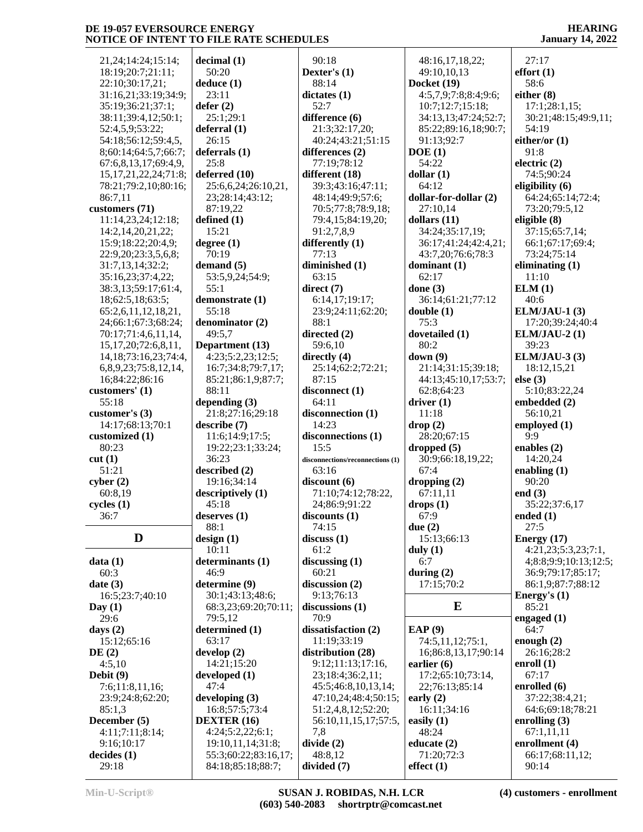21,24;14:24;15:14; 18:19;20:7;21:11; 22:10;30:17,21; 31:16,21;33:19;34:9; 35:19;36:21;37:1; 38:11;39:4,12;50:1; 52:4,5,9;53:22; 54:18;56:12;59:4,5, 8;60:14;64:5,7;66:7; 67:6,8,13,17;69:4,9, 15,17,21,22,24;71:8; 78:21;79:2,10;80:16; 86:7,11 **customers (71)** 11:14,23,24;12:18; 14:2,14,20,21,22; 15:9;18:22;20:4,9; 22:9,20;23:3,5,6,8; 31:7,13,14;32:2; 35:16,23;37:4,22; 38:3,13;59:17;61:4, 18;62:5,18;63:5; 65:2,6,11,12,18,21, 24;66:1;67:3;68:24; 70:17;71:4,6,11,14, 15,17,20;72:6,8,11, 14,18;73:16,23;74:4, 6,8,9,23;75:8,12,14, 16;84:22;86:16 **customers' (1)** 55:18 **customer's (3)** 14:17;68:13;70:1 **customized (1)** 80:23 **cut (1)** 51:21 **cyber (2)** 60:8,19 **cycles (1)** 36:7  $\mathbf{D}$  **design** (1) **data (1)** 60:3 **date (3)** 16:5;23:7;40:10 **Day (1)** 29:6 **days (2)** 15:12;65:16 **DE (2)** 4:5,10 **Debit (9)** 7:6;11:8,11,16; 23:9;24:8;62:20; 85:1,3 **December (5)** 4:11;7:11;8:14; 9:16;10:17 **decides (1)**

**decimal (1)** 50:20 **deduce (1)** 23:11 **defer (2)** 25:1;29:1 **deferral (1)** 26:15 **deferrals (1)** 25:8 **deferred (10)** 25:6,6,24;26:10,21, 23;28:14;43:12; 87:19,22 **defined (1)** 15:21 **degree (1)** 70:19 **demand (5)** 53:5,9,24;54:9; 55:1 **demonstrate (1)** 55:18 **denominator (2)** 49:5,7 **Department (13)** 4:23;5:2,23;12:5; 16:7;34:8;79:7,17; 85:21;86:1,9;87:7; 88:11 **depending (3)** 21:8;27:16;29:18 **describe (7)** 11:6;14:9;17:5; 19:22;23:1;33:24; 36:23 **described (2)** 19:16;34:14 **descriptively (1)** 45:18 **deserves (1)** 88:1 10:11 **determinants (1)** 46:9 **determine (9)** 30:1;43:13;48:6; 68:3,23;69:20;70:11; 79:5,12 **determined (1)** 63:17 **develop (2)** 14:21;15:20 **developed (1)** 47:4 **developing (3)** 16:8;57:5;73:4 **DEXTER (16)** 4:24;5:2,22;6:1; 19:10,11,14;31:8; 55:3;60:22;83:16,17; 84:18;85:18;88:7;

 90:18 **Dexter's (1)** 88:14 **dictates (1)** 52:7 **difference (6)** 21:3;32:17,20; 40:24;43:21;51:15 **differences (2)** 77:19;78:12 **different (18)** 39:3;43:16;47:11; 48:14;49:9;57:6; 70:5;77:8;78:9,18; 79:4,15;84:19,20; 91:2,7,8,9 **differently (1)** 77:13 **diminished (1)** 63:15 **direct (7)** 6:14,17;19:17; 23:9;24:11;62:20; 88:1 **directed (2)** 59:6,10 **directly (4)** 25:14;62:2;72:21; 87:15 **disconnect (1)** 64:11 **disconnection (1)** 14:23 **disconnections (1)** 15:5 **disconnections/reconnections (1)** 63:16 **discount (6)** 71:10;74:12;78:22, 24;86:9;91:22 **discounts (1)** 74:15 **discuss (1)** 61:2 **discussing (1)** 60:21 **discussion (2)** 9:13;76:13 **discussions (1)** 70:9 **dissatisfaction (2)** 11:19;33:19 **distribution (28)** 9:12;11:13;17:16, 23;18:4;36:2,11; 45:5;46:8,10,13,14; 47:10,24;48:4;50:15; 51:2,4,8,12;52:20; 56:10,11,15,17;57:5, 7,8 **divide (2)** 48:8,12 **divided (7)**

 48:16,17,18,22; 49:10,10,13 **Docket (19)** 4:5,7,9;7:8;8:4;9:6; 10:7;12:7;15:18; 34:13,13;47:24;52:7; 85:22;89:16,18;90:7; 91:13;92:7 **DOE (1)** 54:22 **dollar (1)** 64:12 **dollar-for-dollar (2)** 27:10,14 **dollars (11)** 34:24;35:17,19; 36:17;41:24;42:4,21; 43:7,20;76:6;78:3 **dominant (1)** 62:17 **done (3)** 36:14;61:21;77:12 **double (1)** 75:3 **dovetailed (1)** 80:2 **down (9)** 21:14;31:15;39:18; 44:13;45:10,17;53:7; 62:8;64:23 **driver (1)** 11:18 **drop (2)** 28:20;67:15 **dropped (5)** 30:9;66:18,19,22; 67:4 **dropping (2)** 67:11,11 **drops (1)** 67:9 **due (2)** 15:13;66:13 **duly (1)** 6:7 **during (2)** 17:15;70:2 **E EAP (9)** 74:5,11,12;75:1, 16;86:8,13,17;90:14 **earlier (6)** 17:2;65:10;73:14, 22;76:13;85:14 **early (2)** 16:11;34:16 **easily (1)** 48:24 **educate (2)** 71:20;72:3 **effect (1)**

**HEARING January 14, 2022**

 27:17 **effort (1)** 58:6 **either (8)** 17:1;28:1,15; 30:21;48:15;49:9,11; 54:19 **either/or (1)** 91:8 **electric (2)** 74:5;90:24 **eligibility (6)** 64:24;65:14;72:4; 73:20;79:5,12 **eligible (8)** 37:15;65:7,14; 66:1;67:17;69:4; 73:24;75:14 **eliminating (1)** 11:10 **ELM (1)** 40:6 **ELM/JAU-1 (3)** 17:20;39:24;40:4 **ELM/JAU-2 (1)** 39:23 **ELM/JAU-3 (3)** 18:12,15,21 **else (3)** 5:10;83:22,24 **embedded (2)** 56:10,21 **employed (1)** 9:9 **enables (2)** 14:20,24 **enabling (1)** 90:20 **end (3)** 35:22;37:6,17 **ended (1)** 27:5 **Energy (17)** 4:21,23;5:3,23;7:1, 4;8:8;9:9;10:13;12:5; 36:9;79:17;85:17; 86:1,9;87:7;88:12 **Energy's (1)** 85:21 **engaged (1)** 64:7 **enough (2)** 26:16;28:2 **enroll (1)** 67:17 **enrolled (6)** 37:22;38:4,21; 64:6;69:18;78:21 **enrolling (3)** 67:1,11,11 **enrollment (4)** 66:17;68:11,12; 90:14

29:18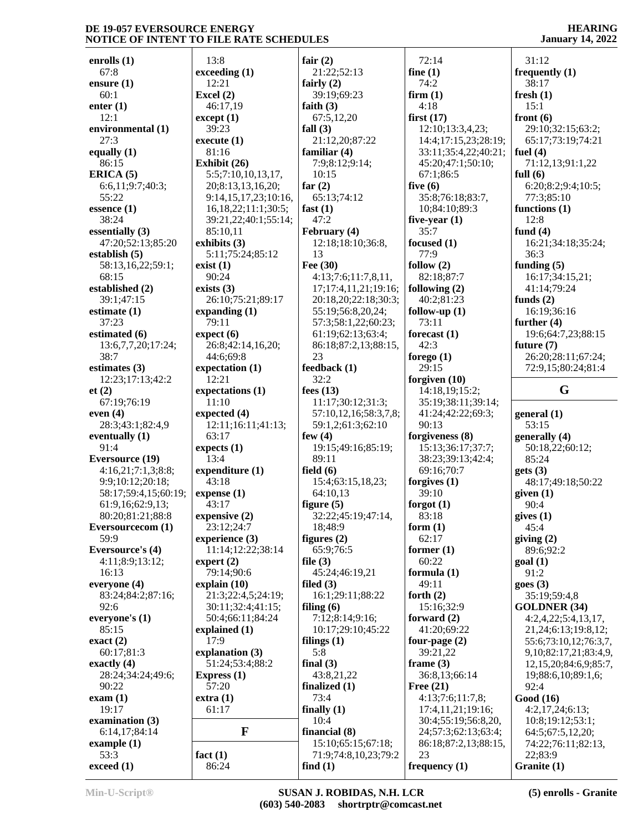**enrolls (1)** 67:8 **ensure (1)** 60:1 **enter (1)** 12:1 **environmental (1)** 27:3 **equally (1)** 86:15 **ERICA (5)** 6:6,11;9:7;40:3; 55:22 **essence (1)** 38:24 **essentially (3)** 47:20;52:13;85:20 **establish (5)** 58:13,16,22;59:1; 68:15 **established (2)** 39:1;47:15 **estimate (1)** 37:23 **estimated (6)** 13:6,7,7,20;17:24; 38:7 **estimates (3)** 12:23;17:13;42:2 **et (2)** 67:19;76:19 **even (4)** 28:3;43:1;82:4,9 **eventually (1)** 91:4 **Eversource (19)** 4:16,21;7:1,3;8:8; 9:9;10:12;20:18; 58:17;59:4,15;60:19; 61:9,16;62:9,13; 80:20;81:21;88:8 **Eversourcecom (1)** 59:9 **Eversource's (4)** 4:11;8:9;13:12; 16:13 **everyone (4)** 83:24;84:2;87:16; 92:6 **everyone's (1)** 85:15 **exact (2)** 60:17;81:3 **exactly (4)** 28:24;34:24;49:6; 90:22 **exam (1)** 19:17 **examination (3)** 6:14,17;84:14 **example (1)** 53:3 **exceed (1)**

 13:8 **exceeding (1)** 12:21 **Excel (2)** 46:17,19 **except (1)** 39:23 **execute (1)** 81:16 **Exhibit (26)** 5:5;7:10,10,13,17, 20;8:13,13,16,20; 9:14,15,17,23;10:16, 16,18,22;11:1;30:5; 39:21,22;40:1;55:14; 85:10,11 **exhibits (3)** 5:11;75:24;85:12 **exist (1)** 90:24 **exists (3)** 26:10;75:21;89:17 **expanding (1)** 79:11 **expect (6)** 26:8;42:14,16,20; 44:6;69:8 **expectation (1)** 12:21 **expectations (1)** 11:10 **expected (4)** 12:11;16:11;41:13; 63:17 **expects (1)** 13:4 **expenditure (1)** 43:18 **expense (1)** 43:17 **expensive (2)** 23:12;24:7 **experience (3)** 11:14;12:22;38:14 **expert (2)** 79:14;90:6 **explain (10)** 21:3;22:4,5;24:19; 30:11;32:4;41:15; 50:4;66:11;84:24 **explained (1)** 17:9 **explanation (3)** 51:24;53:4;88:2 **Express (1)** 57:20 **extra (1)** 61:17 **F fact (1)** 86:24 13 23 5:8

**fair (2)** 21:22;52:13 **fairly (2)** 39:19;69:23 **faith (3)** 67:5,12,20 **fall (3)** 21:12,20;87:22 **familiar (4)** 7:9;8:12;9:14; 10:15 **far (2)** 65:13;74:12 **fast (1)** 47:2 **February (4)** 12:18;18:10;36:8, **Fee (30)** 4:13;7:6;11:7,8,11, 17;17:4,11,21;19:16; 20:18,20;22:18;30:3; 55:19;56:8,20,24; 57:3;58:1,22;60:23; 61:19;62:13;63:4; 86:18;87:2,13;88:15, **feedback (1)** 32:2 **fees (13)** 11:17;30:12;31:3; 57:10,12,16;58:3,7,8; 59:1,2;61:3;62:10 **few (4)** 19:15;49:16;85:19; 89:11 **field (6)** 15:4;63:15,18,23; 64:10,13 **figure (5)** 32:22;45:19;47:14, 18;48:9 **figures (2)** 65:9;76:5 **file (3)** 45:24;46:19,21 **filed (3)** 16:1;29:11;88:22 **filing (6)** 7:12;8:14;9:16; 10:17;29:10;45:22 **filings (1) final (3)** 43:8,21,22 **finalized (1)** 73:4 **finally (1)** 10:4 **financial (8)** 15:10;65:15;67:18; 71:9;74:8,10,23;79:2 **find (1)**

 72:14 **fine (1)** 74:2 **firm (1)** 4:18 **first (17)** 12:10;13:3,4,23; 14:4;17:15,23;28:19; 33:11;35:4,22;40:21; 45:20;47:1;50:10; 67:1;86:5 **five (6)** 35:8;76:18;83:7, 10;84:10;89:3 **five-year (1)** 35:7 **focused (1)** 77:9 **follow (2)** 82:18;87:7 **following (2)** 40:2;81:23 **follow-up (1)** 73:11 **forecast (1)** 42:3 **forego (1)** 29:15 **forgiven (10)** 14:18,19;15:2; 35:19;38:11;39:14; 41:24;42:22;69:3; 90:13 **forgiveness (8)** 15:13;36:17;37:7; 38:23;39:13;42:4; 69:16;70:7 **forgives (1)** 39:10 **forgot (1)** 83:18 **form (1)** 62:17 **former (1)** 60:22 **formula (1)** 49:11 **forth (2)** 15:16;32:9 **forward (2)** 41:20;69:22 **four-page (2)** 39:21,22 **frame (3)** 36:8,13;66:14 **Free (21)** 4:13;7:6;11:7,8; 17:4,11,21;19:16; 30:4;55:19;56:8,20, 24;57:3;62:13;63:4; 86:18;87:2,13;88:15, 23 **frequency (1)**

**HEARING January 14, 2022**

 31:12 **frequently (1)** 38:17 **fresh (1)** 15:1 **front (6)** 29:10;32:15;63:2; 65:17;73:19;74:21 **fuel (4)** 71:12,13;91:1,22 **full (6)** 6:20;8:2;9:4;10:5; 77:3;85:10 **functions (1)** 12:8 **fund (4)** 16:21;34:18;35:24; 36:3 **funding (5)** 16:17;34:15,21; 41:14;79:24 **funds (2)** 16:19;36:16 **further (4)** 19:6;64:7,23;88:15 **future (7)** 26:20;28:11;67:24; 72:9,15;80:24;81:4 **G general (1)** 53:15 **generally (4)** 50:18,22;60:12; 85:24 **gets (3)** 48:17;49:18;50:22 **given (1)** 90:4 **gives (1)** 45:4 **giving (2)** 89:6;92:2 **goal (1)** 91:2 **goes (3)** 35:19;59:4,8 **GOLDNER (34)** 4:2,4,22;5:4,13,17, 21,24;6:13;19:8,12; 55:6;73:10,12;76:3,7, 9,10;82:17,21;83:4,9, 12,15,20;84:6,9;85:7, 19;88:6,10;89:1,6; 92:4 **Good (16)** 4:2,17,24;6:13; 10:8;19:12;53:1; 64:5;67:5,12,20; 74:22;76:11;82:13, 22;83:9 **Granite (1)**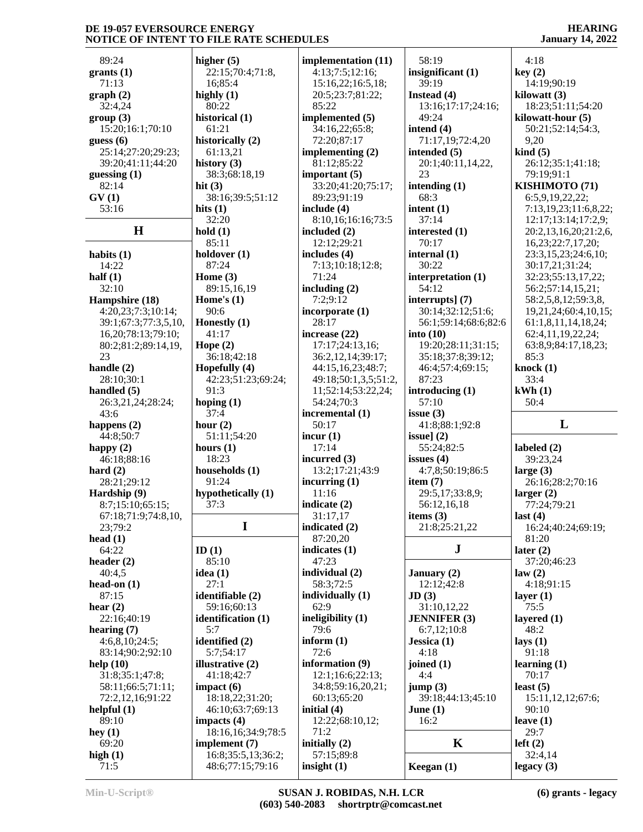89:24 **grants (1)** 71:13 **graph (2)** 32:4,24 **group (3)** 15:20;16:1;70:10 **guess (6)** 25:14;27:20;29:23; 39:20;41:11;44:20 **guessing (1)** 82:14 **GV (1)** 53:16 **H hold (1) habits (1)** 14:22 **half (1)** 32:10 **Hampshire (18)** 4:20,23;7:3;10:14; 39:1;67:3;77:3,5,10, 16,20;78:13;79:10; 80:2;81:2;89:14,19, 23 **handle (2)** 28:10;30:1 **handled (5)** 26:3,21,24;28:24; 43:6 **happens (2)** 44:8;50:7 **happy (2)** 46:18;88:16 **hard (2)** 28:21;29:12 **Hardship (9)** 8:7;15:10;65:15; 67:18;71:9;74:8,10, 23;79:2 **head (1)** 64:22 **header (2)** 40:4,5 **head-on (1)** 87:15 **hear (2)** 22:16;40:19 **hearing (7)** 4:6,8,10;24:5; 83:14;90:2;92:10 **help (10)** 31:8;35:1;47:8; 58:11;66:5;71:11; 72:2,12,16;91:22 **helpful (1)** 89:10 **hey (1)** 69:20 **high (1)** 71:5

**higher (5)** 22:15;70:4;71:8, 16;85:4 **highly (1)** 80:22 **historical (1)** 61:21 **historically (2)** 61:13,21 **history (3)** 38:3;68:18,19 **hit (3)** 38:16;39:5;51:12 **hits (1)** 32:20 85:11 **holdover (1)** 87:24 **Home (3)** 89:15,16,19 **Home's (1)** 90:6 **Honestly (1)** 41:17 **Hope (2)** 36:18;42:18 **Hopefully (4)** 42:23;51:23;69:24; 91:3 **hoping (1)** 37:4 **hour (2)** 51:11;54:20 **hours (1)** 18:23 **households (1)** 91:24 **hypothetically (1)** 37:3 **I ID (1)** 85:10 **idea (1)** 27:1 **identifiable (2)** 59:16;60:13 **identification (1)** 5:7 **identified (2)** 5:7;54:17 **illustrative (2)** 41:18;42:7 **impact (6)** 18:18,22;31:20; 46:10;63:7;69:13 **impacts (4)** 18:16,16;34:9;78:5 **implement (7)** 16:8;35:5,13;36:2; 48:6;77:15;79:16

**implementation (11)** 4:13;7:5;12:16; 15:16,22;16:5,18; 20:5;23:7;81:22; 85:22 **implemented (5)** 34:16,22;65:8; 72:20;87:17 **implementing (2)** 81:12;85:22 **important (5)** 33:20;41:20;75:17; 89:23;91:19 **include (4)** 8:10,16;16:16;73:5 **included (2)** 12:12;29:21 **includes (4)** 7:13;10:18;12:8; 71:24 **including (2)** 7:2;9:12 **incorporate (1)** 28:17 **increase (22)** 17:17;24:13,16; 36:2,12,14;39:17; 44:15,16,23;48:7; 49:18;50:1,3,5;51:2, 11;52:14;53:22,24; 54:24;70:3 **incremental (1)** 50:17 **incur (1)** 17:14 **incurred (3)** 13:2;17:21;43:9 **incurring (1)** 11:16 **indicate (2)** 31:17,17 **indicated (2)** 87:20,20 **indicates (1)** 47:23 **individual (2)** 58:3;72:5 **individually (1)** 62:9 **ineligibility (1)** 79:6 **inform (1)** 72:6 **information (9)** 12:1;16:6;22:13; 34:8;59:16,20,21; 60:13;65:20 **initial (4)** 12:22;68:10,12; 71:2 **initially (2)** 57:15;89:8 **insight (1)**

 58:19 **insignificant (1)** 39:19 **Instead (4)** 13:16;17:17;24:16; 49:24 **intend (4)** 71:17,19;72:4,20 **intended (5)** 20:1;40:11,14,22, 23 **intending (1)** 68:3 **intent (1)** 37:14 **interested (1)** 70:17 **internal (1)** 30:22 **interpretation (1)** 54:12 **interrupts] (7)** 30:14;32:12;51:6; 56:1;59:14;68:6;82:6 **into (10)** 19:20;28:11;31:15; 35:18;37:8;39:12; 46:4;57:4;69:15; 87:23 **introducing (1)** 57:10 **issue (3)** 41:8;88:1;92:8 **issue] (2)** 55:24;82:5 **issues (4)** 4:7,8;50:19;86:5 **item (7)** 29:5,17;33:8,9; 56:12,16,18 **items (3)** 21:8;25:21,22 **J January (2)** 12:12;42:8 **JD (3)** 31:10,12,22 **JENNIFER (3)** 6:7,12;10:8 **Jessica (1)** 4:18 **joined (1)** 4:4 **jump (3)** 39:18;44:13;45:10 **June (1)** 16:2  $\bf{K}$  **left** (2) **Keegan (1)** 4:18 29:7

**HEARING January 14, 2022**

**key (2)** 14:19;90:19 **kilowatt (3)** 18:23;51:11;54:20 **kilowatt-hour (5)** 50:21;52:14;54:3, 9,20 **kind (5)** 26:12;35:1;41:18; 79:19;91:1 **KISHIMOTO (71)** 6:5,9,19,22,22; 7:13,19,23;11:6,8,22; 12:17;13:14;17:2,9; 20:2,13,16,20;21:2,6, 16,23;22:7,17,20; 23:3,15,23;24:6,10; 30:17,21;31:24; 32:23;55:13,17,22; 56:2;57:14,15,21; 58:2,5,8,12;59:3,8, 19,21,24;60:4,10,15; 61:1,8,11,14,18,24; 62:4,11,19,22,24; 63:8,9;84:17,18,23; 85:3 **knock (1)** 33:4 **kWh (1)** 50:4 **L labeled (2)** 39:23,24 **large (3)** 26:16;28:2;70:16 **larger (2)** 77:24;79:21 **last (4)** 16:24;40:24;69:19; 81:20 **later (2)** 37:20;46:23 **law (2)** 4:18;91:15 **layer (1)** 75:5 **layered (1)** 48:2 **lays (1)** 91:18 **learning (1)** 70:17 **least (5)** 15:11,12,12;67:6; 90:10 **leave (1)** 32:4,14 **legacy (3)**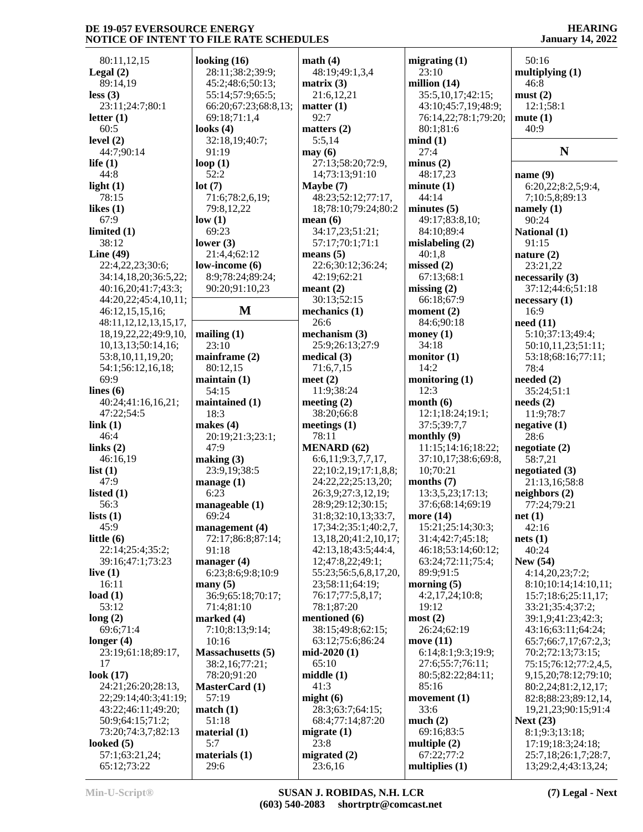80:11,12,15 **Legal (2)** 89:14,19 **less (3)** 23:11;24:7;80:1 **letter (1)** 60:5 **level (2)** 44:7;90:14 **life (1)** 44:8 **light (1)** 78:15 **likes (1)** 67:9 **limited (1)** 38:12 **Line (49)** 22:4,22,23;30:6; 34:14,18,20;36:5,22; 40:16,20;41:7;43:3; 44:20,22;45:4,10,11; 46:12,15,15,16; 48:11,12,12,13,15,17, 18,19,22,22;49:9,10, 10,13,13;50:14,16; 53:8,10,11,19,20; 54:1;56:12,16,18; 69:9 **lines (6)** 40:24;41:16,16,21; 47:22;54:5 **link (1)** 46:4 **links (2)** 46:16,19 **list (1)** 47:9 **listed (1)** 56:3 **lists (1)** 45:9 **little (6)** 22:14;25:4;35:2; 39:16;47:1;73:23 **live (1)** 16:11 **load (1)** 53:12 **long (2)** 69:6;71:4 **longer (4)** 23:19;61:18;89:17, 17 **look (17)** 24:21;26:20;28:13, 22;29:14;40:3;41:19; 43:22;46:11;49:20; 50:9;64:15;71:2; 73:20;74:3,7;82:13 **looked (5)** 57:1;63:21,24; 65:12;73:22

**looking (16)** 28:11;38:2;39:9; 45:2;48:6;50:13; 55:14;57:9;65:5; 66:20;67:23;68:8,13; 69:18;71:1,4 **looks (4)** 32:18,19;40:7; 91:19 **loop (1)** 52:2 **lot (7)** 71:6;78:2,6,19; 79:8,12,22 **low (1)** 69:23 **lower (3)** 21:4,4;62:12 **low-income (6)** 8:9;78:24;89:24; 90:20;91:10,23 **M mechanics (1) mailing (1)** 23:10 **mainframe (2)** 80:12,15 **maintain (1)** 54:15 **maintained (1)** 18:3 **makes (4)** 20:19;21:3;23:1; 47:9 **making (3)** 23:9,19;38:5 **manage (1)** 6:23 **manageable (1)** 69:24 **management (4)** 72:17;86:8;87:14; 91:18 **manager (4)** 6:23;8:6;9:8;10:9 **many (5)** 36:9;65:18;70:17; 71:4;81:10 **marked (4)** 7:10;8:13;9:14; 10:16 **Massachusetts (5)** 38:2,16;77:21; 78:20;91:20 **MasterCard (1)** 57:19 **match (1)** 51:18 **material (1)** 5:7 **materials (1)** 29:6 92:7 **may (6)** 26:6 78:11 65:10 41:3 23:8 23:6,16

**math (4)** 48:19;49:1,3,4 **matrix (3)** 21:6,12,21 **matter (1) matters (2)** 5:5,14 27:13;58:20;72:9, 14;73:13;91:10 **Maybe (7)** 48:23;52:12;77:17, 18;78:10;79:24;80:2 **mean (6)** 34:17,23;51:21; 57:17;70:1;71:1 **means (5)** 22:6;30:12;36:24; 42:19;62:21 **meant (2)** 30:13;52:15 **mechanism (3)** 25:9;26:13;27:9 **medical (3)** 71:6,7,15 **meet (2)** 11:9;38:24 **meeting (2)** 38:20;66:8 **meetings (1) MENARD (62)** 6:6,11;9:3,7,7,17, 22;10:2,19;17:1,8,8; 24:22,22;25:13,20; 26:3,9;27:3,12,19; 28:9;29:12;30:15; 31:8;32:10,13;33:7, 17;34:2;35:1;40:2,7, 13,18,20;41:2,10,17; 42:13,18;43:5;44:4, 12;47:8,22;49:1; 55:23;56:5,6,8,17,20, 23;58:11;64:19; 76:17;77:5,8,17; 78:1;87:20 **mentioned (6)** 38:15;49:8;62:15; 63:12;75:6;86:24 **mid-2020 (1) middle (1) might (6)** 28:3;63:7;64:15; 68:4;77:14;87:20 **migrate (1) migrated (2)**

**migrating (1)** 23:10 **million (14)** 35:5,10,17;42:15; 43:10;45:7,19;48:9; 76:14,22;78:1;79:20; 80:1;81:6 **mind (1)** 27:4 **minus (2)** 48:17,23 **minute (1)** 44:14 **minutes (5)** 49:17;83:8,10; 84:10;89:4 **mislabeling (2)** 40:1,8 **missed (2)** 67:13;68:1 **missing (2)** 66:18;67:9 **moment (2)** 84:6;90:18 **money (1)** 34:18 **monitor (1)** 14:2 **monitoring (1)** 12:3 **month (6)** 12:1;18:24;19:1; 37:5;39:7,7 **monthly (9)** 11:15;14:16;18:22; 37:10,17;38:6;69:8, 10;70:21 **months (7)** 13:3,5,23;17:13; 37:6;68:14;69:19 **more (14)** 15:21;25:14;30:3; 31:4;42:7;45:18; 46:18;53:14;60:12; 63:24;72:11;75:4; 89:9;91:5 **morning (5)** 4:2,17,24;10:8; 19:12 **most (2)** 26:24;62:19 **move (11)** 6:14;8:1;9:3;19:9; 27:6;55:7;76:11; 80:5;82:22;84:11; 85:16 **movement (1)** 33:6 **much (2)** 69:16;83:5 **multiple (2)** 67:22;77:2 **multiplies (1)**

**HEARING January 14, 2022**

 50:16 **multiplying (1)** 46:8 **must (2)** 12:1;58:1 **mute (1)** 40:9 **N name (9)** 6:20,22;8:2,5;9:4, 7;10:5,8;89:13 **namely (1)** 90:24 **National (1)** 91:15 **nature (2)** 23:21,22 **necessarily (3)** 37:12;44:6;51:18 **necessary (1)** 16:9 **need (11)** 5:10;37:13;49:4; 50:10,11,23;51:11; 53:18;68:16;77:11; 78:4 **needed (2)** 35:24;51:1 **needs (2)** 11:9;78:7 **negative (1)** 28:6 **negotiate (2)** 58:7,21 **negotiated (3)** 21:13,16;58:8 **neighbors (2)** 77:24;79:21 **net (1)** 42:16 **nets (1)** 40:24 **New (54)** 4:14,20,23;7:2; 8:10;10:14;14:10,11; 15:7;18:6;25:11,17; 33:21;35:4;37:2; 39:1,9;41:23;42:3; 43:16;63:11;64:24; 65:7;66:7,17;67:2,3; 70:2;72:13;73:15; 75:15;76:12;77:2,4,5, 9,15,20;78:12;79:10; 80:2,24;81:2,12,17; 82:8;88:23;89:12,14, 19,21,23;90:15;91:4 **Next (23)** 8:1;9:3;13:18; 17:19;18:3;24:18; 25:7,18;26:1,7;28:7, 13;29:2,4;43:13,24;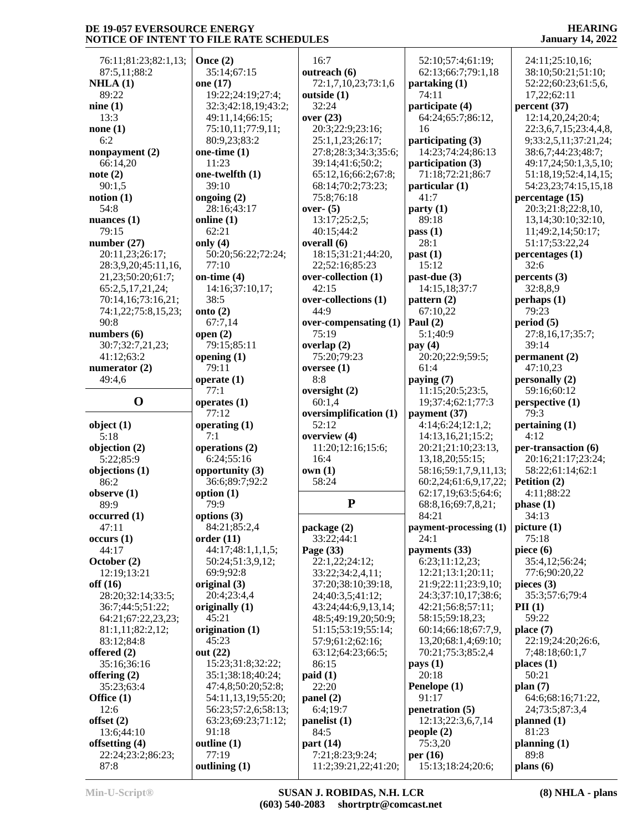76:11;81:23;82:1,13; 87:5,11;88:2 **NHLA (1)** 89:22 **nine (1)** 13:3 **none (1)** 6:2 **nonpayment (2)** 66:14,20 **note (2)** 90:1,5 **notion (1)** 54:8 **nuances (1)** 79:15 **number (27)** 20:11,23;26:17; 28:3,9,20;45:11,16, 21,23;50:20;61:7; 65:2,5,17,21,24; 70:14,16;73:16,21; 74:1,22;75:8,15,23; 90:8 **numbers (6)** 30:7;32:7,21,23; 41:12;63:2 **numerator (2)** 49:4,6 **object (1)** 5:18 **objection (2)** 5:22;85:9 **objections (1)** 86:2 **observe (1)** 89:9 **occurred (1)** 47:11 **occurs (1)** 44:17 **October (2)** 12:19;13:21 **off (16)** 28:20;32:14;33:5; 36:7;44:5;51:22; 64:21;67:22,23,23; 81:1,11;82:2,12; 83:12;84:8 **offered (2)** 35:16;36:16 **offering (2)** 35:23;63:4 **Office (1)** 12:6 **offset (2)** 13:6;44:10 **offsetting (4)** 22:24;23:2;86:23; 87:8

**O operates (1) Once (2)** 35:14;67:15 **one (17)** 19:22;24:19;27:4; 32:3;42:18,19;43:2; 49:11,14;66:15; 75:10,11;77:9,11; 80:9,23;83:2 **one-time (1)** 11:23 **one-twelfth (1)** 39:10 **ongoing (2)** 28:16;43:17 **online (1)** 62:21 **only (4)** 50:20;56:22;72:24; 77:10 **on-time (4)** 14:16;37:10,17; 38:5 **onto (2)** 67:7,14 **open (2)** 79:15;85:11 **opening (1)** 79:11 **operate (1)** 77:1 77:12 **operating (1)** 7:1 **operations (2)** 6:24;55:16 **opportunity (3)** 36:6;89:7;92:2 **option (1)** 79:9 **options (3)** 84:21;85:2,4 **order (11)** 44:17;48:1,1,1,5; 50:24;51:3,9,12; 69:9;92:8 **original (3)** 20:4;23:4,4 **originally (1)** 45:21 **origination (1)** 45:23 **out (22)** 15:23;31:8;32:22; 35:1;38:18;40:24; 47:4,8;50:20;52:8; 54:11,13,19;55:20; 56:23;57:2,6;58:13; 63:23;69:23;71:12; 91:18 **outline (1)** 77:19 **outlining (1)**

 16:7 **outreach (6)** 72:1,7,10,23;73:1,6 **outside (1)** 32:24 **over (23)** 20:3;22:9;23:16; 25:1,1,23;26:17; 27:8;28:3;34:3;35:6; 39:14;41:6;50:2; 65:12,16;66:2;67:8; 68:14;70:2;73:23; 75:8;76:18 **over- (5)** 13:17;25:2,5; 40:15;44:2 **overall (6)** 18:15;31:21;44:20, 22;52:16;85:23 **over-collection (1)** 42:15 **over-collections (1)** 44:9 **over-compensating (1)** 75:19 **overlap (2)** 75:20;79:23 **oversee (1)** 8:8 **oversight (2)** 60:1,4 **oversimplification (1)** 52:12 **overview (4)** 11:20;12:16;15:6; 16:4 **own (1)** 58:24 **P package (2)** 33:22;44:1 **Page (33)** 22:1,22;24:12; 33:22;34:2,4,11; 37:20;38:10;39:18, 24;40:3,5;41:12; 43:24;44:6,9,13,14; 48:5;49:19,20;50:9; 51:15;53:19;55:14; 57:9;61:2;62:16; 63:12;64:23;66:5; 86:15 **paid (1)** 22:20 **panel (2)** 6:4;19:7 **panelist (1)** 84:5 **part (14)** 7:21;8:23;9:24; 11:2;39:21,22;41:20;

 52:10;57:4;61:19; 62:13;66:7;79:1,18 **partaking (1)** 74:11 **participate (4)** 64:24;65:7;86:12, 16 **participating (3)** 14:23;74:24;86:13 **participation (3)** 71:18;72:21;86:7 **particular (1)** 41:7 **party (1)** 89:18 **pass (1)** 28:1 **past (1)** 15:12 **past-due (3)** 14:15,18;37:7 **pattern (2)** 67:10,22 **Paul (2)** 5:1;40:9 **pay (4)** 20:20;22:9;59:5; 61:4 **paying (7)** 11:15;20:5;23:5, 19;37:4;62:1;77:3 **payment (37)** 4:14;6:24;12:1,2; 14:13,16,21;15:2; 20:21;21:10;23:13, 13,18,20;55:15; 58:16;59:1,7,9,11,13; 60:2,24;61:6,9,17,22; 62:17,19;63:5;64:6; 68:8,16;69:7,8,21; 84:21 **payment-processing (1)** 24:1 **payments (33)** 6:23;11:12,23; 12:21;13:1;20:11; 21:9;22:11;23:9,10; 24:3;37:10,17;38:6; 42:21;56:8;57:11; 58:15;59:18,23; 60:14;66:18;67:7,9, 13,20;68:1,4;69:10; 70:21;75:3;85:2,4 **pays (1)** 20:18 **Penelope (1)** 91:17 **penetration (5)** 12:13;22:3,6,7,14 **people (2)** 75:3,20 **per (16)** 15:13;18:24;20:6;

#### **HEARING January 14, 2022**

 24:11;25:10,16; 38:10;50:21;51:10; 52:22;60:23;61:5,6, 17,22;62:11 **percent (37)** 12:14,20,24;20:4; 22:3,6,7,15;23:4,4,8, 9;33:2,5,11;37:21,24; 38:6,7;44:23;48:7; 49:17,24;50:1,3,5,10; 51:18,19;52:4,14,15; 54:23,23;74:15,15,18 **percentage (15)** 20:3;21:8;22:8,10, 13,14;30:10;32:10, 11;49:2,14;50:17; 51:17;53:22,24 **percentages (1)** 32:6 **percents (3)** 32:8,8,9 **perhaps (1)** 79:23 **period (5)** 27:8,16,17;35:7; 39:14 **permanent (2)** 47:10,23 **personally (2)** 59:16;60:12 **perspective (1)** 79:3 **pertaining (1)** 4:12 **per-transaction (6)** 20:16;21:17;23:24; 58:22;61:14;62:1 **Petition (2)** 4:11;88:22 **phase (1)** 34:13 **picture (1)** 75:18 **piece (6)** 35:4,12;56:24; 77:6;90:20,22 **pieces (3)** 35:3;57:6;79:4 **PII (1)** 59:22 **place (7)** 22:19;24:20;26:6, 7;48:18;60:1,7 **places (1)** 50:21 **plan (7)** 64:6;68:16;71:22, 24;73:5;87:3,4 **planned (1)** 81:23 **planning (1)** 89:8 **plans (6)**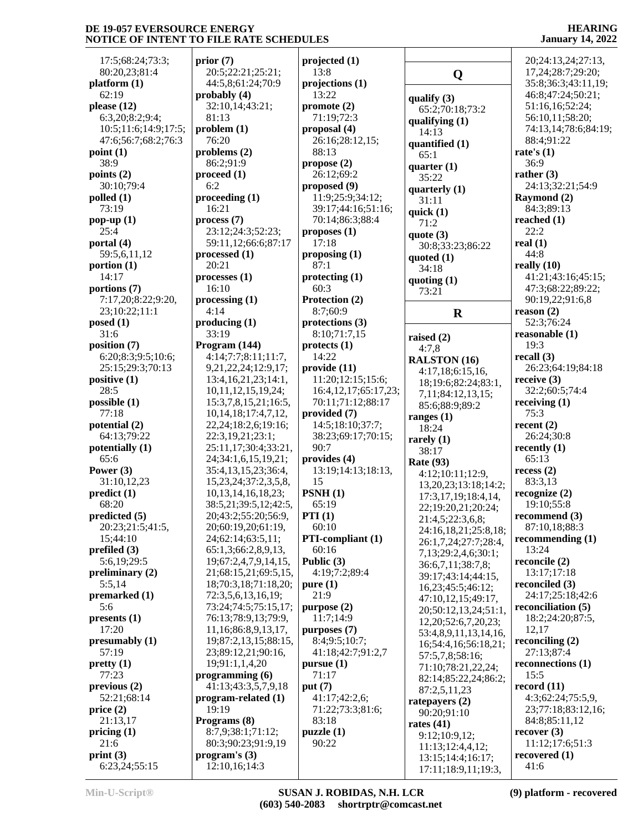| 17:5;68:24;73:3;                            | prior         |
|---------------------------------------------|---------------|
| 80:20,23;81:4<br>platform (1)               | 20:<br>44:    |
| 62:19                                       | proba         |
| please $(12)$                               | 32:           |
| 6:3,20;8:2;9:4;                             | 81:           |
| 10:5;11:6;14:9;17:5;<br>47:6;56:7;68:2;76:3 | proble<br>76: |
| point(1)                                    | proble        |
| 38:9                                        | 86:           |
| points $(2)$<br>30:10;79:4                  | proce<br>6:2  |
| polled (1)                                  | proce         |
| 73:19                                       | 16:           |
| pop-up $(1)$<br>25:4                        | proce<br>23:  |
| portal (4)                                  | 59:           |
| 59:5,6,11,12                                | proce         |
| portion (1)                                 | 20:           |
| 14:17<br>portions (7)                       | proce<br>16:  |
| 7:17,20;8:22;9:20,                          | proce         |
| 23;10:22;11:1                               | 4:14          |
| posed (1)                                   | produ         |
| 31:6<br>position (7)                        | 33:<br>Progr  |
| 6:20;8:3;9:5;10:6;                          | 4:14          |
| 25:15;29:3;70:13                            | 9,2           |
| positive (1)<br>28:5                        | 13:<br>10,    |
| possible(1)                                 | 15:           |
| 77:18                                       | 10,           |
| potential (2)<br>64:13;79:22                | 22,2<br>22:   |
| potentially (1)                             | 25:           |
| 65:6                                        | 24:           |
| Power $(3)$<br>31:10,12,23                  | 35:4<br>15,   |
| predict (1)                                 | 10,           |
| 68:20                                       | 38:5          |
| predicted (5)                               | 20;           |
| 20:23;21:5;41:5,<br>15;44:10                | 20;<br>24;    |
| prefiled (3)                                | 65:           |
| 5:6,19;29:5                                 | 19;           |
| preliminary $(2)$<br>5:5,14                 | 21;<br>18;    |
| premarked (1)                               | 72:           |
| 5:6                                         | 73:2          |
| presents (1)                                | 76:           |
| 17:20<br>presumably (1)                     | 11,<br>19;    |
| 57:19                                       | 23;           |
| pretty(1)                                   | 19;           |
| 77:23<br>previous(2)                        | progr<br>41:  |
| 52:21;68:14                                 | progr         |
| price(2)                                    | 19:           |
| 21:13,17<br>pricing $(1)$                   | Progr<br>8:7, |
| 21:6                                        | 80:           |
| print(3)                                    | progr         |
| 6:23,24;55:15                               | 12:           |

| prior (7)                                   | projec         |
|---------------------------------------------|----------------|
| 20:5;22:21;25:21;<br>44:5,8;61:24;70:9      | 13:8<br>projec |
| probably (4)                                | 13:2           |
| 32:10,14;43:21;                             | promo          |
| 81:13<br>problem (1)                        | 71:1<br>propo  |
| 76:20                                       | 26:1           |
| problems (2)<br>86:2;91:9                   | 88:1           |
| proceed (1)                                 | propo<br>26:1  |
| 6:2                                         | propo          |
| proceeding (1)<br>16:21                     | 11:9<br>39:1   |
| process (7)                                 | 70:1           |
| 23:12;24:3;52:23;<br>59:11,12;66:6;87:17    | propo<br>17:1  |
| processed (1)                               | propo          |
| 20:21                                       | 87:1           |
| processes (1)<br>16:10                      | protec<br>60:3 |
| processing (1)                              | Protec         |
| 4:14<br>producing (1)                       | 8:7;<br>protec |
| 33:19                                       | 8:10           |
| Program (144)                               | protec         |
| 4:14;7:7;8:11;11:7,<br>9,21,22,24;12:9,17;  | 14:2<br>provid |
| 13:4, 16, 21, 23; 14:1,                     | 11:2           |
| 10,11,12,15,19,24;<br>15:3,7,8,15,21;16:5,  | 16:4<br>70:1   |
| 10, 14, 18; 17: 4, 7, 12,                   | provid         |
| 22,24;18:2,6;19:16;                         | 14:5           |
| 22:3,19,21;23:1;<br>25:11,17;30:4;33:21,    | 38:2<br>90:7   |
| 24;34:1,6,15,19,21;                         | provid         |
| 35:4,13,15,23;36:4,<br>15,23,24;37:2,3,5,8, | 13:1<br>15     |
| 10, 13, 14, 16, 18, 23;                     | <b>PSNH</b>    |
| 38:5,21;39:5,12;42:5,                       | 65:1           |
| 20;43:2;55:20;56:9,<br>20;60:19,20;61:19,   | PTI (1<br>60:1 |
| 24;62:14;63:5,11;                           | PTI-c          |
| 65:1,3;66:2,8,9,13,<br>19;67:2,4,7,9,14,15, | 60:1<br>Public |
| 21;68:15,21;69:5,15,                        | 4:19           |
| 18;70:3,18;71:18,20;                        | pure (         |
| 72:3,5,6,13,16,19;<br>73:24;74:5;75:15,17;  | 21:9<br>purpo  |
| 76:13;78:9,13;79:9,                         | 11:7           |
| 11,16;86:8,9,13,17,<br>19;87:2,13,15;88:15, | purpo<br>8:4;  |
| 23;89:12,21;90:16,                          | 41:1           |
| 19;91:1,1,4,20<br>programming (6)           | pursu<br>71:1  |
| 41:13;43:3,5,7,9,18                         | put $(7)$      |
| program-related (1)                         | 41:1           |
| 19:19<br>Programs (8)                       | 71:2<br>83:1   |
| 8:7,9;38:1;71:12;                           | puzzle         |
| 80:3;90:23;91:9,19<br>program's (3)         | 90:2           |
| 12:10,16;14:3                               |                |

|   | projected (1)                                  |                 |
|---|------------------------------------------------|-----------------|
|   | 13:8<br>projections(1)                         |                 |
|   | 13:22                                          | qual            |
|   | promote(2)                                     | 65              |
|   | 71:19;72:3                                     | qual            |
|   | proposal (4)<br>26:16;28:12,15;                | 14              |
|   | 88:13                                          | quar<br>65      |
|   | propose(2)                                     | quar            |
|   | 26:12;69:2                                     | 35              |
|   | proposed (9)<br>11:9;25:9;34:12;               | quar            |
|   | 39:17;44:16;51:16;                             | 31              |
|   | 70:14;86:3;88:4                                | quic<br>71      |
|   | proposes (1)                                   | quot            |
|   | 17:18                                          | 30              |
|   | proposing $(1)$<br>87:1                        | quot            |
|   | protectting (1)                                | 34              |
|   | 60:3                                           | quot<br>73      |
|   | Protection (2)                                 |                 |
|   | 8:7;60:9<br>protections (3)                    |                 |
|   | 8:10;71:7,15                                   |                 |
|   | protects (1)                                   | raise<br>4:     |
|   | 14:22                                          | RAL             |
|   | provide (11)                                   | 4:              |
|   | 11:20;12:15;15:6;<br>16:4, 12, 17; 65: 17, 23; | 18              |
|   | 70:11;71:12;88:17                              | 7,<br>85        |
|   | provided (7)                                   | rang            |
|   | 14:5;18:10;37:7;                               | 18              |
|   | 38:23;69:17;70:15;<br>90:7                     | rare            |
|   | provides (4)                                   | 38              |
|   | 13:19;14:13;18:13,                             | Rate<br>4:      |
|   | 15                                             | 13              |
|   | PSNH(1)                                        | 17              |
| l | 65:19<br>PTI(1)                                | $\overline{22}$ |
|   | 60:10                                          | 21              |
|   | PTI-compliant (1)                              | 24<br>26        |
|   | 60:16                                          | 7,              |
|   | Public (3)<br>4:19;7:2;89:4                    | 36              |
| , | pure(1)                                        | 39              |
|   | 21:9                                           | 16<br>47        |
|   | purpose (2)                                    | 20              |
|   | 11:7;14:9                                      | 12              |
|   | purposes (7)<br>8:4;9:5;10:7;                  | 53              |
|   | 41:18;42:7;91:2,7                              | 16<br>57        |
|   | pursue(1)                                      | 71              |
|   | 71:17                                          | 82              |
|   | put $(7)$<br>41:17;42:2,6;                     | 87              |
|   | 71:22;73:3;81:6;                               | rate<br>90      |
|   | 83:18                                          | rates           |
|   | puzzle (1)                                     | 9:              |
|   | 90:22                                          | 11              |
|   |                                                | 13<br>17        |
|   |                                                |                 |

**Q qualify (3)** 65:2;70:18;73:2 **qualifying (1)** 14:13 **quantified (1)** 65:1 *<u>xarter</u>* (1) 35:22 dena<sup>t</sup> (1) 31:11 **quick (1)** 71:2 **lote** (3) 30:8;33:23;86:22 *<u>noted</u>* (1) 34:18 *l***oting (1)**  73:21 **raised (2)** 4:7,8 **RALSTON (16)** 4:17,18;6:15,16, 18;19:6;82:24;83:1, 7,11;84:12,13,15; 85:6;88:9;89:2 **ranges (1)** 18:24 **rarely (1)** 38:17 **Rate (93)** 4:12;10:11;12:9, 13,20,23;13:18;14:2; 17:3,17,19;18:4,14, 22;19:20,21;20:24; 21:4,5;22:3,6,8; 24:16,18,21;25:8,18; 26:1,7,24;27:7;28:4, 7,13;29:2,4,6;30:1; 36:6,7,11;38:7,8; 39:17;43:14;44:15, 16,23;45:5;46:12; 47:10,12,15;49:17, 20;50:12,13,24;51:1, 12,20;52:6,7,20,23; 53:4,8,9,11,13,14,16, 16;54:4,16;56:18,21; 57:5,7,8;58:16; 71:10;78:21,22,24; 82:14;85:22,24;86:2; 87:2,5,11,23 **ratepayers (2)** 90:20;91:10 **rates (41)** 9:12;10:9,12; 11:13;12:4,4,12; 13:15;14:4;16:17; 17:11;18:9,11;19:3,

### **HEARING January 14, 2022**

 $\mathbf{R}$  reason (2) 20;24:13,24;27:13, 17,24;28:7;29:20; 35:8;36:3;43:11,19; 46:8;47:24;50:21; 51:16,16;52:24; 56:10,11;58:20; 74:13,14;78:6;84:19; 88:4;91:22 **rate's (1)** 36:9 **rather (3)** 24:13;32:21;54:9 **Raymond (2)** 84:3;89:13 **reached (1)** 22:2 **real (1)** 44:8 **really (10)** 41:21;43:16;45:15; 47:3;68:22;89:22; 90:19,22;91:6,8 52:3;76:24 **reasonable (1)** 19:3 **recall (3)** 26:23;64:19;84:18 **receive (3)** 32:2;60:5;74:4 **receiving (1)** 75:3 **recent (2)** 26:24;30:8 **recently (1)** 65:13 **recess (2)** 83:3,13 **recognize (2)** 19:10;55:8 **recommend (3)** 87:10,18;88:3 **recommending (1)** 13:24 **reconcile (2)** 13:17;17:18 **reconciled (3)** 24:17;25:18;42:6 **reconciliation (5)** 18:2;24:20;87:5, 12,17 **reconciling (2)** 27:13;87:4 **reconnections (1)** 15:5 **record (11)** 4:3;62:24;75:5,9, 23;77:18;83:12,16; 84:8;85:11,12 **recover (3)** 11:12;17:6;51:3 **recovered (1)** 41:6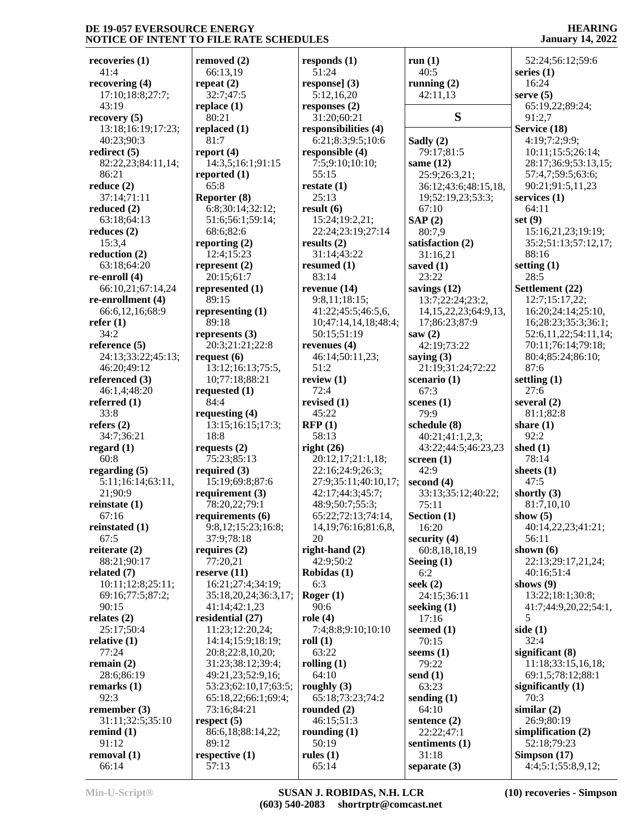**recoveries (1)** 41:4 **recovering (4)** 17:10;18:8;27:7;  $43.19$ **recovery (5)** 13:18;16:19;17:23; 40:23;90:3 **redirect (5)** 82:22,23;84:11,14; 86:21 **reduce (2)** 37:14;71:11 **reduced (2)** 63:18;64:13 **reduces (2)** 15:3,4 **reduction (2)** 63:18;64:20 **re-enroll (4)** 66:10,21;67:14,24 **re-enrollment (4)** 66:6,12,16;68:9 **refer (1)** 34:2 **reference (5)** 24:13;33:22;45:13; 46:20;49:12 **referenced (3)** 46:1,4;48:20 **referred (1)** 33:8 **refers (2)** 34:7;36:21 **regard (1)** 60:8 **regarding (5)** 5:11;16:14;63:11, 21;90:9 **reinstate (1)** 67:16 **reinstated (1)** 67:5 **reiterate (2)** 88:21;90:17 **related (7)** 10:11;12:8;25:11; 69:16;77:5;87:2; 90:15 **relates (2)** 25:17;50:4 **relative (1)** 77:24 **remain (2)** 28:6;86:19 **remarks (1)** 92:3 **remember (3)** 31:11;32:5;35:10 **remind (1)** 91:12 **removal (1)** 66:14

**removed (2)** 66:13,19 **repeat (2)** 32:7;47:5 **replace (1)** 80:21 **replaced (1)** 81:7 **report (4)** 14:3,5;16:1;91:15 **reported (1)** 65:8 **Reporter (8)** 6:8;30:14;32:12; 51:6;56:1;59:14; 68:6;82:6 **reporting (2)** 12:4;15:23 **represent (2)** 20:15;61:7 **represented (1)** 89:15 **representing (1)** 89:18 **represents (3)** 20:3;21:21;22:8 **request (6)** 13:12;16:13;75:5, 10;77:18;88:21 **requested (1)** 84:4 **requesting (4)** 13:15;16:15;17:3; 18:8 **requests (2)** 75:23;85:13 **required (3)** 15:19;69:8;87:6 **requirement (3)** 78:20,22;79:1 **requirements (6)** 9:8,12;15:23;16:8; 37:9;78:18 **requires (2)** 77:20,21 **reserve (11)** 16:21;27:4;34:19; 35:18,20,24;36:3,17; 41:14;42:1,23 **residential (27)** 11:23;12:20,24; 14:14;15:9;18:19; 20:8;22:8,10,20; 31:23;38:12;39:4; 49:21,23;52:9,16; 53:23;62:10,17;63:5; 65:18,22;66:1;69:4; 73:16;84:21 **respect (5)** 86:6,18;88:14,22; 89:12 **respective (1)** 57:13

**responds (1)** 51:24 **response] (3)** 5:12,16,20 **responses (2)** 31:20;60:21 **responsibilities (4)** 6:21;8:3;9:5;10:6 **responsible (4)** 7:5;9:10;10:10; 55:15 **restate (1)** 25:13 **result (6)** 15:24;19:2,21; 22:24;23:19;27:14 **results (2)** 31:14;43:22 **resumed (1)** 83:14 **revenue (14)** 9:8,11;18:15; 41:22;45:5;46:5,6, 10;47:14,14,18;48:4; 50:15;51:19 **revenues (4)** 46:14;50:11,23; 51:2 **review (1)** 72:4 **revised (1)** 45:22 **RFP (1)** 58:13 **right (26)** 20:12,17;21:1,18; 22:16;24:9;26:3; 27:9;35:11;40:10,17; 42:17;44:3;45:7; 48:9;50:7;55:3; 65:22;72:13;74:14, 14,19;76:16;81:6,8, 20 **right-hand (2)** 42:9;50:2 **Robidas (1)** 6:3 **Roger (1)** 90:6 **role (4)** 7:4;8:8;9:10;10:10 **roll (1)** 63:22 **rolling (1)** 64:10 **roughly (3)** 65:18;73:23;74:2 **rounded (2)** 46:15;51:3 **rounding (1)** 50:19 **rules (1)** 65:14

**run (1)** 40:5 **running (2)** 42:11,13 **S Sadly (2)** 79:17;81:5 **same (12)** 25:9;26:3,21; 36:12;43:6;48:15,18, 19;52:19,23;53:3; 67:10 **SAP (2)** 80:7,9 **satisfaction (2)** 31:16,21 **saved (1)** 23:22 **savings (12)** 13:7;22:24;23:2, 14,15,22,23;64:9,13, 17;86:23;87:9 **saw (2)** 42:19;73:22 **saying (3)** 21:19;31:24;72:22 **scenario (1)** 67:3 **scenes (1)** 79:9 **schedule (8)** 40:21;41:1,2,3; 43:22;44:5;46:23,23 **screen (1)** 42:9 **second (4)** 33:13;35:12;40:22; 75:11 **Section (1)** 16:20 **security (4)** 60:8,18,18,19 **Seeing (1)** 6:2 **seek (2)** 24:15;36:11 **seeking (1)** 17:16 **seemed (1)** 70:15 **seems (1)** 79:22 **send (1)** 63:23 **sending (1)** 64:10 **sentence (2)** 22:22;47:1 **sentiments (1)** 31:18 **separate (3)**

**HEARING January 14, 2022**

| 52:24;56:12;59:6              |
|-------------------------------|
| series (1)                    |
| 16:24                         |
| serve (5)                     |
| 65:19,22;89:24;               |
| 91:2,7                        |
| Service (18)                  |
| 4:19;7:2;9:9;                 |
| 10:11;15:5;26:14;             |
| 28:17;36:9;53:13,15;          |
| 57:4,7;59:5;63:6;             |
| 90:21;91:5,11,23              |
| services (1)                  |
| 64:11                         |
| set (9)                       |
| 15:16,21,23;19:19;            |
| 35:2;51:13;57:12,17;          |
| 88:16                         |
| setting (1)                   |
| 28:5                          |
| Settlement (22)               |
| 12:7;15:17,22;                |
| 16:20;24:14;25:10,            |
| 16;28:23;35:3;36:1;           |
| 52:6,11,22;54:11,14;          |
| 70:11;76:14;79:18;            |
| 80:4;85:24;86:10;             |
| 87:6                          |
| settling (1)                  |
| 27:6                          |
| several (2)                   |
| 81:1;82:8                     |
| share (1)                     |
| 92:2                          |
| shed (1)                      |
| 78:14                         |
| sheets (1)                    |
| 47:5                          |
| shortly (3)                   |
| 81:7,10,10                    |
| show $(5)$                    |
| 40:14,22,23;41:21;            |
| 56:11                         |
| shown (6)                     |
| 22:13;29:17,21,24;            |
| 40:16:51:4                    |
| shows (9)                     |
| 13:22;18:1;30:8;              |
| 41:7;44:9,20,22;54:1,         |
| 5                             |
| side (1)                      |
| 32:4                          |
| significant (8)               |
| 11:18;33:15,16,18;            |
|                               |
| 69:1,5;78:12;88:1             |
|                               |
| significantly (1)<br>70:3     |
| similar (2)                   |
| 26:9;80:19                    |
|                               |
| simplification (2)            |
| 52:18;79:23<br>Simpson $(17)$ |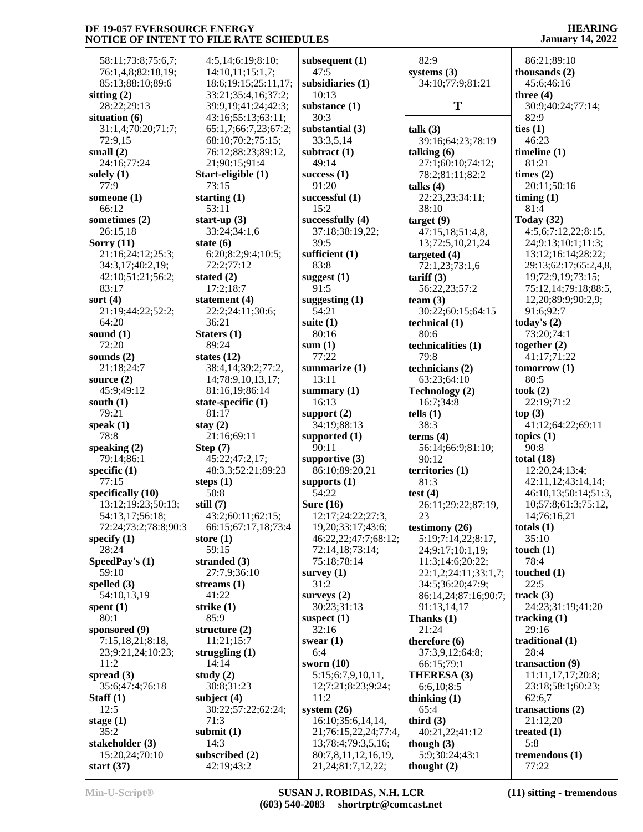58:11;73:8;75:6,7; 76:1,4,8;82:18,19; 85:13;88:10;89:6 **sitting (2)** 28:22;29:13 **situation (6)** 31:1,4;70:20;71:7; 72:9,15 **small (2)** 24:16;77:24 **solely (1)** 77:9 **someone (1)** 66:12 **sometimes (2)** 26:15,18 **Sorry (11)** 21:16;24:12;25:3; 34:3,17;40:2,19; 42:10;51:21;56:2; 83:17 **sort (4)** 21:19;44:22;52:2; 64:20 **sound (1)** 72:20 **sounds (2)** 21:18;24:7 **source (2)** 45:9;49:12 **south (1)** 79:21 **speak (1)** 78:8 **speaking (2)** 79:14;86:1 **specific (1)** 77:15 **specifically (10)** 13:12;19:23;50:13; 54:13,17;56:18; 72:24;73:2;78:8;90:3 **specify (1)** 28:24 **SpeedPay's (1)** 59:10 **spelled (3)** 54:10,13,19 **spent (1)** 80:1 **sponsored (9)** 7:15,18,21;8:18, 23;9:21,24;10:23; 11:2 **spread (3)** 35:6;47:4;76:18 **Staff (1)** 12:5 **stage (1)** 35:2 **stakeholder (3)** 15:20,24;70:10 **start (37)**

 4:5,14;6:19;8:10; 14:10,11;15:1,7; 18:6;19:15;25:11,17; 33:21;35:4,16;37:2; 39:9,19;41:24;42:3; 43:16;55:13;63:11; 65:1,7;66:7,23;67:2; 68:10;70:2;75:15; 76:12;88:23;89:12, 21;90:15;91:4 **Start-eligible (1)** 73:15 **starting (1)** 53:11 **start-up (3)** 33:24;34:1,6 **state (6)** 6:20;8:2;9:4;10:5; 72:2;77:12 **stated (2)** 17:2;18:7 **statement (4)** 22:2;24:11;30:6; 36:21 **Staters (1)** 89:24 **states (12)** 38:4,14;39:2;77:2, 14;78:9,10,13,17; 81:16,19;86:14 **state-specific (1)** 81:17 **stay (2)** 21:16;69:11 **Step (7)** 45:22;47:2,17; 48:3,3;52:21;89:23 **steps (1)** 50:8 **still (7)** 43:2;60:11;62:15; 66:15;67:17,18;73:4 **store (1)** 59:15 **stranded (3)** 27:7,9;36:10 **streams (1)** 41:22 **strike (1)** 85:9 **structure (2)** 11:21;15:7 **struggling (1)** 14:14 **study (2)** 30:8;31:23 **subject (4)** 30:22;57:22;62:24; 71:3 **submit (1)** 14:3 **subscribed (2)** 42:19;43:2

**subsequent (1)** 47:5 **subsidiaries (1)** 10:13 **substance (1)** 30:3 **substantial (3)** 33:3,5,14 **subtract (1)** 49:14 **success (1)** 91:20 **successful (1)** 15:2 **successfully (4)** 37:18;38:19,22; 39:5 **sufficient (1)** 83:8 **suggest (1)** 91:5 **suggesting (1)** 54:21 **suite (1)** 80:16 **sum (1)** 77:22 **summarize (1)** 13:11 **summary (1)** 16:13 **support (2)** 34:19;88:13 **supported (1)** 90:11 **supportive (3)** 86:10;89:20,21 **supports (1)** 54:22 **Sure (16)** 12:17;24:22;27:3, 19,20;33:17;43:6; 46:22,22;47:7;68:12; 72:14,18;73:14; 75:18;78:14 **survey (1)** 31:2 **surveys (2)** 30:23;31:13 **suspect (1)** 32:16 **swear (1)** 6:4 **sworn (10)** 5:15;6:7,9,10,11, 12;7:21;8:23;9:24; 11:2 **system (26)** 16:10;35:6,14,14, 21;76:15,22,24;77:4, 13;78:4;79:3,5,16; 80:7,8,11,12,16,19, 21,24;81:7,12,22;

 82:9 **systems (3)** 34:10;77:9;81:21 **T talk (3)** 39:16;64:23;78:19 **talking (6)** 27:1;60:10;74:12; 78:2;81:11;82:2 **talks (4)** 22:23,23;34:11; 38:10 **target (9)** 47:15,18;51:4,8, 13;72:5,10,21,24 **targeted (4)** 72:1,23;73:1,6 **tariff (3)** 56:22,23;57:2 **team (3)** 30:22;60:15;64:15 **technical (1)** 80:6 **technicalities (1)** 79:8 **technicians (2)** 63:23;64:10 **Technology (2)** 16:7;34:8 **tells (1)** 38:3 **terms (4)** 56:14;66:9;81:10;  $90.12$ **territories (1)** 81:3 **test (4)** 26:11;29:22;87:19, 23 **testimony (26)** 5:19;7:14,22;8:17, 24;9:17;10:1,19; 11:3;14:6;20:22; 22:1,2;24:11;33:1,7; 34:5;36:20;47:9; 86:14,24;87:16;90:7; 91:13,14,17 **Thanks (1)** 21:24 **therefore (6)** 37:3,9,12;64:8; 66:15;79:1 **THERESA (3)** 6:6,10;8:5 **thinking (1)** 65:4 **third (3)** 40:21,22;41:12 **though (3)** 5:9;30:24;43:1 **thought (2)**

### **HEARING January 14, 2022**

 86:21;89:10 **thousands (2)** 45:6;46:16 **three (4)** 30:9;40:24;77:14; 82:9 **ties (1)** 46:23 **timeline (1)** 81:21 **times (2)** 20:11;50:16 **timing (1)** 81:4 **Today (32)** 4:5,6;7:12,22;8:15, 24;9:13;10:1;11:3; 13:12;16:14;28:22; 29:13;62:17;65:2,4,8, 19;72:9,19;73:15; 75:12,14;79:18;88:5, 12,20;89:9;90:2,9; 91:6;92:7 **today's (2)** 73:20;74:1 **together (2)** 41:17;71:22 **tomorrow (1)** 80:5 **took (2)** 22:19;71:2 **top (3)** 41:12;64:22;69:11 **topics (1)** 90:8 **total (18)** 12:20,24;13:4; 42:11,12;43:14,14; 46:10,13;50:14;51:3, 10;57:8;61:3;75:12, 14;76:16,21 **totals (1)** 35:10 **touch (1)** 78:4 **touched (1)** 22:5 **track (3)** 24:23;31:19;41:20 **tracking (1)** 29:16 **traditional (1)** 28:4 **transaction (9)** 11:11,17,17;20:8; 23:18;58:1;60:23; 62:6,7 **transactions (2)** 21:12,20 **treated (1)** 5:8 **tremendous (1)** 77:22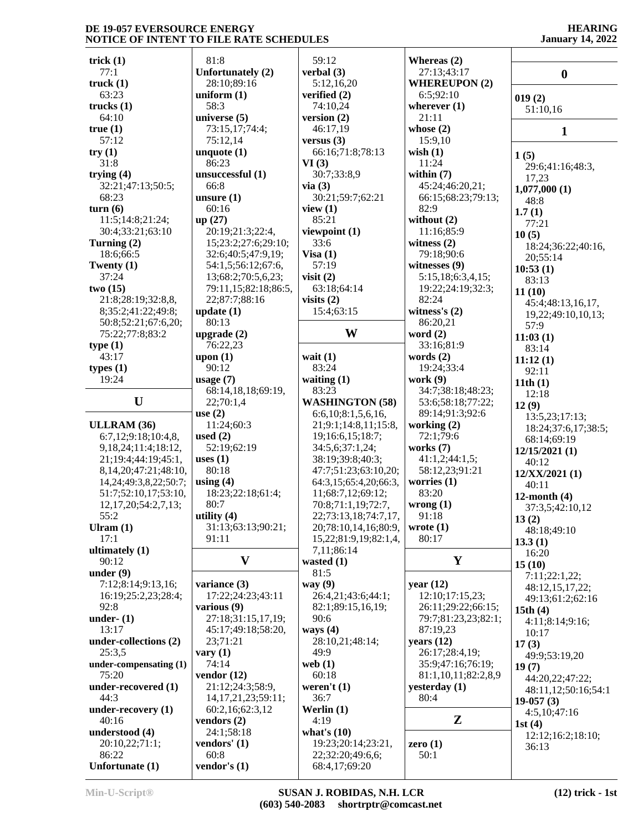#### **HEARING January 14, 2022**

| trick $(1)$                  | 81:8                    | 59:12                  | Whereas $(2)$        |                     |
|------------------------------|-------------------------|------------------------|----------------------|---------------------|
| 77:1                         | Unfortunately (2)       | verbal (3)             | 27:13;43:17          | $\boldsymbol{0}$    |
| truek(1)                     | 28:10;89:16             | 5:12,16,20             | <b>WHEREUPON (2)</b> |                     |
| 63:23                        | uniform $(1)$           | verified (2)           | 6:5;92:10            | 019(2)              |
| trucks(1)                    | 58:3                    | 74:10,24               | wherever $(1)$       | 51:10,16            |
| 64:10                        | universe $(5)$          | version (2)            | 21:11                |                     |
| true(1)                      | 73:15,17;74:4;          | 46:17,19               | whose $(2)$          | 1                   |
| 57:12                        | 75:12,14                | versus $(3)$           | 15:9,10              |                     |
| try(1)                       | unquote $(1)$           | 66:16;71:8;78:13       | wish $(1)$           | 1(5)                |
| 31:8                         | 86:23                   | VI(3)                  | 11:24                | 29:6;41:16;48:3,    |
| trying $(4)$                 | unsuccessful (1)        | 30:7;33:8,9            | within $(7)$         | 17,23               |
| 32:21;47:13;50:5;            | 66:8                    | via(3)                 | 45:24;46:20,21;      | 1,077,000(1)        |
| 68:23                        | unsure $(1)$            | 30:21;59:7;62:21       | 66:15;68:23;79:13;   | 48:8                |
| turn(6)                      | 60:16                   | view $(1)$             | 82:9                 | 1.7(1)              |
| 11:5;14:8;21:24;             | up(27)                  | 85:21                  | without $(2)$        | 77:21               |
| 30:4;33:21;63:10             | 20:19;21:3;22:4,        | viewpoint (1)          | 11:16;85:9           | 10(5)               |
| Turning (2)                  | 15;23:2;27:6;29:10;     | 33:6                   | witness $(2)$        | 18:24;36:22;40:16,  |
| 18:6;66:5                    | 32:6;40:5;47:9,19;      | Visa $(1)$             | 79:18;90:6           | 20;55:14            |
| Twenty $(1)$                 | 54:1,5;56:12;67:6,      | 57:19                  | witnesses $(9)$      | 10:53(1)            |
| 37:24                        | 13;68:2;70:5,6,23;      | visit $(2)$            | 5:15,18;6:3,4,15;    | 83:13               |
| two(15)                      | 79:11,15;82:18;86:5,    | 63:18:64:14            | 19:22;24:19;32:3;    | 11(10)              |
| 21:8;28:19;32:8,8,           | 22;87:7;88:16           | visits $(2)$           | 82:24                | 45:4;48:13,16,17,   |
| 8;35:2;41:22;49:8;           | update(1)               | 15:4;63:15             | witness's $(2)$      | 19,22;49:10,10,13;  |
| 50:8;52:21;67:6,20;          | 80:13                   |                        | 86:20,21             | 57:9                |
| 75:22;77:8;83:2              | upgrade $(2)$           | W                      | word $(2)$           | 11:03(1)            |
| type(1)                      | 76:22,23                |                        | 33:16;81:9           | 83:14               |
| 43:17                        | upon $(1)$              | wait $(1)$             | words $(2)$          | 11:12(1)            |
| types(1)                     | 90:12                   | 83:24                  | 19:24;33:4           | 92:11               |
| 19:24                        | usage $(7)$             | waiting $(1)$          | work $(9)$           | 11th(1)             |
|                              | 68:14,18,18;69:19,      | 83:23                  | 34:7;38:18;48:23;    | 12:18               |
| U                            | 22;70:1,4               | <b>WASHINGTON (58)</b> | 53:6;58:18;77:22;    | 12(9)               |
|                              | use $(2)$               | 6:6,10;8:1,5,6,16,     | 89:14;91:3;92:6      | 13:5,23;17:13;      |
| ULLRAM (36)                  | 11:24;60:3              | 21;9:1;14:8,11;15:8,   | working (2)          | 18:24;37:6,17;38:5; |
| 6:7,12;9:18;10:4,8,          | used $(2)$              | 19;16:6,15;18:7;       | 72:1;79:6            | 68:14;69:19         |
| 9, 18, 24; 11: 4; 18: 12,    | 52:19;62:19             | 34:5,6;37:1,24;        | works $(7)$          | 12/15/2021(1)       |
| 21;19:4;44:19;45:1,          | uses $(1)$              | 38:19;39:8;40:3;       | 41:1,2;44:1,5;       | 40:12               |
| 8, 14, 20; 47: 21; 48: 10,   | 80:18                   | 47:7;51:23;63:10,20;   | 58:12,23;91:21       | 12/XX/2021(1)       |
| 14, 24; 49: 3, 8, 22; 50: 7; | using $(4)$             | 64:3,15;65:4,20;66:3,  | worries $(1)$        | 40:11               |
| 51:7;52:10,17;53:10,         | 18:23;22:18;61:4;       | 11;68:7,12;69:12;      | 83:20                | 12-month $(4)$      |
| 12, 17, 20; 54: 2, 7, 13;    | 80:7                    | 70:8;71:1,19;72:7,     | wrong(1)             | 37:3,5;42:10,12     |
| 55:2                         | utility $(4)$           | 22;73:13,18;74:7,17,   | 91:18                | 13(2)               |
| Ulram $(1)$                  | 31:13;63:13;90:21;      | 20;78:10,14,16;80:9,   | wrote $(1)$          | 48:18;49:10         |
| 17:1                         | 91:11                   | 15,22;81:9,19;82:1,4,  | 80:17                | 13.3(1)             |
| ultimately (1)               |                         | 7,11;86:14             |                      | 16:20               |
| 90:12                        | $\mathbf{V}$            | wasted $(1)$           | Y                    | 15(10)              |
| under $(9)$                  |                         | 81:5                   |                      | 7:11;22:1,22;       |
| 7:12;8:14;9:13,16;           | variance (3)            | way $(9)$              | year $(12)$          | 48:12,15,17,22;     |
| 16:19:25:2,23:28:4;          | 17:22;24:23;43:11       | 26:4,21;43:6;44:1;     | 12:10;17:15,23;      | 49:13;61:2;62:16    |
| 92:8                         | various $(9)$           | 82:1;89:15,16,19;      | 26:11;29:22;66:15;   | 15th $(4)$          |
| under- $(1)$                 | 27:18;31:15,17,19;      | 90:6                   | 79:7;81:23,23;82:1;  | 4:11;8:14;9:16;     |
| 13:17                        | 45:17;49:18;58:20,      | ways $(4)$             | 87:19,23             | 10:17               |
| under-collections (2)        | 23;71:21                | 28:10,21;48:14;        | years $(12)$         | 17(3)               |
| 25:3,5                       | vary $(1)$              | 49:9                   | 26:17;28:4,19;       | 49:9;53:19,20       |
| under-compensating (1)       | 74:14                   | web $(1)$              | 35:9;47:16;76:19;    | 19(7)               |
| 75:20                        | vendor $(12)$           | 60:18                  | 81:1,10,11;82:2,8,9  | 44:20,22;47:22;     |
| under-recovered (1)          | 21:12;24:3;58:9,        | weren't $(1)$          | yesterday (1)        | 48:11,12;50:16;54:1 |
| 44:3                         | 14, 17, 21, 23; 59: 11; | 36:7                   | 80:4                 | $19-057(3)$         |
| under-recovery (1)           | 60:2,16;62:3,12         | Werlin $(1)$           |                      | 4:5,10;47:16        |
| 40:16                        | vendors $(2)$           | 4:19                   | $\mathbf{Z}$         | 1st $(4)$           |
| understood (4)               | 24:1;58:18              | what's $(10)$          |                      | 12:12;16:2;18:10;   |
| 20:10,22;71:1;               | vendors' $(1)$          | 19:23;20:14;23:21,     | zero $(1)$           | 36:13               |
| 86:22                        | 60:8                    | 22;32:20;49:6,6;       | 50:1                 |                     |
| Unfortunate (1)              | vendor's $(1)$          | 68:4,17;69:20          |                      |                     |